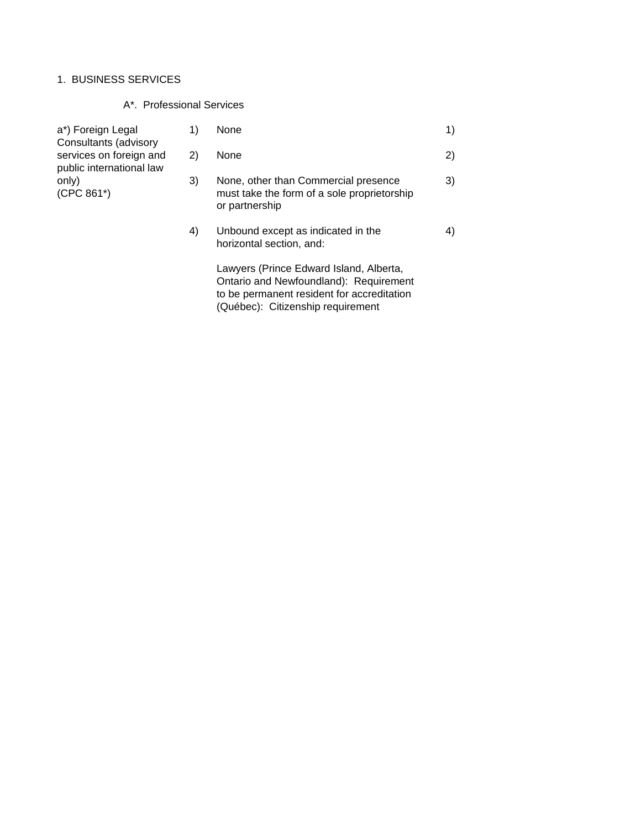# 1. BUSINESS SERVICES

# A\*. Professional Services

| a*) Foreign Legal<br>Consultants (advisory<br>services on foreign and<br>public international law | 1) | None                                                                                                                            | 1) |
|---------------------------------------------------------------------------------------------------|----|---------------------------------------------------------------------------------------------------------------------------------|----|
|                                                                                                   | 2) | None                                                                                                                            | 2) |
| only)<br>$(CPC 861*)$                                                                             | 3) | None, other than Commercial presence<br>must take the form of a sole proprietorship<br>or partnership                           | 3) |
|                                                                                                   | 4) | Unbound except as indicated in the<br>horizontal section, and:                                                                  | 4) |
|                                                                                                   |    | Lawyers (Prince Edward Island, Alberta,<br>Ontario and Newfoundland): Requirement<br>to be permanent resident for accreditation |    |

(Québec): Citizenship requirement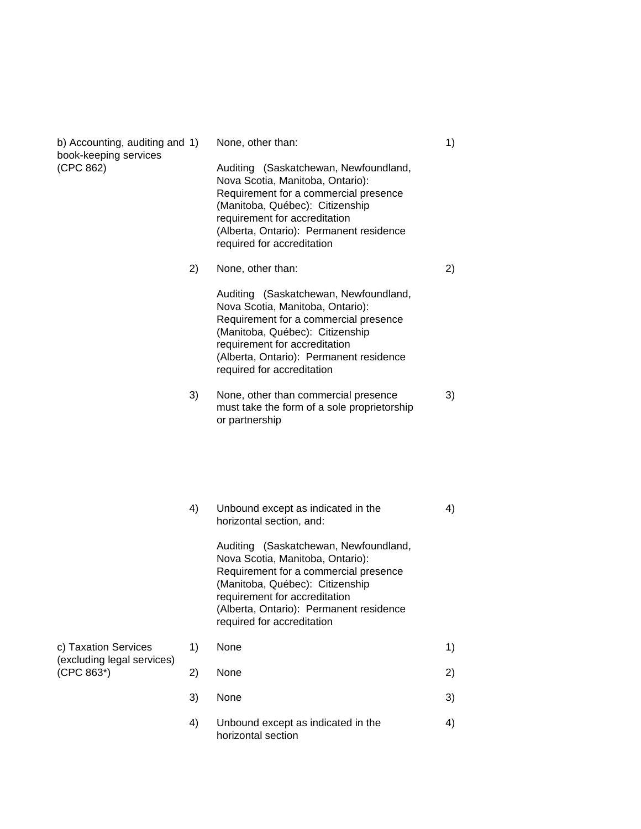| b) Accounting, auditing and 1)<br>book-keeping services<br>(CPC 862) |    | None, other than:<br>Auditing (Saskatchewan, Newfoundland,<br>Nova Scotia, Manitoba, Ontario):<br>Requirement for a commercial presence<br>(Manitoba, Québec): Citizenship<br>requirement for accreditation<br>(Alberta, Ontario): Permanent residence<br>required for accreditation | 1) |
|----------------------------------------------------------------------|----|--------------------------------------------------------------------------------------------------------------------------------------------------------------------------------------------------------------------------------------------------------------------------------------|----|
|                                                                      | 2) | None, other than:<br>Auditing (Saskatchewan, Newfoundland,                                                                                                                                                                                                                           | 2) |
|                                                                      |    | Nova Scotia, Manitoba, Ontario):<br>Requirement for a commercial presence<br>(Manitoba, Québec): Citizenship<br>requirement for accreditation<br>(Alberta, Ontario): Permanent residence<br>required for accreditation                                                               |    |
|                                                                      | 3) | None, other than commercial presence<br>must take the form of a sole proprietorship<br>or partnership                                                                                                                                                                                | 3) |
|                                                                      | 4) | Unbound except as indicated in the<br>horizontal section, and:                                                                                                                                                                                                                       | 4) |
|                                                                      |    | Auditing (Saskatchewan, Newfoundland,<br>Nova Scotia, Manitoba, Ontario):<br>Requirement for a commercial presence<br>(Manitoba, Québec): Citizenship<br>requirement for accreditation<br>(Alberta, Ontario): Permanent residence<br>required for accreditation                      |    |
| c) Taxation Services                                                 | 1) | None                                                                                                                                                                                                                                                                                 | 1) |
| (excluding legal services)<br>(CPC 863*)                             | 2) | None                                                                                                                                                                                                                                                                                 | 2) |
|                                                                      | 3) | None                                                                                                                                                                                                                                                                                 | 3) |
|                                                                      | 4) | Unbound except as indicated in the<br>horizontal section                                                                                                                                                                                                                             | 4) |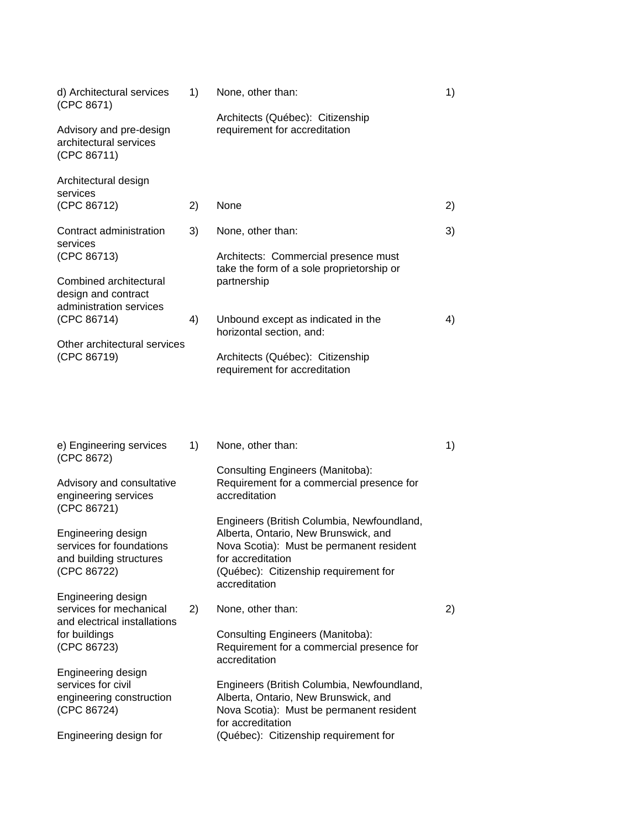| d) Architectural services<br>(CPC 8671)                                                  | 1) | None, other than:                                                                                                                                                                                             | 1) |
|------------------------------------------------------------------------------------------|----|---------------------------------------------------------------------------------------------------------------------------------------------------------------------------------------------------------------|----|
| Advisory and pre-design<br>architectural services<br>(CPC 86711)                         |    | Architects (Québec): Citizenship<br>requirement for accreditation                                                                                                                                             |    |
| Architectural design<br>services                                                         |    |                                                                                                                                                                                                               |    |
| (CPC 86712)                                                                              | 2) | None                                                                                                                                                                                                          | 2) |
| Contract administration<br>services<br>(CPC 86713)                                       | 3) | None, other than:<br>Architects: Commercial presence must                                                                                                                                                     | 3) |
| Combined architectural<br>design and contract                                            |    | take the form of a sole proprietorship or<br>partnership                                                                                                                                                      |    |
| administration services<br>(CPC 86714)                                                   | 4) | Unbound except as indicated in the<br>horizontal section, and:                                                                                                                                                | 4) |
| Other architectural services<br>(CPC 86719)                                              |    | Architects (Québec): Citizenship<br>requirement for accreditation                                                                                                                                             |    |
| e) Engineering services<br>(CPC 8672)                                                    | 1) | None, other than:<br><b>Consulting Engineers (Manitoba):</b>                                                                                                                                                  | 1) |
| Advisory and consultative<br>engineering services<br>(CPC 86721)                         |    | Requirement for a commercial presence for<br>accreditation                                                                                                                                                    |    |
| Engineering design<br>services for foundations<br>and building structures<br>(CPC 86722) |    | Engineers (British Columbia, Newfoundland,<br>Alberta, Ontario, New Brunswick, and<br>Nova Scotia): Must be permanent resident<br>for accreditation<br>(Québec): Citizenship requirement for<br>accreditation |    |
| Engineering design<br>services for mechanical<br>and electrical installations            | 2) | None, other than:                                                                                                                                                                                             | 2) |
| for buildings<br>(CPC 86723)                                                             |    | Consulting Engineers (Manitoba):<br>Requirement for a commercial presence for<br>accreditation                                                                                                                |    |
| Engineering design                                                                       |    |                                                                                                                                                                                                               |    |
| services for civil<br>engineering construction<br>(CPC 86724)                            |    | Engineers (British Columbia, Newfoundland,<br>Alberta, Ontario, New Brunswick, and<br>Nova Scotia): Must be permanent resident<br>for accreditation                                                           |    |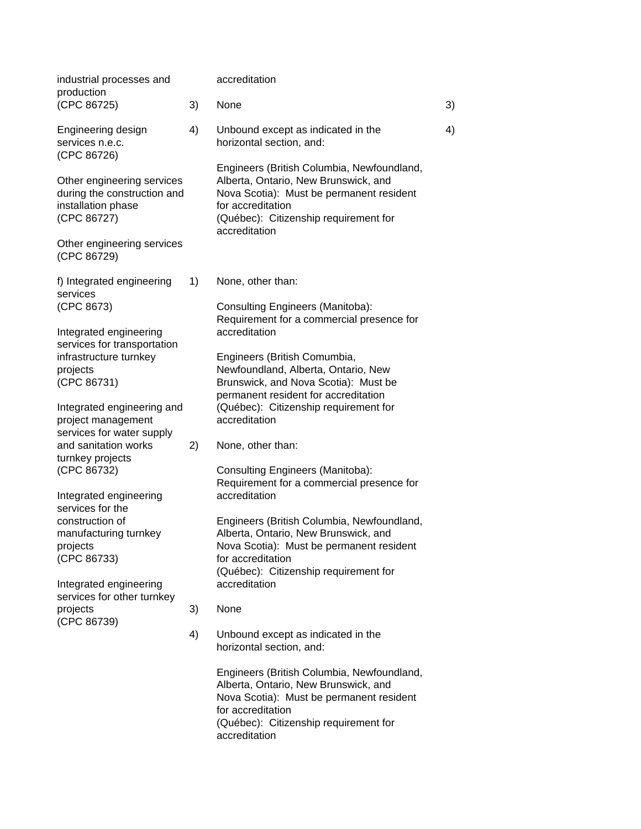| industrial processes and<br>production                                                                                                      |    | accreditation                                                                                                                                                                                                 |    |
|---------------------------------------------------------------------------------------------------------------------------------------------|----|---------------------------------------------------------------------------------------------------------------------------------------------------------------------------------------------------------------|----|
| (CPC 86725)                                                                                                                                 | 3) | None                                                                                                                                                                                                          | 3) |
| Engineering design<br>services n.e.c.<br>(CPC 86726)                                                                                        | 4) | Unbound except as indicated in the<br>horizontal section, and:                                                                                                                                                | 4) |
| Other engineering services<br>during the construction and<br>installation phase<br>(CPC 86727)<br>Other engineering services<br>(CPC 86729) |    | Engineers (British Columbia, Newfoundland,<br>Alberta, Ontario, New Brunswick, and<br>Nova Scotia): Must be permanent resident<br>for accreditation<br>(Québec): Citizenship requirement for<br>accreditation |    |
| f) Integrated engineering                                                                                                                   | 1) | None, other than:                                                                                                                                                                                             |    |
| services<br>(CPC 8673)<br>Integrated engineering                                                                                            |    | Consulting Engineers (Manitoba):<br>Requirement for a commercial presence for<br>accreditation                                                                                                                |    |
| services for transportation<br>infrastructure turnkey<br>projects<br>(CPC 86731)                                                            |    | Engineers (British Comumbia,<br>Newfoundland, Alberta, Ontario, New<br>Brunswick, and Nova Scotia): Must be<br>permanent resident for accreditation                                                           |    |
| Integrated engineering and<br>project management<br>services for water supply                                                               |    | (Québec): Citizenship requirement for<br>accreditation                                                                                                                                                        |    |
| and sanitation works<br>turnkey projects                                                                                                    | 2) | None, other than:                                                                                                                                                                                             |    |
| (CPC 86732)<br>Integrated engineering                                                                                                       |    | Consulting Engineers (Manitoba):<br>Requirement for a commercial presence for<br>accreditation                                                                                                                |    |
| services for the<br>construction of<br>manufacturing turnkey<br>projects<br>(CPC 86733)                                                     |    | Engineers (British Columbia, Newfoundland,<br>Alberta, Ontario, New Brunswick, and<br>Nova Scotia): Must be permanent resident<br>for accreditation<br>(Québec): Citizenship requirement for                  |    |
| Integrated engineering<br>services for other turnkey<br>projects                                                                            | 3) | accreditation<br>None                                                                                                                                                                                         |    |
| (CPC 86739)                                                                                                                                 | 4) | Unbound except as indicated in the<br>horizontal section, and:                                                                                                                                                |    |
|                                                                                                                                             |    | Engineers (British Columbia, Newfoundland,<br>Alberta, Ontario, New Brunswick, and<br>Nova Scotia): Must be permanent resident<br>for accreditation<br>(Québec): Citizenship requirement for<br>accreditation |    |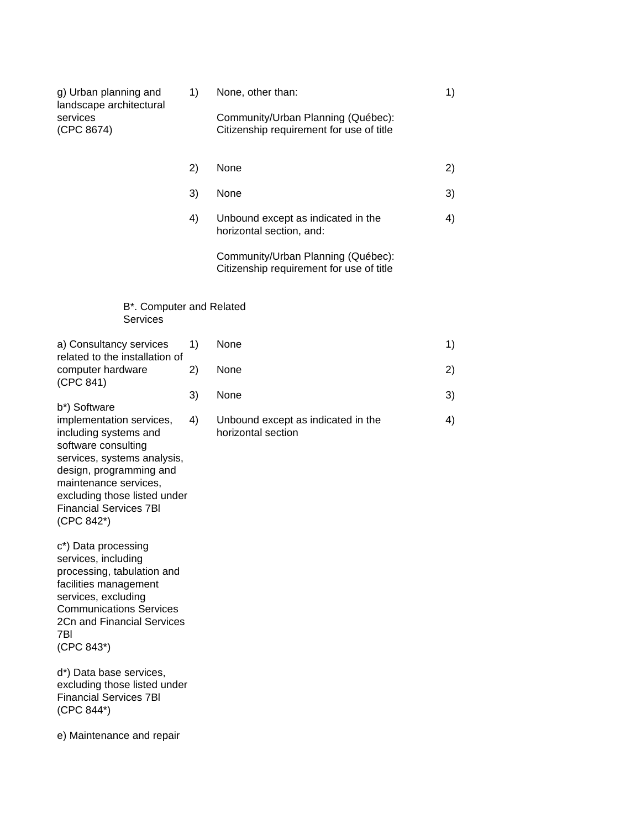| g) Urban planning and<br>landscape architectural<br>services<br>(CPC 8674)                                                                                                                                                                                 | 1) | None, other than:<br>Community/Urban Planning (Québec):<br>Citizenship requirement for use of title | 1) |
|------------------------------------------------------------------------------------------------------------------------------------------------------------------------------------------------------------------------------------------------------------|----|-----------------------------------------------------------------------------------------------------|----|
|                                                                                                                                                                                                                                                            | 2) | None                                                                                                | 2) |
|                                                                                                                                                                                                                                                            | 3) | None                                                                                                | 3) |
|                                                                                                                                                                                                                                                            | 4) | Unbound except as indicated in the<br>horizontal section, and:                                      | 4) |
|                                                                                                                                                                                                                                                            |    | Community/Urban Planning (Québec):<br>Citizenship requirement for use of title                      |    |
| B*. Computer and Related<br><b>Services</b>                                                                                                                                                                                                                |    |                                                                                                     |    |
| a) Consultancy services<br>related to the installation of                                                                                                                                                                                                  | 1) | None                                                                                                | 1) |
| computer hardware<br>(CPC 841)                                                                                                                                                                                                                             | 2) | None                                                                                                | 2) |
|                                                                                                                                                                                                                                                            | 3) | None                                                                                                | 3) |
| b*) Software<br>implementation services,<br>including systems and<br>software consulting<br>services, systems analysis,<br>design, programming and<br>maintenance services,<br>excluding those listed under<br><b>Financial Services 7BI</b><br>(CPC 842*) | 4) | Unbound except as indicated in the<br>horizontal section                                            | 4) |
| c*) Data processing<br>services, including<br>processing, tabulation and<br>facilities management<br>services, excluding<br><b>Communications Services</b><br>2Cn and Financial Services<br>7BI<br>(CPC 843*)                                              |    |                                                                                                     |    |
| d*) Data base services,<br>excluding those listed under<br><b>Financial Services 7BI</b><br>(CPC 844*)                                                                                                                                                     |    |                                                                                                     |    |

e) Maintenance and repair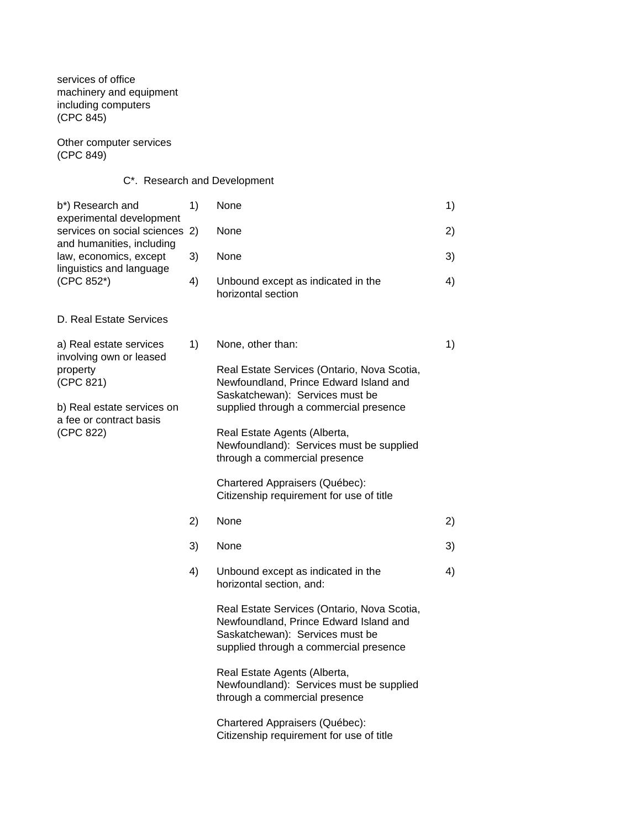services of office machinery and equipment including computers (CPC 845)

Other computer services (CPC 849)

# C\*. Research and Development

| b*) Research and                                                                              | 1) | None                                                                                                                                                               | 1) |
|-----------------------------------------------------------------------------------------------|----|--------------------------------------------------------------------------------------------------------------------------------------------------------------------|----|
| experimental development<br>services on social sciences 2)                                    |    | None                                                                                                                                                               | 2) |
| and humanities, including<br>law, economics, except<br>linguistics and language<br>(CPC 852*) | 3) | None                                                                                                                                                               | 3) |
|                                                                                               | 4) | Unbound except as indicated in the<br>horizontal section                                                                                                           | 4) |
| D. Real Estate Services                                                                       |    |                                                                                                                                                                    |    |
| a) Real estate services                                                                       | 1) | None, other than:                                                                                                                                                  | 1) |
| involving own or leased<br>property<br>(CPC 821)                                              |    | Real Estate Services (Ontario, Nova Scotia,<br>Newfoundland, Prince Edward Island and<br>Saskatchewan): Services must be                                           |    |
| b) Real estate services on                                                                    |    | supplied through a commercial presence                                                                                                                             |    |
| a fee or contract basis<br>(CPC 822)                                                          |    | Real Estate Agents (Alberta,<br>Newfoundland): Services must be supplied<br>through a commercial presence                                                          |    |
|                                                                                               |    | Chartered Appraisers (Québec):<br>Citizenship requirement for use of title                                                                                         |    |
|                                                                                               | 2) | None                                                                                                                                                               | 2) |
|                                                                                               | 3) | None                                                                                                                                                               | 3) |
|                                                                                               | 4) | Unbound except as indicated in the<br>horizontal section, and:                                                                                                     | 4) |
|                                                                                               |    | Real Estate Services (Ontario, Nova Scotia,<br>Newfoundland, Prince Edward Island and<br>Saskatchewan): Services must be<br>supplied through a commercial presence |    |
|                                                                                               |    | Real Estate Agents (Alberta,<br>Newfoundland): Services must be supplied<br>through a commercial presence                                                          |    |
|                                                                                               |    | Chartered Appraisers (Québec):<br>Citizenship requirement for use of title                                                                                         |    |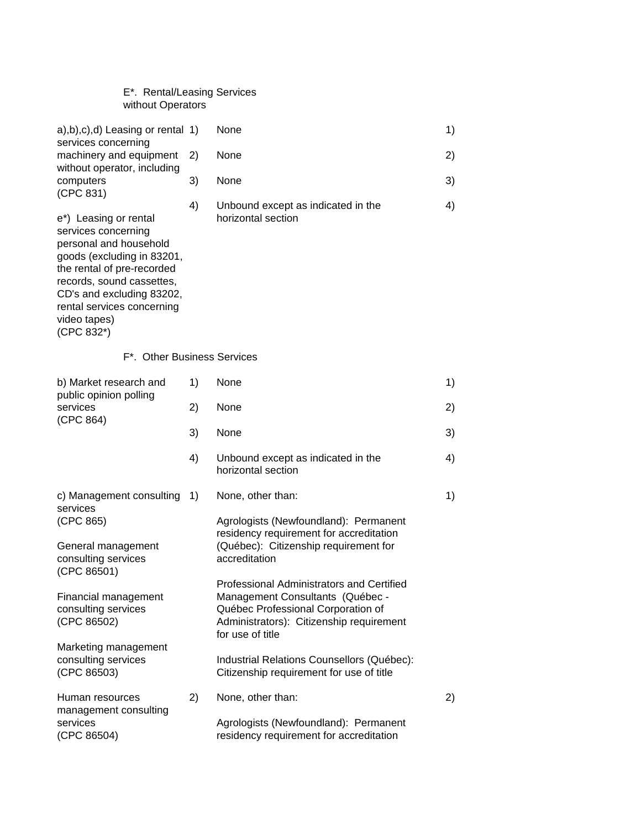| E <sup>*</sup> . Rental/Leasing Services |
|------------------------------------------|
| without Operators                        |

| $(a), b), c), d)$ Leasing or rental 1)                                                                                                                                                                                                                   |    | None                                                                                                                                                                                | 1) |
|----------------------------------------------------------------------------------------------------------------------------------------------------------------------------------------------------------------------------------------------------------|----|-------------------------------------------------------------------------------------------------------------------------------------------------------------------------------------|----|
| services concerning<br>machinery and equipment                                                                                                                                                                                                           | 2) | None                                                                                                                                                                                | 2) |
| without operator, including<br>computers<br>(CPC 831)                                                                                                                                                                                                    | 3) | None                                                                                                                                                                                | 3) |
| e*) Leasing or rental<br>services concerning<br>personal and household<br>goods (excluding in 83201,<br>the rental of pre-recorded<br>records, sound cassettes,<br>CD's and excluding 83202,<br>rental services concerning<br>video tapes)<br>(CPC 832*) | 4) | Unbound except as indicated in the<br>horizontal section                                                                                                                            | 4) |
| F*. Other Business Services                                                                                                                                                                                                                              |    |                                                                                                                                                                                     |    |
| b) Market research and<br>public opinion polling                                                                                                                                                                                                         | 1) | None                                                                                                                                                                                | 1) |
| services<br>(CPC 864)                                                                                                                                                                                                                                    | 2) | None                                                                                                                                                                                | 2) |
|                                                                                                                                                                                                                                                          | 3) | None                                                                                                                                                                                | 3) |
|                                                                                                                                                                                                                                                          | 4) | Unbound except as indicated in the<br>horizontal section                                                                                                                            | 4) |
| c) Management consulting<br>services                                                                                                                                                                                                                     | 1) | None, other than:                                                                                                                                                                   | 1) |
| (CPC 865)<br>General management<br>consulting services                                                                                                                                                                                                   |    | Agrologists (Newfoundland): Permanent<br>residency requirement for accreditation<br>(Québec): Citizenship requirement for<br>accreditation                                          |    |
| (CPC 86501)<br>Financial management<br>consulting services<br>(CPC 86502)                                                                                                                                                                                |    | Professional Administrators and Certified<br>Management Consultants (Québec -<br>Québec Professional Corporation of<br>Administrators): Citizenship requirement<br>for use of title |    |
| Marketing management<br>consulting services<br>(CPC 86503)                                                                                                                                                                                               |    | Industrial Relations Counsellors (Québec):<br>Citizenship requirement for use of title                                                                                              |    |
| Human resources<br>management consulting<br>services<br>(CPC 86504)                                                                                                                                                                                      | 2) | None, other than:<br>Agrologists (Newfoundland): Permanent<br>residency requirement for accreditation                                                                               | 2) |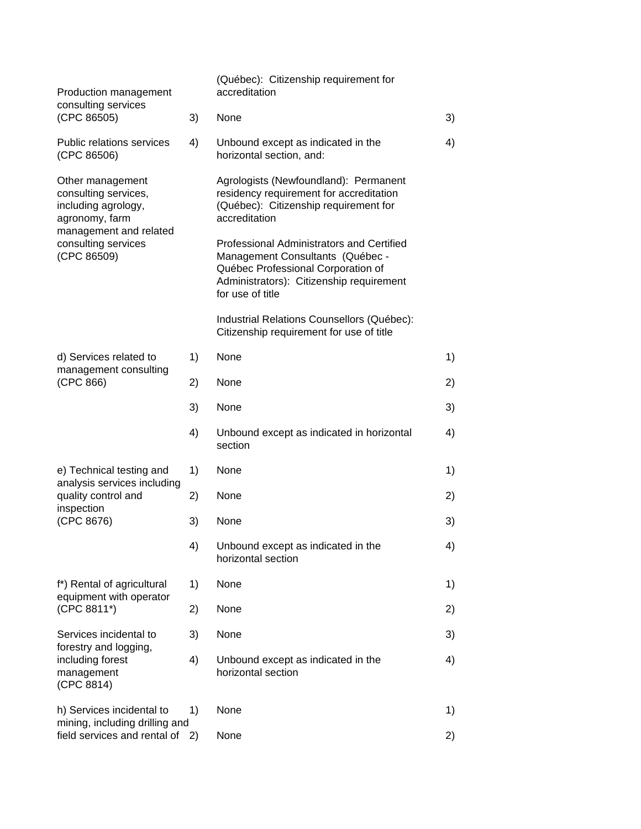| Production management                                                             |    | (Québec): Citizenship requirement for<br>accreditation                                                                                                                              |    |
|-----------------------------------------------------------------------------------|----|-------------------------------------------------------------------------------------------------------------------------------------------------------------------------------------|----|
| consulting services<br>(CPC 86505)                                                | 3) | None                                                                                                                                                                                | 3) |
| <b>Public relations services</b><br>(CPC 86506)                                   | 4) | Unbound except as indicated in the<br>horizontal section, and:                                                                                                                      | 4) |
| Other management<br>consulting services,<br>including agrology,<br>agronomy, farm |    | Agrologists (Newfoundland): Permanent<br>residency requirement for accreditation<br>(Québec): Citizenship requirement for<br>accreditation                                          |    |
| management and related<br>consulting services<br>(CPC 86509)                      |    | Professional Administrators and Certified<br>Management Consultants (Québec -<br>Québec Professional Corporation of<br>Administrators): Citizenship requirement<br>for use of title |    |
|                                                                                   |    | Industrial Relations Counsellors (Québec):<br>Citizenship requirement for use of title                                                                                              |    |
| d) Services related to<br>management consulting                                   | 1) | None                                                                                                                                                                                | 1) |
| (CPC 866)                                                                         | 2) | None                                                                                                                                                                                | 2) |
|                                                                                   | 3) | None                                                                                                                                                                                | 3) |
|                                                                                   | 4) | Unbound except as indicated in horizontal<br>section                                                                                                                                | 4) |
| e) Technical testing and                                                          | 1) | None                                                                                                                                                                                | 1) |
| analysis services including<br>quality control and                                | 2) | None                                                                                                                                                                                | 2) |
| inspection<br>(CPC 8676)                                                          | 3) | None                                                                                                                                                                                | 3) |
|                                                                                   | 4) | Unbound except as indicated in the<br>horizontal section                                                                                                                            | 4) |
| f*) Rental of agricultural                                                        | 1) | None                                                                                                                                                                                | 1) |
| equipment with operator<br>(CPC 8811*)                                            | 2) | None                                                                                                                                                                                | 2) |
| Services incidental to                                                            | 3) | None                                                                                                                                                                                | 3) |
| forestry and logging,<br>including forest<br>management<br>(CPC 8814)             | 4) | Unbound except as indicated in the<br>horizontal section                                                                                                                            | 4) |
| h) Services incidental to                                                         | 1) | None                                                                                                                                                                                | 1) |
| mining, including drilling and<br>field services and rental of                    | 2) | None                                                                                                                                                                                | 2) |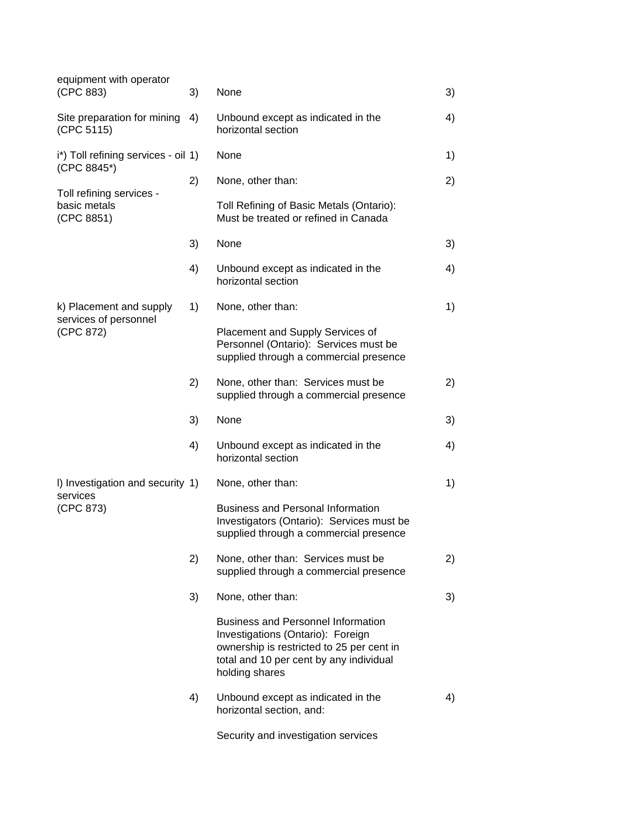| equipment with operator                                |    |                                                                                                                                                                                          |    |
|--------------------------------------------------------|----|------------------------------------------------------------------------------------------------------------------------------------------------------------------------------------------|----|
| (CPC 883)                                              | 3) | None                                                                                                                                                                                     | 3) |
| Site preparation for mining<br>(CPC 5115)              | 4) | Unbound except as indicated in the<br>horizontal section                                                                                                                                 | 4) |
| i*) Toll refining services - oil 1)<br>(CPC 8845*)     |    | None                                                                                                                                                                                     | 1) |
|                                                        | 2) | None, other than:                                                                                                                                                                        | 2) |
| Toll refining services -<br>basic metals<br>(CPC 8851) |    | Toll Refining of Basic Metals (Ontario):<br>Must be treated or refined in Canada                                                                                                         |    |
|                                                        | 3) | None                                                                                                                                                                                     | 3) |
|                                                        | 4) | Unbound except as indicated in the<br>horizontal section                                                                                                                                 | 4) |
| k) Placement and supply                                | 1) | None, other than:                                                                                                                                                                        | 1) |
| services of personnel<br>(CPC 872)                     |    | Placement and Supply Services of<br>Personnel (Ontario): Services must be<br>supplied through a commercial presence                                                                      |    |
|                                                        | 2) | None, other than: Services must be<br>supplied through a commercial presence                                                                                                             | 2) |
|                                                        | 3) | None                                                                                                                                                                                     | 3) |
|                                                        | 4) | Unbound except as indicated in the<br>horizontal section                                                                                                                                 | 4) |
| I) Investigation and security 1)                       |    | None, other than:                                                                                                                                                                        | 1) |
| services<br>(CPC 873)                                  |    | <b>Business and Personal Information</b><br>Investigators (Ontario): Services must be<br>supplied through a commercial presence                                                          |    |
|                                                        | 2) | None, other than: Services must be<br>supplied through a commercial presence                                                                                                             | 2) |
|                                                        | 3) | None, other than:                                                                                                                                                                        | 3) |
|                                                        |    | <b>Business and Personnel Information</b><br>Investigations (Ontario): Foreign<br>ownership is restricted to 25 per cent in<br>total and 10 per cent by any individual<br>holding shares |    |
|                                                        | 4) | Unbound except as indicated in the<br>horizontal section, and:                                                                                                                           | 4) |
|                                                        |    | Security and investigation services                                                                                                                                                      |    |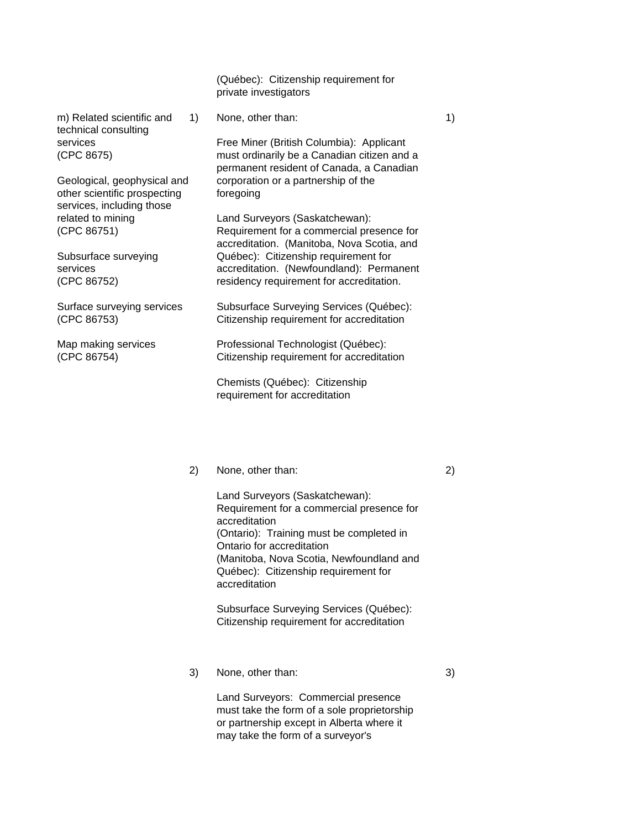(Québec): Citizenship requirement for private investigators

m) Related scientific and 1 None, other than: 1 1 1 1 technical consulting

other scientific prospecting foregoing services, including those

services **Free Miner (British Columbia): Applicant** (CPC 8675) must ordinarily be a Canadian citizen and a permanent resident of Canada, a Canadian Geological, geophysical and corporation or a partnership of the

related to mining Land Surveyors (Saskatchewan): (CPC 86751) Requirement for a commercial presence for accreditation. (Manitoba, Nova Scotia, and Subsurface surveying **Québec**): Citizenship requirement for services accreditation. (Newfoundland): Permanent (CPC 86752) residency requirement for accreditation.

Surface surveying services Subsurface Surveying Services (Québec): (CPC 86753) Citizenship requirement for accreditation

Map making services **Professional Technologist (Québec):** (CPC 86754) Citizenship requirement for accreditation

> Chemists (Québec): Citizenship requirement for accreditation

## 2) None, other than: 2)

Land Surveyors (Saskatchewan): Requirement for a commercial presence for accreditation (Ontario): Training must be completed in Ontario for accreditation (Manitoba, Nova Scotia, Newfoundland and Québec): Citizenship requirement for accreditation

Subsurface Surveying Services (Québec): Citizenship requirement for accreditation

3) None, other than: 3)

Land Surveyors: Commercial presence must take the form of a sole proprietorship or partnership except in Alberta where it may take the form of a surveyor's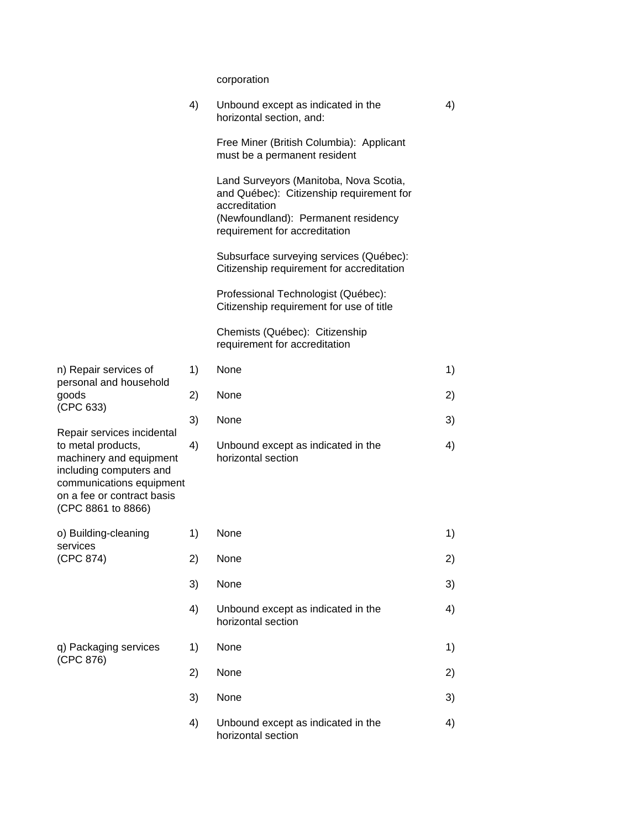corporation

|                                                                                                                                                                                        | 4) | Unbound except as indicated in the<br>horizontal section, and:                                                                                                              | 4) |
|----------------------------------------------------------------------------------------------------------------------------------------------------------------------------------------|----|-----------------------------------------------------------------------------------------------------------------------------------------------------------------------------|----|
|                                                                                                                                                                                        |    | Free Miner (British Columbia): Applicant<br>must be a permanent resident                                                                                                    |    |
|                                                                                                                                                                                        |    | Land Surveyors (Manitoba, Nova Scotia,<br>and Québec): Citizenship requirement for<br>accreditation<br>(Newfoundland): Permanent residency<br>requirement for accreditation |    |
|                                                                                                                                                                                        |    | Subsurface surveying services (Québec):<br>Citizenship requirement for accreditation                                                                                        |    |
|                                                                                                                                                                                        |    | Professional Technologist (Québec):<br>Citizenship requirement for use of title                                                                                             |    |
|                                                                                                                                                                                        |    | Chemists (Québec): Citizenship<br>requirement for accreditation                                                                                                             |    |
| n) Repair services of                                                                                                                                                                  | 1) | None                                                                                                                                                                        | 1) |
| personal and household<br>goods                                                                                                                                                        | 2) | None                                                                                                                                                                        | 2) |
| (CPC 633)                                                                                                                                                                              | 3) | None                                                                                                                                                                        | 3) |
| Repair services incidental<br>to metal products,<br>machinery and equipment<br>including computers and<br>communications equipment<br>on a fee or contract basis<br>(CPC 8861 to 8866) | 4) | Unbound except as indicated in the<br>horizontal section                                                                                                                    | 4) |
| o) Building-cleaning                                                                                                                                                                   | 1) | None                                                                                                                                                                        | 1) |
| services<br>(CPC 874)                                                                                                                                                                  | 2) | None                                                                                                                                                                        | 2) |
|                                                                                                                                                                                        | 3) | None                                                                                                                                                                        | 3) |
|                                                                                                                                                                                        | 4) | Unbound except as indicated in the<br>horizontal section                                                                                                                    | 4) |
| q) Packaging services<br>(CPC 876)                                                                                                                                                     | 1) | None                                                                                                                                                                        | 1) |
|                                                                                                                                                                                        | 2) | None                                                                                                                                                                        | 2) |
|                                                                                                                                                                                        | 3) | None                                                                                                                                                                        | 3) |
|                                                                                                                                                                                        | 4) | Unbound except as indicated in the<br>horizontal section                                                                                                                    | 4) |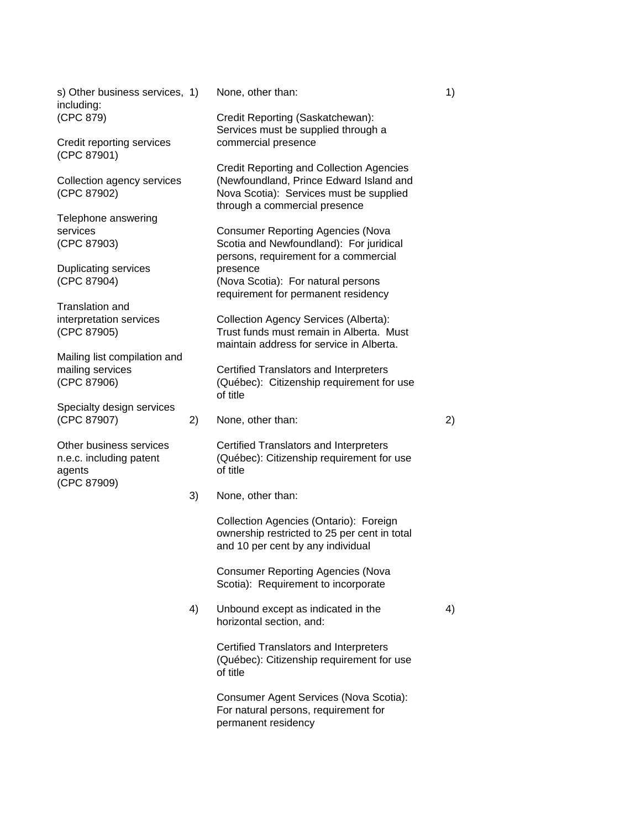s) Other business services, 1) None, other than: 1 (1) 1 (1) including: (CPC 879) Credit Reporting (Saskatchewan):

Credit reporting services commercial presence (CPC 87901)

Telephone answering

Duplicating services by presence

Translation and

Mailing list compilation and

Specialty design services (CPC 87907) 2) None, other than: 2)

agents of title (CPC 87909)

Services must be supplied through a

Credit Reporting and Collection Agencies Collection agency services (Newfoundland, Prince Edward Island and (CPC 87902) Nova Scotia): Services must be supplied through a commercial presence

services **Consumer Reporting Agencies** (Nova (CPC 87903) Scotia and Newfoundland): For juridical persons, requirement for a commercial (CPC 87904) (Nova Scotia): For natural persons requirement for permanent residency

interpretation services Collection Agency Services (Alberta): (CPC 87905) Trust funds must remain in Alberta. Must maintain address for service in Alberta.

mailing services **Certified Translators and Interpreters** (CPC 87906) (Québec): Citizenship requirement for use of title

Other business services Certified Translators and Interpreters n.e.c. including patent (Québec): Citizenship requirement for use

3) None, other than:

Collection Agencies (Ontario): Foreign ownership restricted to 25 per cent in total and 10 per cent by any individual

Consumer Reporting Agencies (Nova Scotia): Requirement to incorporate

4) Unbound except as indicated in the 4) horizontal section, and:

> Certified Translators and Interpreters (Québec): Citizenship requirement for use of title

Consumer Agent Services (Nova Scotia): For natural persons, requirement for permanent residency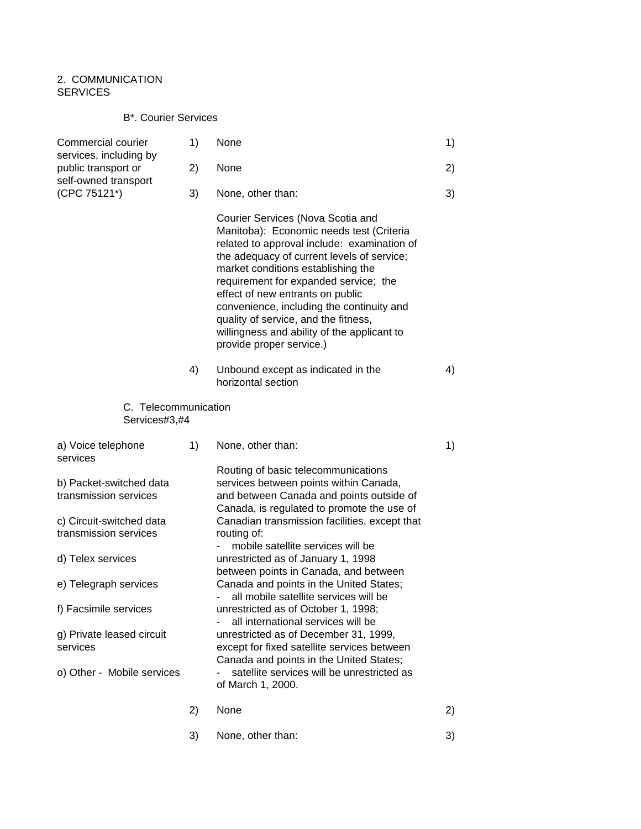# 2. COMMUNICATION **SERVICES**

# B\*. Courier Services

| Commercial courier<br>services, including by      | 1) | None                                                                                                                                                                                                                                                                                                                                                                                                                                                          | 1) |
|---------------------------------------------------|----|---------------------------------------------------------------------------------------------------------------------------------------------------------------------------------------------------------------------------------------------------------------------------------------------------------------------------------------------------------------------------------------------------------------------------------------------------------------|----|
| public transport or<br>self-owned transport       | 2) | None                                                                                                                                                                                                                                                                                                                                                                                                                                                          | 2) |
| (CPC 75121*)                                      | 3) | None, other than:                                                                                                                                                                                                                                                                                                                                                                                                                                             | 3) |
|                                                   |    | Courier Services (Nova Scotia and<br>Manitoba): Economic needs test (Criteria<br>related to approval include: examination of<br>the adequacy of current levels of service;<br>market conditions establishing the<br>requirement for expanded service; the<br>effect of new entrants on public<br>convenience, including the continuity and<br>quality of service, and the fitness,<br>willingness and ability of the applicant to<br>provide proper service.) |    |
|                                                   | 4) | Unbound except as indicated in the<br>horizontal section                                                                                                                                                                                                                                                                                                                                                                                                      | 4) |
| C. Telecommunication<br>Services#3,#4             |    |                                                                                                                                                                                                                                                                                                                                                                                                                                                               |    |
|                                                   |    |                                                                                                                                                                                                                                                                                                                                                                                                                                                               |    |
| a) Voice telephone<br>services                    | 1) | None, other than:                                                                                                                                                                                                                                                                                                                                                                                                                                             | 1) |
| b) Packet-switched data<br>transmission services  |    | Routing of basic telecommunications<br>services between points within Canada,<br>and between Canada and points outside of                                                                                                                                                                                                                                                                                                                                     |    |
| c) Circuit-switched data<br>transmission services |    | Canada, is regulated to promote the use of<br>Canadian transmission facilities, except that<br>routing of:                                                                                                                                                                                                                                                                                                                                                    |    |
| d) Telex services                                 |    | mobile satellite services will be<br>unrestricted as of January 1, 1998                                                                                                                                                                                                                                                                                                                                                                                       |    |
| e) Telegraph services                             |    | between points in Canada, and between<br>Canada and points in the United States;<br>$\overline{\phantom{a}}$                                                                                                                                                                                                                                                                                                                                                  |    |
| f) Facsimile services                             |    | all mobile satellite services will be<br>unrestricted as of October 1, 1998;                                                                                                                                                                                                                                                                                                                                                                                  |    |
| g) Private leased circuit<br>services             |    | all international services will be<br>unrestricted as of December 31, 1999,<br>except for fixed satellite services between<br>Canada and points in the United States;                                                                                                                                                                                                                                                                                         |    |
| o) Other - Mobile services                        |    | satellite services will be unrestricted as<br>of March 1, 2000.                                                                                                                                                                                                                                                                                                                                                                                               |    |
|                                                   | 2) | None                                                                                                                                                                                                                                                                                                                                                                                                                                                          | 2) |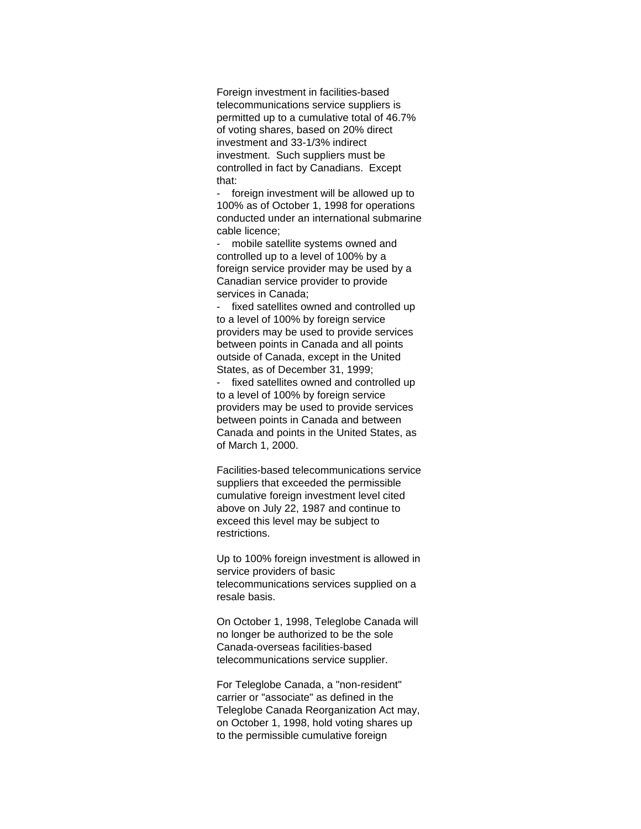Foreign investment in facilities-based telecommunications service suppliers is permitted up to a cumulative total of 46.7% of voting shares, based on 20% direct investment and 33-1/3% indirect investment. Such suppliers must be controlled in fact by Canadians. Except that:

- foreign investment will be allowed up to 100% as of October 1, 1998 for operations conducted under an international submarine cable licence;

mobile satellite systems owned and controlled up to a level of 100% by a foreign service provider may be used by a Canadian service provider to provide services in Canada;

- fixed satellites owned and controlled up to a level of 100% by foreign service providers may be used to provide services between points in Canada and all points outside of Canada, except in the United States, as of December 31, 1999;

- fixed satellites owned and controlled up to a level of 100% by foreign service providers may be used to provide services between points in Canada and between Canada and points in the United States, as of March 1, 2000.

Facilities-based telecommunications service suppliers that exceeded the permissible cumulative foreign investment level cited above on July 22, 1987 and continue to exceed this level may be subject to restrictions.

Up to 100% foreign investment is allowed in service providers of basic telecommunications services supplied on a resale basis.

On October 1, 1998, Teleglobe Canada will no longer be authorized to be the sole Canada-overseas facilities-based telecommunications service supplier.

For Teleglobe Canada, a "non-resident" carrier or "associate" as defined in the Teleglobe Canada Reorganization Act may, on October 1, 1998, hold voting shares up to the permissible cumulative foreign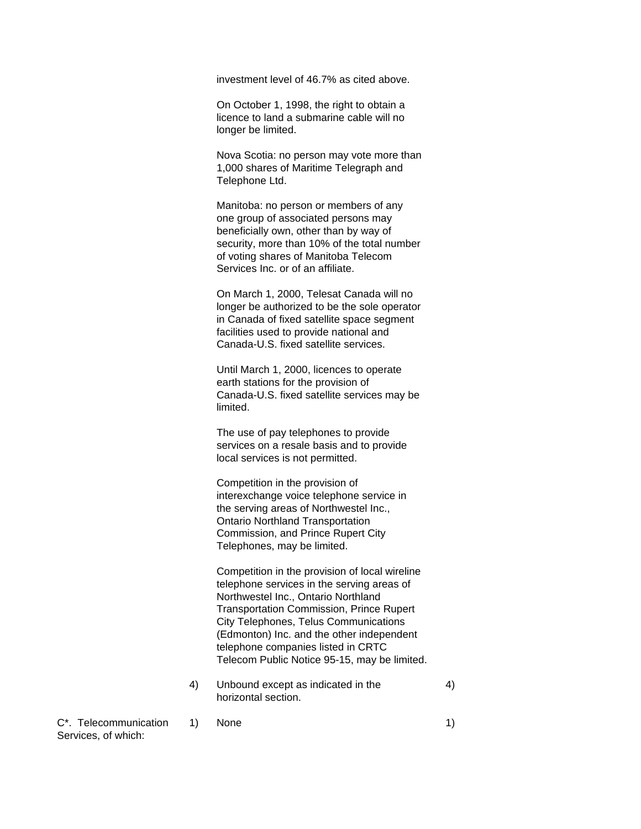investment level of 46.7% as cited above.

On October 1, 1998, the right to obtain a licence to land a submarine cable will no longer be limited.

Nova Scotia: no person may vote more than 1,000 shares of Maritime Telegraph and Telephone Ltd.

Manitoba: no person or members of any one group of associated persons may beneficially own, other than by way of security, more than 10% of the total number of voting shares of Manitoba Telecom Services Inc. or of an affiliate.

On March 1, 2000, Telesat Canada will no longer be authorized to be the sole operator in Canada of fixed satellite space segment facilities used to provide national and Canada-U.S. fixed satellite services.

Until March 1, 2000, licences to operate earth stations for the provision of Canada-U.S. fixed satellite services may be limited.

The use of pay telephones to provide services on a resale basis and to provide local services is not permitted.

Competition in the provision of interexchange voice telephone service in the serving areas of Northwestel Inc., Ontario Northland Transportation Commission, and Prince Rupert City Telephones, may be limited.

Competition in the provision of local wireline telephone services in the serving areas of Northwestel Inc., Ontario Northland Transportation Commission, Prince Rupert City Telephones, Telus Communications (Edmonton) Inc. and the other independent telephone companies listed in CRTC Telecom Public Notice 95-15, may be limited.

4) Unbound except as indicated in the 4 horizontal section.

 $C^*$ . Telecommunication 1) None 11 Services, of which: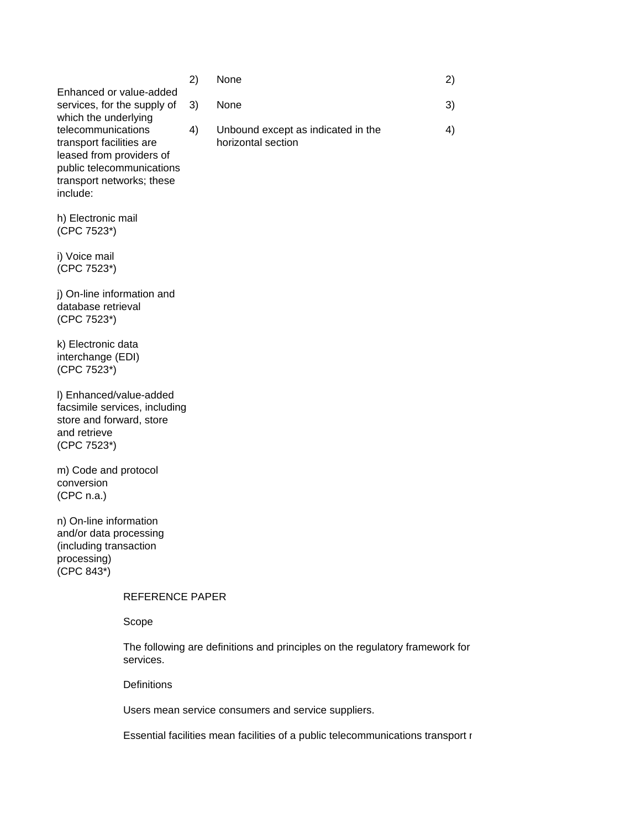|                             | ر ے |
|-----------------------------|-----|
| Enhanced or value-added     |     |
| services, for the supply of | 3)  |
| which the underlying        |     |
| telecommunications          | 4)  |
| transport facilities are    |     |
| leased from providers of    |     |
| public telecommunications   |     |
| transport networks; these   |     |
| include:                    |     |

h) Electronic mail (CPC 7523\*)

i) Voice mail (CPC 7523\*)

j) On-line information and database retrieval (CPC 7523\*)

k) Electronic data interchange (EDI) (CPC 7523\*)

l) Enhanced/value-added facsimile services, including store and forward, store and retrieve (CPC 7523\*)

m) Code and protocol conversion (CPC n.a.)

n) On-line information and/or data processing (including transaction processing) (CPC 843\*)

#### REFERENCE PAPER

Scope

The following are definitions and principles on the regulatory framework for services.

**Definitions** 

Users mean service consumers and service suppliers.

Essential facilities mean facilities of a public telecommunications transport r

2) None 2) services, for the supply of 3) None 30 and 30 services, services (3) 3 telecommunications 4) Unbound except as indicated in the 4) horizontal section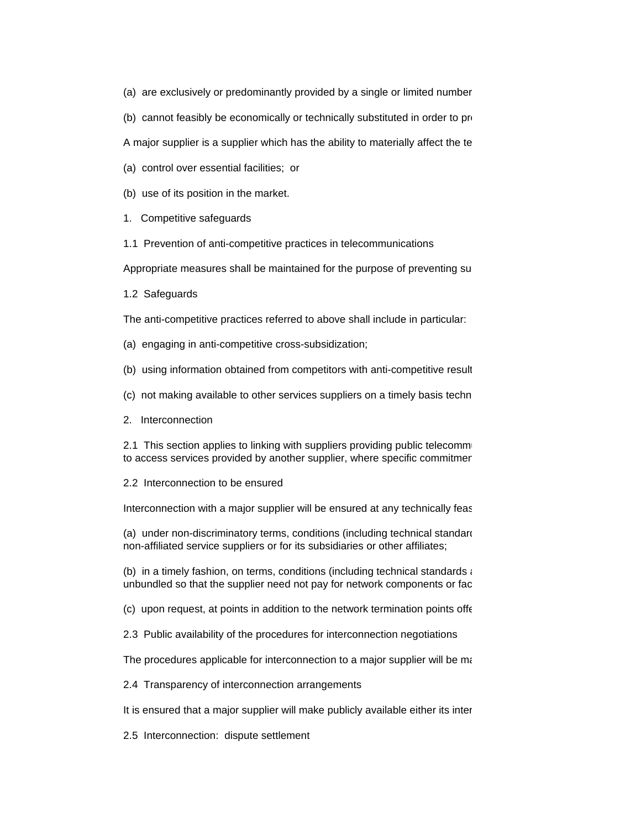(a) are exclusively or predominantly provided by a single or limited number

(b) cannot feasibly be economically or technically substituted in order to provide a service.

A major supplier is a supplier which has the ability to materially affect the te

- (a) control over essential facilities; or
- (b) use of its position in the market.
- 1. Competitive safeguards

1.1 Prevention of anti-competitive practices in telecommunications

Appropriate measures shall be maintained for the purpose of preventing suppliers who, alone or to the major su

1.2 Safeguards

The anti-competitive practices referred to above shall include in particular:

- (a) engaging in anti-competitive cross-subsidization;
- (b) using information obtained from competitors with anti-competitive result
- (c) not making available to other services suppliers on a timely basis technical facilities and commercially relevant information and commercially relevant information which are necessary for the metal serving serving serv
- 2. Interconnection

2.1 This section applies to linking with suppliers providing public telecommunications or services or  $\frac{1}{2}$ to access services provided by another supplier, where specific commitment

2.2 Interconnection to be ensured

Interconnection with a major supplier will be ensured at any technically feasition. Such interconnection with a

(a) under non-discriminatory terms, conditions (including technical standardigments) and a quality no less favour non-affiliated service suppliers or for its subsidiaries or other affiliates;

(b) in a timely fashion, on terms, conditions (including technical standards  $\epsilon$ unbundled so that the supplier need not pay for network components or facilities

(c) upon request, at points in addition to the network termination points offered to the majority of the construction of the construction of the construction of  $\epsilon$ 

2.3 Public availability of the procedures for interconnection negotiations

The procedures applicable for interconnection to a major supplier will be made

2.4 Transparency of interconnection arrangements

It is ensured that a major supplier will make publicly available either its inter

2.5 Interconnection: dispute settlement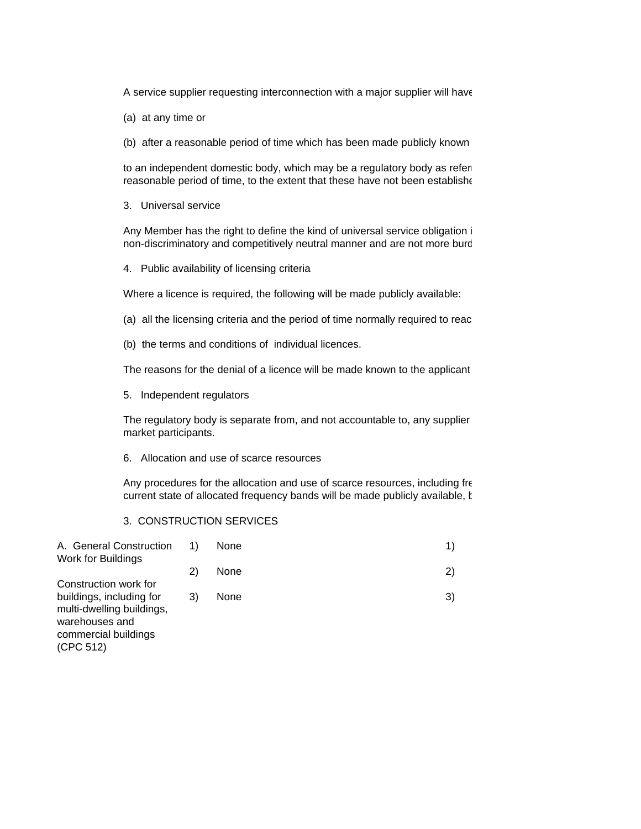A service supplier requesting interconnection with a major supplier will have

- (a) at any time or
- (b) after a reasonable period of time which has been made publicly known

to an independent domestic body, which may be a regulatory body as refered to an independent domestic body, which may be a regulatory body as refere reasonable period of time, to the extent that these have not been establishe

3. Universal service

Any Member has the right to define the kind of universal service obligation i non-discriminatory and competitively neutral manner and are not more burd

4. Public availability of licensing criteria

Where a licence is required, the following will be made publicly available:

- (a) all the licensing criteria and the period of time normally required to reac
- (b) the terms and conditions of individual licences.

The reasons for the denial of a licence will be made known to the applicant

5. Independent regulators

The regulatory body is separate from, and not accountable to, any supplier market participants.

6. Allocation and use of scarce resources

Any procedures for the allocation and use of scarce resources, including fre current state of allocated frequency bands will be made publicly available, t

3. CONSTRUCTION SERVICES

| 1) | None | 1) |
|----|------|----|
| 2) | None | 2) |
|    |      |    |
| 3) | None | 3) |
|    |      |    |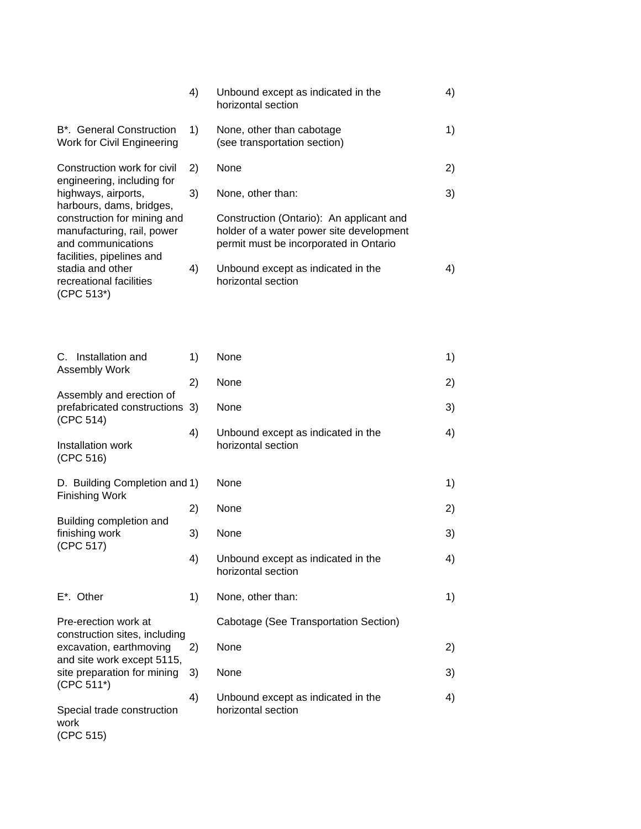|                                                                                                              | 4) | Unbound except as indicated in the<br>horizontal section                                                                       | 4) |
|--------------------------------------------------------------------------------------------------------------|----|--------------------------------------------------------------------------------------------------------------------------------|----|
| B <sup>*</sup> . General Construction<br>Work for Civil Engineering                                          | 1) | None, other than cabotage<br>(see transportation section)                                                                      | 1) |
| Construction work for civil<br>engineering, including for                                                    | 2) | None                                                                                                                           | 2) |
| highways, airports,<br>harbours, dams, bridges,                                                              | 3) | None, other than:                                                                                                              | 3) |
| construction for mining and<br>manufacturing, rail, power<br>and communications<br>facilities, pipelines and |    | Construction (Ontario): An applicant and<br>holder of a water power site development<br>permit must be incorporated in Ontario |    |
| stadia and other<br>recreational facilities<br>(CPC 513*)                                                    | 4) | Unbound except as indicated in the<br>horizontal section                                                                       | 4) |

| C. Installation and<br><b>Assembly Work</b>                          | 1) | None                                                     | 1) |
|----------------------------------------------------------------------|----|----------------------------------------------------------|----|
|                                                                      | 2) | None                                                     | 2) |
| Assembly and erection of<br>prefabricated constructions<br>(CPC 514) | 3) | None                                                     | 3) |
| Installation work<br>(CPC 516)                                       | 4) | Unbound except as indicated in the<br>horizontal section | 4) |
| D. Building Completion and 1)<br>Finishing Work                      |    | None                                                     | 1) |
|                                                                      | 2) | None                                                     | 2) |
| Building completion and<br>finishing work<br>(CPC 517)               | 3) | None                                                     | 3) |
|                                                                      | 4) | Unbound except as indicated in the<br>horizontal section | 4) |
| $E^*$ . Other                                                        | 1) | None, other than:                                        | 1) |
| Pre-erection work at<br>construction sites, including                |    | Cabotage (See Transportation Section)                    |    |
| excavation, earthmoving<br>and site work except 5115,                | 2) | None                                                     | 2) |
| site preparation for mining<br>(CPC 511*)                            | 3) | None                                                     | 3) |
| Special trade construction<br>work<br>(CPC 515)                      | 4) | Unbound except as indicated in the<br>horizontal section | 4) |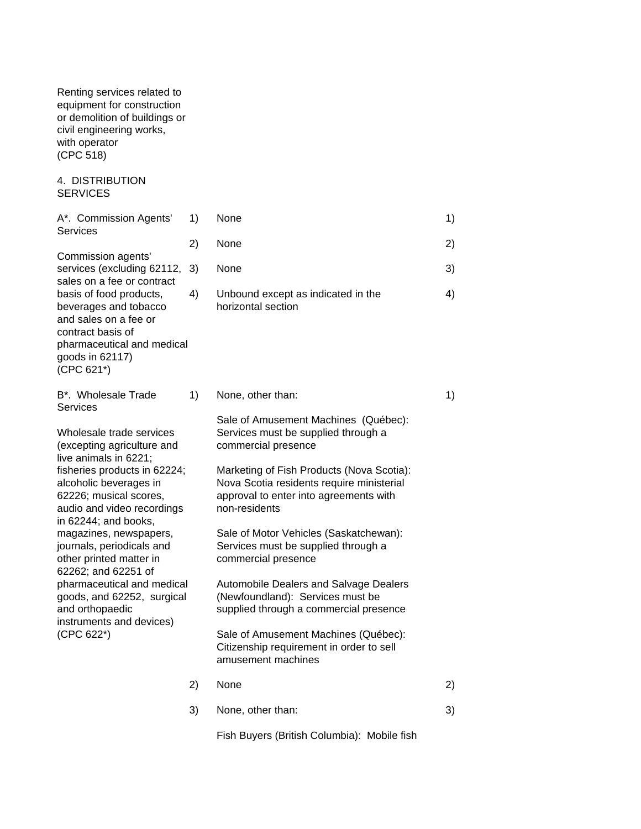Renting services related to equipment for construction or demolition of buildings or civil engineering works, with operator (CPC 518)

4. DISTRIBUTION SERVICES

| A*. Commission Agents'                                                                                                                                        | 1) | None                                                                                                                                              | 1) |
|---------------------------------------------------------------------------------------------------------------------------------------------------------------|----|---------------------------------------------------------------------------------------------------------------------------------------------------|----|
| Services                                                                                                                                                      | 2) | None                                                                                                                                              | 2) |
| Commission agents'<br>services (excluding 62112,<br>sales on a fee or contract                                                                                | 3) | None                                                                                                                                              | 3) |
| basis of food products,<br>beverages and tobacco<br>and sales on a fee or<br>contract basis of<br>pharmaceutical and medical<br>goods in 62117)<br>(CPC 621*) | 4) | Unbound except as indicated in the<br>horizontal section                                                                                          | 4) |
| B <sup>*</sup> . Wholesale Trade<br><b>Services</b>                                                                                                           | 1) | None, other than:                                                                                                                                 | 1) |
| Wholesale trade services<br>(excepting agriculture and<br>live animals in 6221;                                                                               |    | Sale of Amusement Machines (Québec):<br>Services must be supplied through a<br>commercial presence                                                |    |
| fisheries products in 62224;<br>alcoholic beverages in<br>62226; musical scores,<br>audio and video recordings<br>in 62244; and books,                        |    | Marketing of Fish Products (Nova Scotia):<br>Nova Scotia residents require ministerial<br>approval to enter into agreements with<br>non-residents |    |
| magazines, newspapers,<br>journals, periodicals and<br>other printed matter in<br>62262; and 62251 of                                                         |    | Sale of Motor Vehicles (Saskatchewan):<br>Services must be supplied through a<br>commercial presence                                              |    |
| pharmaceutical and medical<br>goods, and 62252, surgical<br>and orthopaedic<br>instruments and devices)<br>(CPC 622*)                                         |    | Automobile Dealers and Salvage Dealers<br>(Newfoundland): Services must be<br>supplied through a commercial presence                              |    |
|                                                                                                                                                               |    | Sale of Amusement Machines (Québec):<br>Citizenship requirement in order to sell<br>amusement machines                                            |    |
|                                                                                                                                                               | 2) | None                                                                                                                                              | 2) |
|                                                                                                                                                               | 3) | None, other than:                                                                                                                                 | 3) |
|                                                                                                                                                               |    | Fish Buyers (British Columbia): Mobile fish                                                                                                       |    |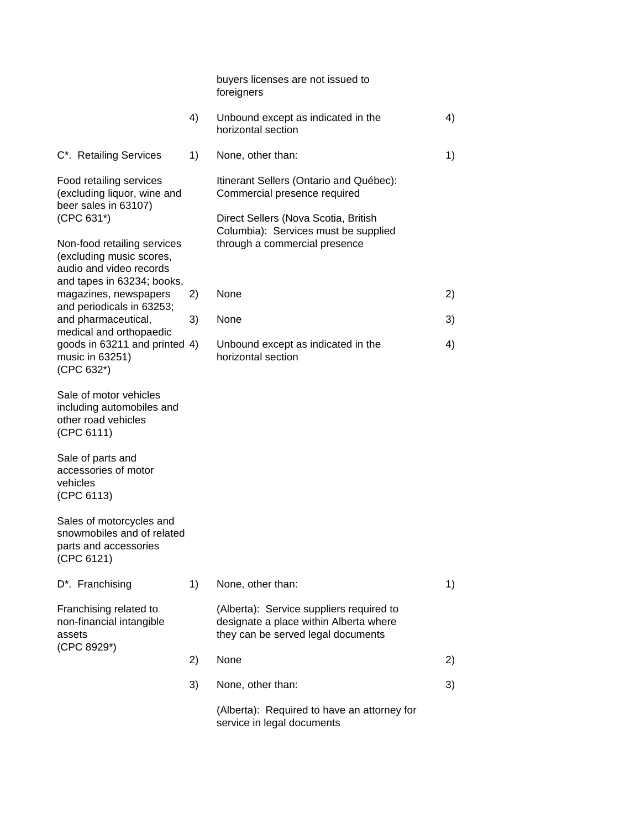|                                                                                                                  |    | buyers licenses are not issued to<br>foreigners                                                                          |    |
|------------------------------------------------------------------------------------------------------------------|----|--------------------------------------------------------------------------------------------------------------------------|----|
|                                                                                                                  | 4) | Unbound except as indicated in the<br>horizontal section                                                                 | 4) |
| C*. Retailing Services                                                                                           | 1) | None, other than:                                                                                                        | 1) |
| Food retailing services<br>(excluding liquor, wine and<br>beer sales in 63107)<br>(CPC 631*)                     |    | Itinerant Sellers (Ontario and Québec):<br>Commercial presence required<br>Direct Sellers (Nova Scotia, British          |    |
| Non-food retailing services<br>(excluding music scores,<br>audio and video records<br>and tapes in 63234; books, |    | Columbia): Services must be supplied<br>through a commercial presence                                                    |    |
| magazines, newspapers<br>and periodicals in 63253;                                                               | 2) | None                                                                                                                     | 2) |
| and pharmaceutical,                                                                                              | 3) | None                                                                                                                     | 3) |
| medical and orthopaedic<br>goods in 63211 and printed 4)<br>music in 63251)<br>(CPC 632*)                        |    | Unbound except as indicated in the<br>horizontal section                                                                 | 4) |
| Sale of motor vehicles<br>including automobiles and<br>other road vehicles<br>(CPC 6111)                         |    |                                                                                                                          |    |
| Sale of parts and<br>accessories of motor<br>vehicles<br>(CPC 6113)                                              |    |                                                                                                                          |    |
| Sales of motorcycles and<br>snowmobiles and of related<br>parts and accessories<br>(CPC 6121)                    |    |                                                                                                                          |    |
| D*. Franchising                                                                                                  | 1) | None, other than:                                                                                                        | 1) |
| Franchising related to<br>non-financial intangible<br>assets                                                     |    | (Alberta): Service suppliers required to<br>designate a place within Alberta where<br>they can be served legal documents |    |
| (CPC 8929*)                                                                                                      | 2) | None                                                                                                                     | 2) |
|                                                                                                                  | 3) | None, other than:                                                                                                        | 3) |
|                                                                                                                  |    | (Alberta): Required to have an attorney for<br>service in legal documents                                                |    |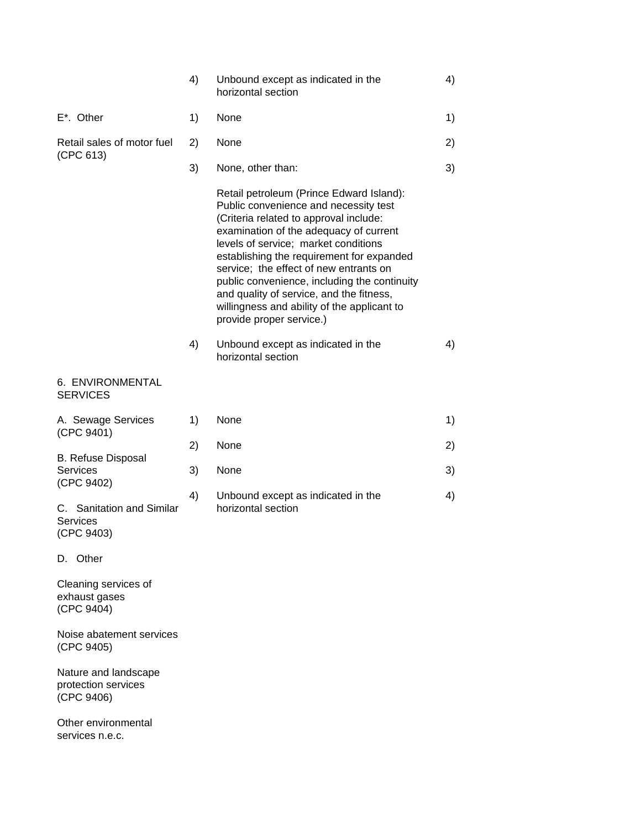|                                                            | 4) | Unbound except as indicated in the<br>horizontal section                                                                                                                                                                                                                                                                                                                                                                                                                    | 4) |
|------------------------------------------------------------|----|-----------------------------------------------------------------------------------------------------------------------------------------------------------------------------------------------------------------------------------------------------------------------------------------------------------------------------------------------------------------------------------------------------------------------------------------------------------------------------|----|
| $E^*$ . Other                                              | 1) | None                                                                                                                                                                                                                                                                                                                                                                                                                                                                        | 1) |
| Retail sales of motor fuel                                 | 2) | None                                                                                                                                                                                                                                                                                                                                                                                                                                                                        | 2) |
| (CPC 613)                                                  | 3) | None, other than:                                                                                                                                                                                                                                                                                                                                                                                                                                                           | 3) |
|                                                            |    | Retail petroleum (Prince Edward Island):<br>Public convenience and necessity test<br>(Criteria related to approval include:<br>examination of the adequacy of current<br>levels of service; market conditions<br>establishing the requirement for expanded<br>service; the effect of new entrants on<br>public convenience, including the continuity<br>and quality of service, and the fitness,<br>willingness and ability of the applicant to<br>provide proper service.) |    |
|                                                            | 4) | Unbound except as indicated in the<br>horizontal section                                                                                                                                                                                                                                                                                                                                                                                                                    | 4) |
| 6. ENVIRONMENTAL<br><b>SERVICES</b>                        |    |                                                                                                                                                                                                                                                                                                                                                                                                                                                                             |    |
| A. Sewage Services<br>(CPC 9401)                           | 1) | None                                                                                                                                                                                                                                                                                                                                                                                                                                                                        | 1) |
|                                                            | 2) | None                                                                                                                                                                                                                                                                                                                                                                                                                                                                        | 2) |
| <b>B. Refuse Disposal</b><br><b>Services</b><br>(CPC 9402) | 3) | None                                                                                                                                                                                                                                                                                                                                                                                                                                                                        | 3) |
| C. Sanitation and Similar<br><b>Services</b><br>(CPC 9403) | 4) | Unbound except as indicated in the<br>horizontal section                                                                                                                                                                                                                                                                                                                                                                                                                    | 4) |
| D. Other                                                   |    |                                                                                                                                                                                                                                                                                                                                                                                                                                                                             |    |
| Cleaning services of<br>exhaust gases<br>(CPC 9404)        |    |                                                                                                                                                                                                                                                                                                                                                                                                                                                                             |    |
| Noise abatement services<br>(CPC 9405)                     |    |                                                                                                                                                                                                                                                                                                                                                                                                                                                                             |    |
| Nature and landscape<br>protection services<br>(CPC 9406)  |    |                                                                                                                                                                                                                                                                                                                                                                                                                                                                             |    |
| Other environmental<br>services n.e.c.                     |    |                                                                                                                                                                                                                                                                                                                                                                                                                                                                             |    |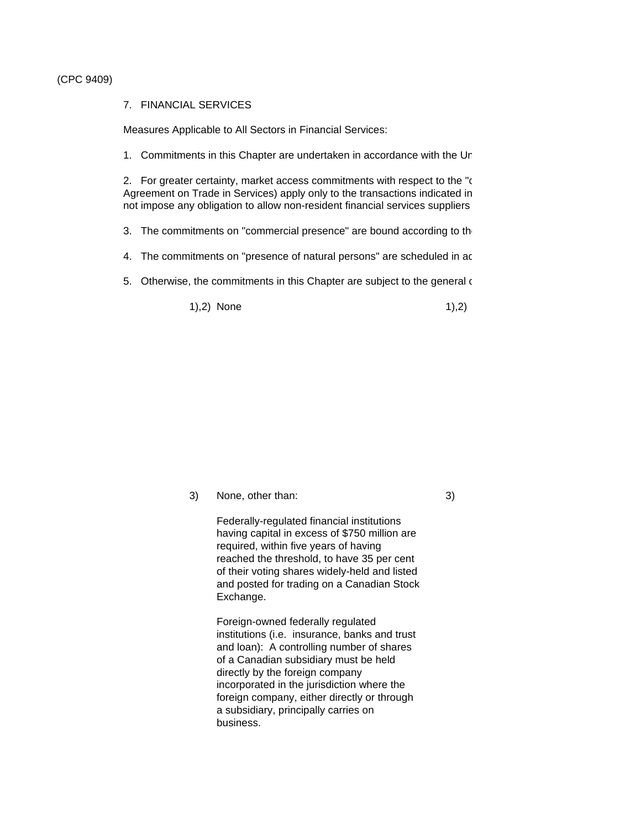#### (CPC 9409)

#### 7. FINANCIAL SERVICES

Measures Applicable to All Sectors in Financial Services:

1. Commitments in this Chapter are undertaken in accordance with the Un

2. For greater certainty, market access commitments with respect to the "c Agreement on Trade in Services) apply only to the transactions indicated in not impose any obligation to allow non-resident financial services suppliers

- 3. The commitments on "commercial presence" are bound according to the
- 4. The commitments on "presence of natural persons" are scheduled in ac
- 5. Otherwise, the commitments in this Chapter are subject to the general  $\epsilon$

1),2) None 1),2)

3) None, other than: 3)

Federally-regulated financial institutions having capital in excess of \$750 million are required, within five years of having reached the threshold, to have 35 per cent of their voting shares widely-held and listed and posted for trading on a Canadian Stock Exchange.

Foreign-owned federally regulated institutions (i.e. insurance, banks and trust and loan): A controlling number of shares of a Canadian subsidiary must be held directly by the foreign company incorporated in the jurisdiction where the foreign company, either directly or through a subsidiary, principally carries on business.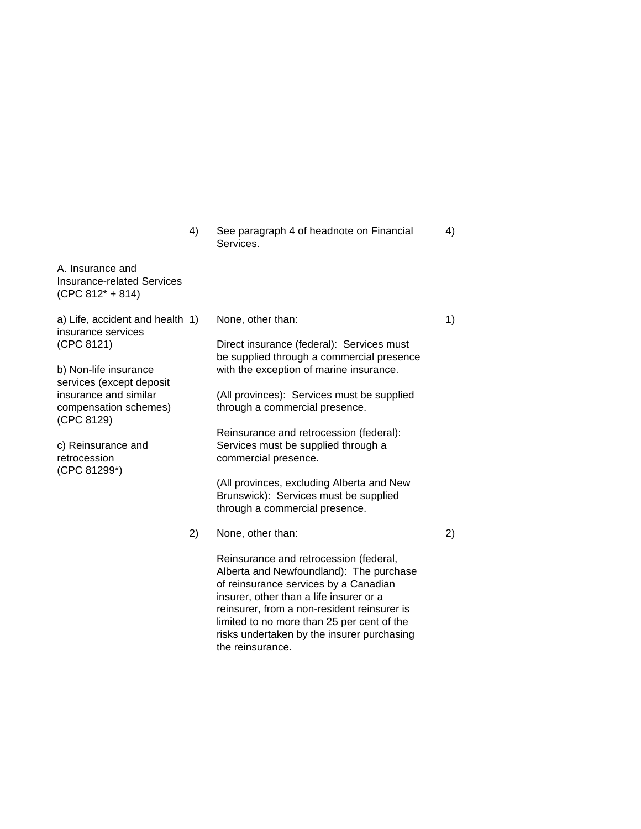4) See paragraph 4 of headnote on Financial 4) Services.

A. Insurance and Insurance-related Services (CPC 812\* + 814)

a) Life, accident and health 1) None, other than: 1 (1) 1) insurance services (CPC 8121) Direct insurance (federal): Services must be supplied through a commercial presence b) Non-life insurance with the exception of marine insurance. services (except deposit insurance and similar (All provinces): Services must be supplied compensation schemes) through a commercial presence. (CPC 8129) Reinsurance and retrocession (federal): c) Reinsurance and Services must be supplied through a retrocession commercial presence. (CPC 81299\*) (All provinces, excluding Alberta and New Brunswick): Services must be supplied through a commercial presence. 2) None, other than: 2) Reinsurance and retrocession (federal, Alberta and Newfoundland): The purchase of reinsurance services by a Canadian insurer, other than a life insurer or a reinsurer, from a non-resident reinsurer is limited to no more than 25 per cent of the risks undertaken by the insurer purchasing

the reinsurance.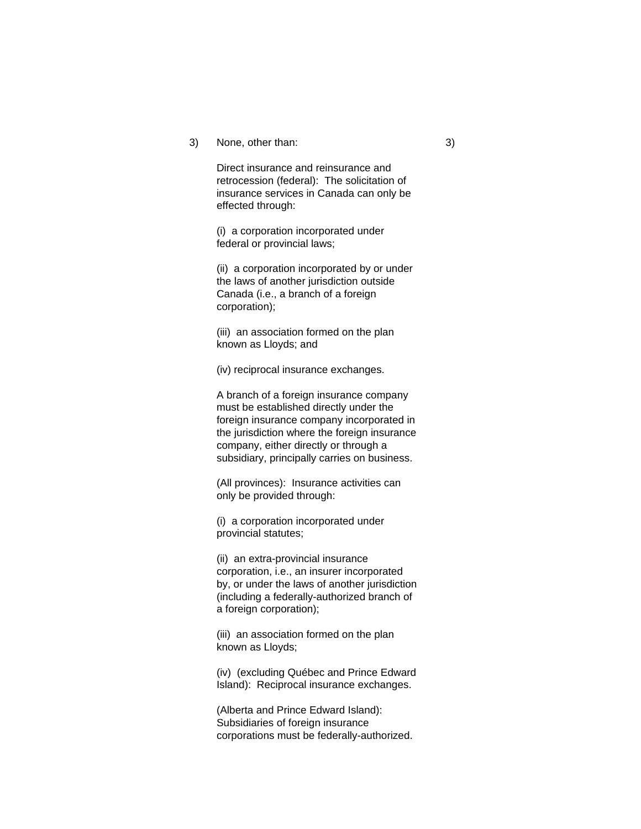#### 3) None, other than: 3)

Direct insurance and reinsurance and retrocession (federal): The solicitation of insurance services in Canada can only be effected through:

(i) a corporation incorporated under federal or provincial laws;

(ii) a corporation incorporated by or under the laws of another jurisdiction outside Canada (i.e., a branch of a foreign corporation);

(iii) an association formed on the plan known as Lloyds; and

(iv) reciprocal insurance exchanges.

A branch of a foreign insurance company must be established directly under the foreign insurance company incorporated in the jurisdiction where the foreign insurance company, either directly or through a subsidiary, principally carries on business.

(All provinces): Insurance activities can only be provided through:

(i) a corporation incorporated under provincial statutes;

(ii) an extra-provincial insurance corporation, i.e., an insurer incorporated by, or under the laws of another jurisdiction (including a federally-authorized branch of a foreign corporation);

(iii) an association formed on the plan known as Lloyds;

(iv) (excluding Québec and Prince Edward Island): Reciprocal insurance exchanges.

(Alberta and Prince Edward Island): Subsidiaries of foreign insurance corporations must be federally-authorized.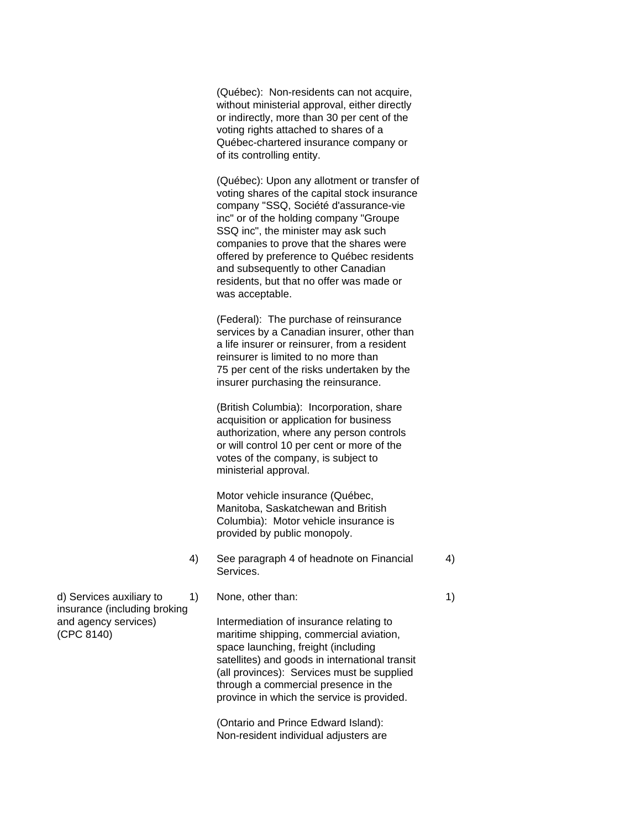(Québec): Non-residents can not acquire, without ministerial approval, either directly or indirectly, more than 30 per cent of the voting rights attached to shares of a Québec-chartered insurance company or of its controlling entity.

(Québec): Upon any allotment or transfer of voting shares of the capital stock insurance company "SSQ, Société d'assurance-vie inc" or of the holding company "Groupe SSQ inc", the minister may ask such companies to prove that the shares were offered by preference to Québec residents and subsequently to other Canadian residents, but that no offer was made or was acceptable.

(Federal): The purchase of reinsurance services by a Canadian insurer, other than a life insurer or reinsurer, from a resident reinsurer is limited to no more than 75 per cent of the risks undertaken by the insurer purchasing the reinsurance.

(British Columbia): Incorporation, share acquisition or application for business authorization, where any person controls or will control 10 per cent or more of the votes of the company, is subject to ministerial approval.

Motor vehicle insurance (Québec, Manitoba, Saskatchewan and British Columbia): Motor vehicle insurance is provided by public monopoly.

- 4) See paragraph 4 of headnote on Financial 4) Services.
- d) Services auxiliary to  $1)$  None, other than:  $1)$

and agency services) Intermediation of insurance relating to (CPC 8140) maritime shipping, commercial aviation, space launching, freight (including satellites) and goods in international transit (all provinces): Services must be supplied through a commercial presence in the province in which the service is provided.

> (Ontario and Prince Edward Island): Non-resident individual adjusters are

insurance (including broking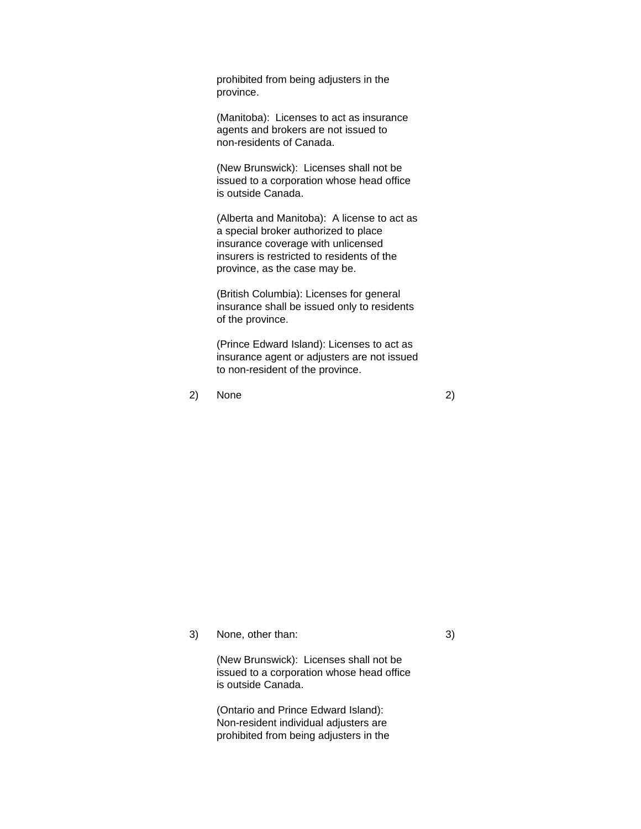prohibited from being adjusters in the province.

(Manitoba): Licenses to act as insurance agents and brokers are not issued to non-residents of Canada.

(New Brunswick): Licenses shall not be issued to a corporation whose head office is outside Canada.

(Alberta and Manitoba): A license to act as a special broker authorized to place insurance coverage with unlicensed insurers is restricted to residents of the province, as the case may be.

(British Columbia): Licenses for general insurance shall be issued only to residents of the province.

(Prince Edward Island): Licenses to act as insurance agent or adjusters are not issued to non-resident of the province.

2) None 2)

3) None, other than: 3)

(New Brunswick): Licenses shall not be issued to a corporation whose head office is outside Canada.

(Ontario and Prince Edward Island): Non-resident individual adjusters are prohibited from being adjusters in the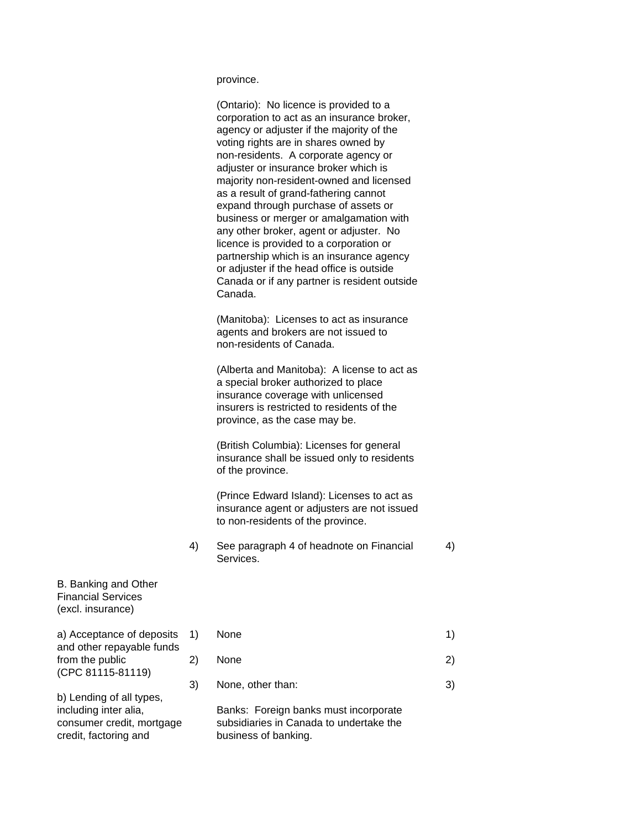province.

(Ontario): No licence is provided to a corporation to act as an insurance broker, agency or adjuster if the majority of the voting rights are in shares owned by non-residents. A corporate agency or adjuster or insurance broker which is majority non-resident-owned and licensed as a result of grand-fathering cannot expand through purchase of assets or business or merger or amalgamation with any other broker, agent or adjuster. No licence is provided to a corporation or partnership which is an insurance agency or adjuster if the head office is outside Canada or if any partner is resident outside Canada.

(Manitoba): Licenses to act as insurance agents and brokers are not issued to non-residents of Canada.

(Alberta and Manitoba): A license to act as a special broker authorized to place insurance coverage with unlicensed insurers is restricted to residents of the province, as the case may be.

(British Columbia): Licenses for general insurance shall be issued only to residents of the province.

(Prince Edward Island): Licenses to act as insurance agent or adjusters are not issued to non-residents of the province.

4) See paragraph 4 of headnote on Financial 4) Services.

B. Banking and Other Financial Services (excl. insurance)

a) Acceptance of deposits  $1$ ) and other repayable funds from the public 2) (CPC 81115-81119)

b) Lending of all types, credit, factoring and business of banking.

| 1) | None              |  |
|----|-------------------|--|
| 2) | None              |  |
| 3) | None, other than: |  |

including inter alia, Banks: Foreign banks must incorporate consumer credit, mortgage subsidiaries in Canada to undertake the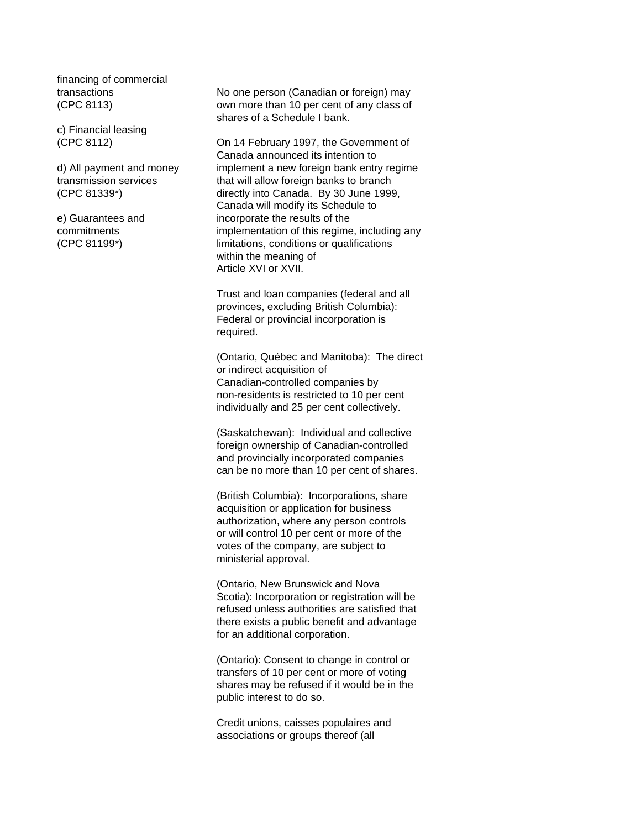financing of commercial

c) Financial leasing

transactions No one person (Canadian or foreign) may (CPC 8113) own more than 10 per cent of any class of shares of a Schedule I bank.

(CPC 8112) On 14 February 1997, the Government of Canada announced its intention to d) All payment and money implement a new foreign bank entry regime transmission services that will allow foreign banks to branch (CPC 81339\*) directly into Canada. By 30 June 1999, Canada will modify its Schedule to e) Guarantees and incorporate the results of the commitments implementation of this regime, including any (CPC 81199\*) limitations, conditions or qualifications within the meaning of Article XVI or XVII.

> Trust and loan companies (federal and all provinces, excluding British Columbia): Federal or provincial incorporation is required.

(Ontario, Québec and Manitoba): The direct or indirect acquisition of Canadian-controlled companies by non-residents is restricted to 10 per cent individually and 25 per cent collectively.

(Saskatchewan): Individual and collective foreign ownership of Canadian-controlled and provincially incorporated companies can be no more than 10 per cent of shares.

(British Columbia): Incorporations, share acquisition or application for business authorization, where any person controls or will control 10 per cent or more of the votes of the company, are subject to ministerial approval.

(Ontario, New Brunswick and Nova Scotia): Incorporation or registration will be refused unless authorities are satisfied that there exists a public benefit and advantage for an additional corporation.

(Ontario): Consent to change in control or transfers of 10 per cent or more of voting shares may be refused if it would be in the public interest to do so.

Credit unions, caisses populaires and associations or groups thereof (all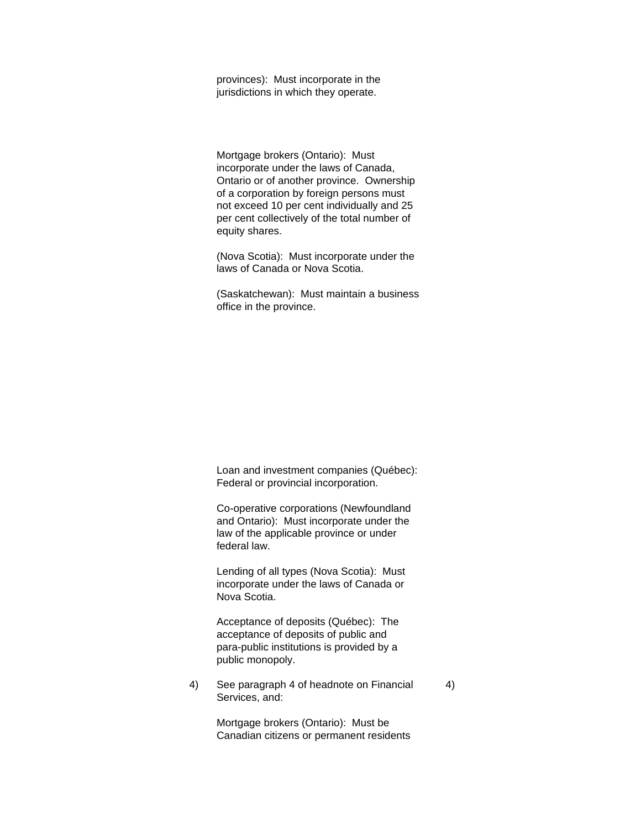provinces): Must incorporate in the jurisdictions in which they operate.

Mortgage brokers (Ontario): Must incorporate under the laws of Canada, Ontario or of another province. Ownership of a corporation by foreign persons must not exceed 10 per cent individually and 25 per cent collectively of the total number of equity shares.

(Nova Scotia): Must incorporate under the laws of Canada or Nova Scotia.

(Saskatchewan): Must maintain a business office in the province.

Loan and investment companies (Québec): Federal or provincial incorporation.

Co-operative corporations (Newfoundland and Ontario): Must incorporate under the law of the applicable province or under federal law.

Lending of all types (Nova Scotia): Must incorporate under the laws of Canada or Nova Scotia.

Acceptance of deposits (Québec): The acceptance of deposits of public and para-public institutions is provided by a public monopoly.

4) See paragraph 4 of headnote on Financial 4) Services, and:

> Mortgage brokers (Ontario): Must be Canadian citizens or permanent residents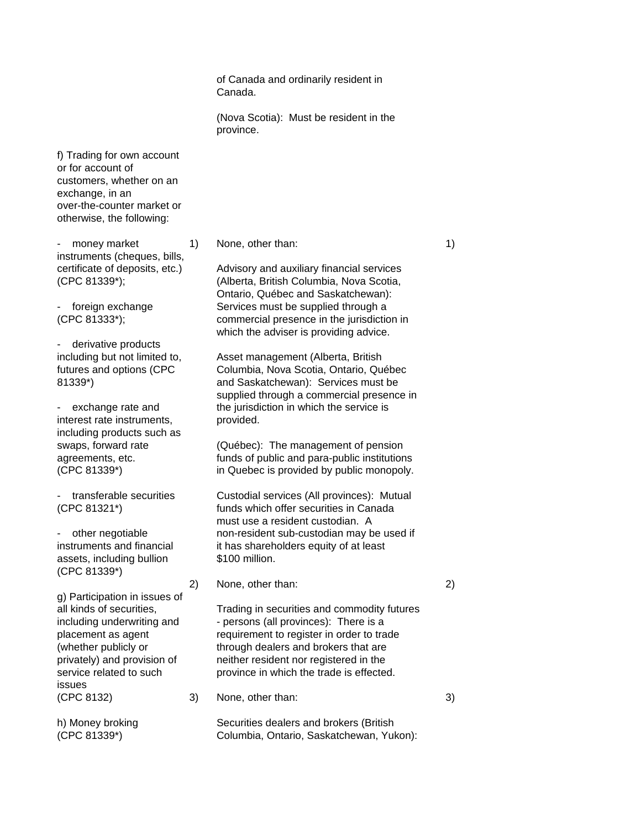of Canada and ordinarily resident in Canada.

(Nova Scotia): Must be resident in the province.

f) Trading for own account or for account of customers, whether on an exchange, in an over-the-counter market or otherwise, the following:

- money market 1) None, other than: 1) 1) instruments (cheques, bills,

- derivative products

interest rate instruments, provided. including products such as

assets, including bullion \$100 million. (CPC 81339\*)

g) Participation in issues of issues (CPC 8132) 3) None, other than: 3)

certificate of deposits, etc.) Advisory and auxiliary financial services (CPC 81339\*); (Alberta, British Columbia, Nova Scotia, Ontario, Québec and Saskatchewan): - foreign exchange Services must be supplied through a (CPC 81333\*); commercial presence in the jurisdiction in which the adviser is providing advice.

including but not limited to, Asset management (Alberta, British futures and options (CPC Columbia, Nova Scotia, Ontario, Ouébec 81339\*) and Saskatchewan): Services must be supplied through a commercial presence in exchange rate and the jurisdiction in which the service is

swaps, forward rate (Québec): The management of pension agreements, etc. funds of public and para-public institutions (CPC 81339\*) in Quebec is provided by public monopoly.

transferable securities Custodial services (All provinces): Mutual (CPC 81321\*) funds which offer securities in Canada must use a resident custodian. A - other negotiable non-resident sub-custodian may be used if instruments and financial it has shareholders equity of at least

2) None, other than: 2)

all kinds of securities, Trading in securities and commodity futures including underwriting and - persons (all provinces): There is a placement as agent requirement to register in order to trade (whether publicly or through dealers and brokers that are privately) and provision of neither resident nor registered in the service related to such province in which the trade is effected.

h) Money broking Securities dealers and brokers (British (CPC 81339\*) Columbia, Ontario, Saskatchewan, Yukon):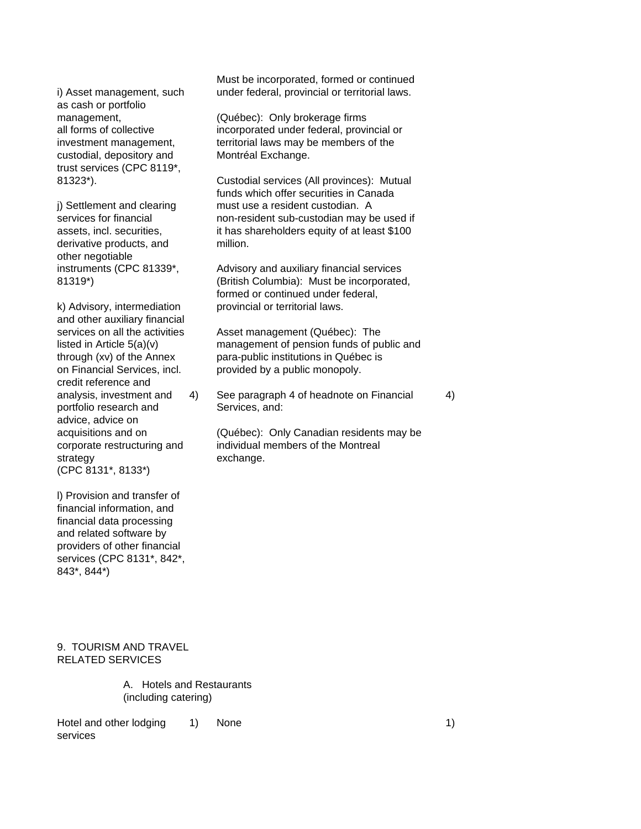as cash or portfolio custodial, depository and Montréal Exchange. trust services (CPC 8119\*,

derivative products, and million. other negotiable

and other auxiliary financial credit reference and portfolio research and Services, and: advice, advice on strategy exchange. (CPC 8131\*, 8133\*)

l) Provision and transfer of financial information, and financial data processing and related software by providers of other financial services (CPC 8131\*, 842\*, 843\*, 844\*)

Must be incorporated, formed or continued i) Asset management, such under federal, provincial or territorial laws.

management, (Québec): Only brokerage firms all forms of collective incorporated under federal, provincial or investment management, territorial laws may be members of the

81323\*). Custodial services (All provinces): Mutual funds which offer securities in Canada j) Settlement and clearing must use a resident custodian. A services for financial non-resident sub-custodian may be used if assets, incl. securities, it has shareholders equity of at least \$100

instruments (CPC 81339\*, Advisory and auxiliary financial services 81319\*) (British Columbia): Must be incorporated, formed or continued under federal, k) Advisory, intermediation provincial or territorial laws.

services on all the activities Asset management (Québec): The listed in Article 5(a)(v) management of pension funds of public and through (xv) of the Annex para-public institutions in Québec is on Financial Services, incl. provided by a public monopoly.

analysis, investment and 4) See paragraph 4 of headnote on Financial 4)

acquisitions and on (Québec): Only Canadian residents may be corporate restructuring and individual members of the Montreal

## 9. TOURISM AND TRAVEL RELATED SERVICES

A. Hotels and Restaurants (including catering)

Hotel and other lodging 1) None 1) services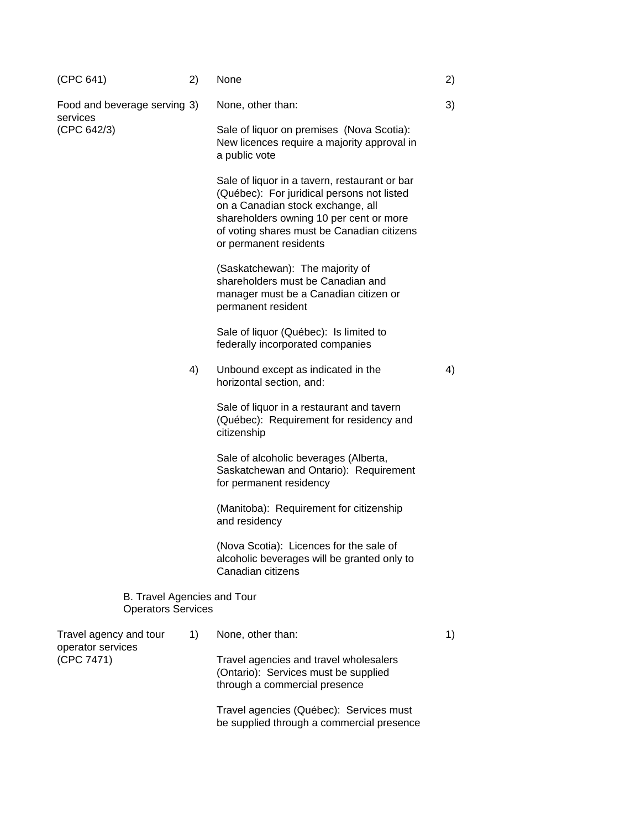| (CPC 641)                                                | 2) | None                                                                                                                                                                                                                                                | 2) |
|----------------------------------------------------------|----|-----------------------------------------------------------------------------------------------------------------------------------------------------------------------------------------------------------------------------------------------------|----|
| Food and beverage serving 3)<br>services                 |    | None, other than:                                                                                                                                                                                                                                   | 3) |
| (CPC 642/3)                                              |    | Sale of liquor on premises (Nova Scotia):<br>New licences require a majority approval in<br>a public vote                                                                                                                                           |    |
|                                                          |    | Sale of liquor in a tavern, restaurant or bar<br>(Québec): For juridical persons not listed<br>on a Canadian stock exchange, all<br>shareholders owning 10 per cent or more<br>of voting shares must be Canadian citizens<br>or permanent residents |    |
|                                                          |    | (Saskatchewan): The majority of<br>shareholders must be Canadian and<br>manager must be a Canadian citizen or<br>permanent resident                                                                                                                 |    |
|                                                          |    | Sale of liquor (Québec): Is limited to<br>federally incorporated companies                                                                                                                                                                          |    |
|                                                          | 4) | Unbound except as indicated in the<br>horizontal section, and:                                                                                                                                                                                      | 4) |
|                                                          |    | Sale of liquor in a restaurant and tavern<br>(Québec): Requirement for residency and<br>citizenship                                                                                                                                                 |    |
|                                                          |    | Sale of alcoholic beverages (Alberta,<br>Saskatchewan and Ontario): Requirement<br>for permanent residency                                                                                                                                          |    |
|                                                          |    | (Manitoba): Requirement for citizenship<br>and residency                                                                                                                                                                                            |    |
|                                                          |    | (Nova Scotia): Licences for the sale of<br>alcoholic beverages will be granted only to<br>Canadian citizens                                                                                                                                         |    |
| B. Travel Agencies and Tour<br><b>Operators Services</b> |    |                                                                                                                                                                                                                                                     |    |
| Travel agency and tour<br>operator services              | 1) | None, other than:                                                                                                                                                                                                                                   | 1) |
| (CPC 7471)                                               |    | Travel agencies and travel wholesalers<br>(Ontario): Services must be supplied<br>through a commercial presence                                                                                                                                     |    |
|                                                          |    | Travel agencies (Québec): Services must                                                                                                                                                                                                             |    |

be supplied through a commercial presence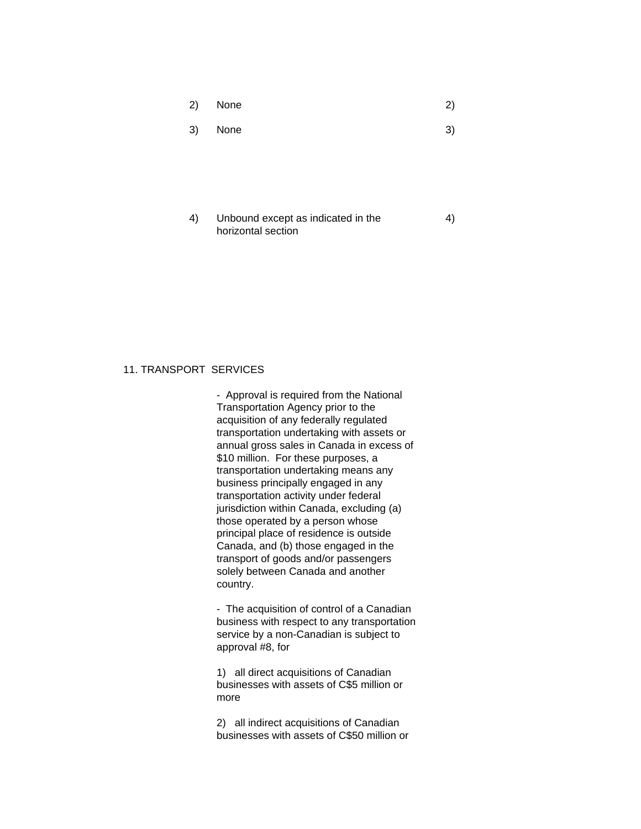| 2) | None |  | 2) |  |
|----|------|--|----|--|
|----|------|--|----|--|

 $3)$  None  $3)$ 

4) Unbound except as indicated in the 4) horizontal section

# 11. TRANSPORT SERVICES

- Approval is required from the National Transportation Agency prior to the acquisition of any federally regulated transportation undertaking with assets or annual gross sales in Canada in excess of \$10 million. For these purposes, a transportation undertaking means any business principally engaged in any transportation activity under federal jurisdiction within Canada, excluding (a) those operated by a person whose principal place of residence is outside Canada, and (b) those engaged in the transport of goods and/or passengers solely between Canada and another country.

- The acquisition of control of a Canadian business with respect to any transportation service by a non-Canadian is subject to approval #8, for

1) all direct acquisitions of Canadian businesses with assets of C\$5 million or more

2) all indirect acquisitions of Canadian businesses with assets of C\$50 million or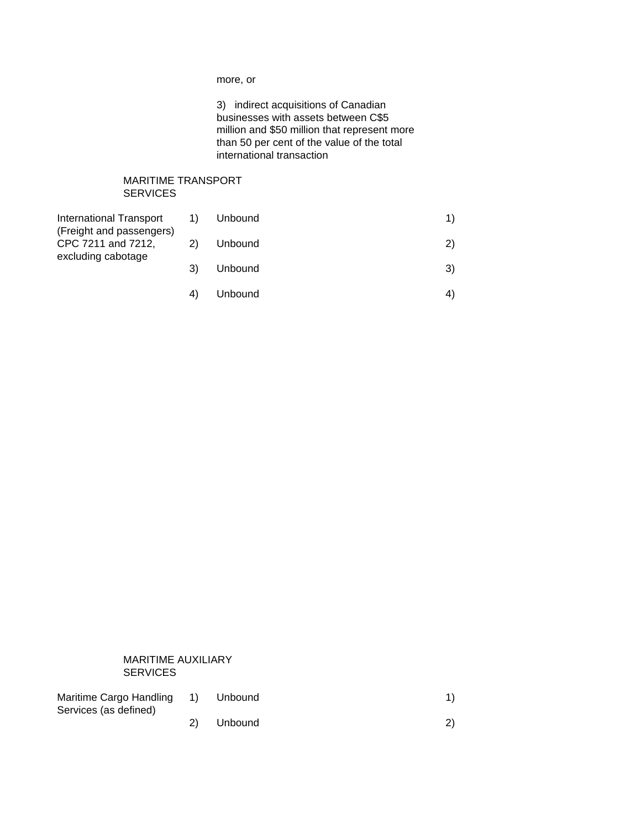more, or

3) indirect acquisitions of Canadian businesses with assets between C\$5 million and \$50 million that represent more than 50 per cent of the value of the total international transaction

## MARITIME TRANSPORT **SERVICES**

| <b>International Transport</b><br>(Freight and passengers)<br>CPC 7211 and 7212,<br>excluding cabotage | 1) | Unbound | 1) |
|--------------------------------------------------------------------------------------------------------|----|---------|----|
|                                                                                                        |    | Unbound | 2) |
|                                                                                                        | 3) | Unbound | 3) |
|                                                                                                        |    | Unbound |    |

## MARITIME AUXILIARY SERVICES

| Maritime Cargo Handling 1) | Unbound |  |
|----------------------------|---------|--|
| Services (as defined)      |         |  |
|                            | Unbound |  |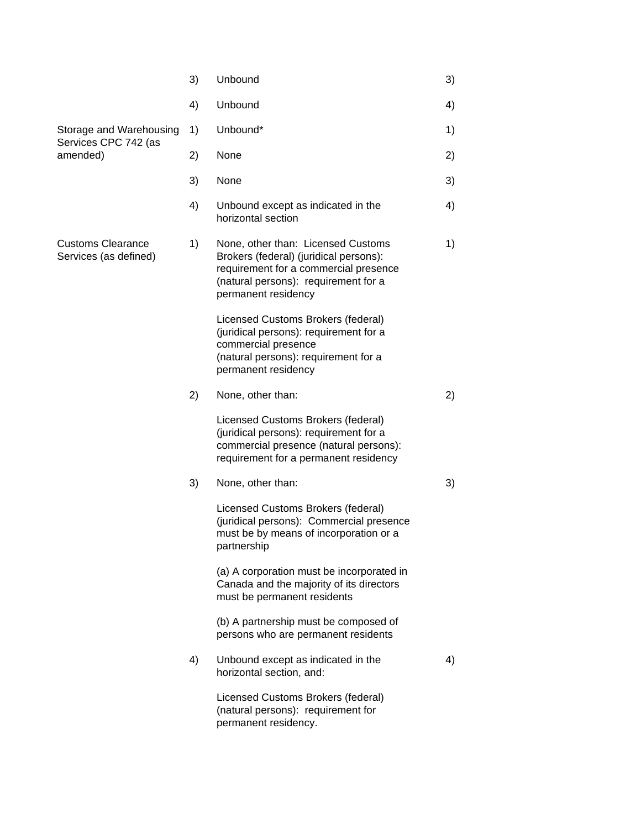|                                                             | 3) | Unbound                                                                                                                                                                              | 3) |
|-------------------------------------------------------------|----|--------------------------------------------------------------------------------------------------------------------------------------------------------------------------------------|----|
|                                                             | 4) | Unbound                                                                                                                                                                              | 4) |
| Storage and Warehousing<br>Services CPC 742 (as<br>amended) | 1) | Unbound*                                                                                                                                                                             | 1) |
|                                                             | 2) | None                                                                                                                                                                                 | 2) |
|                                                             | 3) | None                                                                                                                                                                                 | 3) |
|                                                             | 4) | Unbound except as indicated in the<br>horizontal section                                                                                                                             | 4) |
| <b>Customs Clearance</b><br>Services (as defined)           | 1) | None, other than: Licensed Customs<br>Brokers (federal) (juridical persons):<br>requirement for a commercial presence<br>(natural persons): requirement for a<br>permanent residency | 1) |
|                                                             |    | Licensed Customs Brokers (federal)<br>(juridical persons): requirement for a<br>commercial presence<br>(natural persons): requirement for a<br>permanent residency                   |    |
|                                                             | 2) | None, other than:                                                                                                                                                                    | 2) |
|                                                             |    | Licensed Customs Brokers (federal)<br>(juridical persons): requirement for a<br>commercial presence (natural persons):<br>requirement for a permanent residency                      |    |
|                                                             | 3) | None, other than:                                                                                                                                                                    | 3) |
|                                                             |    | Licensed Customs Brokers (federal)<br>(juridical persons): Commercial presence<br>must be by means of incorporation or a<br>partnership                                              |    |
|                                                             |    | (a) A corporation must be incorporated in<br>Canada and the majority of its directors<br>must be permanent residents                                                                 |    |
|                                                             |    | (b) A partnership must be composed of<br>persons who are permanent residents                                                                                                         |    |
|                                                             | 4) | Unbound except as indicated in the<br>horizontal section, and:                                                                                                                       | 4) |
|                                                             |    | Licensed Customs Brokers (federal)<br>(natural persons): requirement for<br>permanent residency.                                                                                     |    |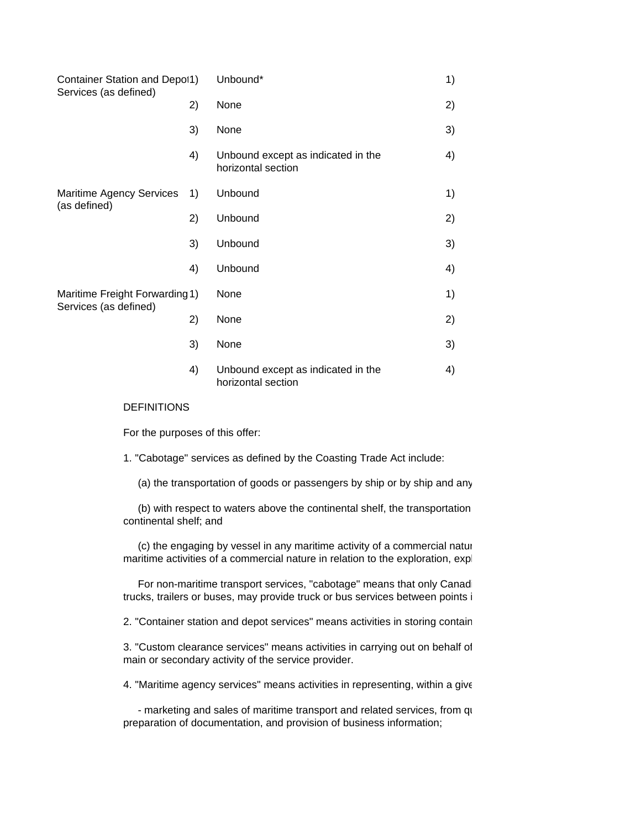| Container Station and Depot1)                           |    | Unbound*                                                 | 1) |
|---------------------------------------------------------|----|----------------------------------------------------------|----|
| Services (as defined)                                   | 2) | None                                                     | 2) |
|                                                         | 3) | None                                                     | 3) |
|                                                         | 4) | Unbound except as indicated in the<br>horizontal section | 4) |
| <b>Maritime Agency Services</b><br>(as defined)         | 1) | Unbound                                                  | 1) |
|                                                         | 2) | Unbound                                                  | 2) |
|                                                         | 3) | Unbound                                                  | 3) |
|                                                         | 4) | Unbound                                                  | 4) |
| Maritime Freight Forwarding 1)<br>Services (as defined) |    | None                                                     | 1) |
|                                                         | 2) | None                                                     | 2) |
|                                                         | 3) | None                                                     | 3) |
|                                                         | 4) | Unbound except as indicated in the<br>horizontal section | 4) |

## DEFINITIONS

For the purposes of this offer:

1. "Cabotage" services as defined by the Coasting Trade Act include:

(a) the transportation of goods or passengers by ship or by ship and any

(b) with respect to waters above the continental shelf, the transportation continental shelf; and

(c) the engaging by vessel in any maritime activity of a commercial nature maritime activities of a commercial nature in relation to the exploration, expl

For non-maritime transport services, "cabotage" means that only Canadiantrucks, trailers or buses, may provide truck or bus services between points i

2. "Container station and depot services" means activities in storing contain

3. "Custom clearance services" means activities in carrying out on behalf of main or secondary activity of the service provider.

4. "Maritime agency services" means activities in representing, within a give

- marketing and sales of maritime transport and related services, from quotation to involve of the companies; and related services, and related on  $q_1$ preparation of documentation, and provision of business information;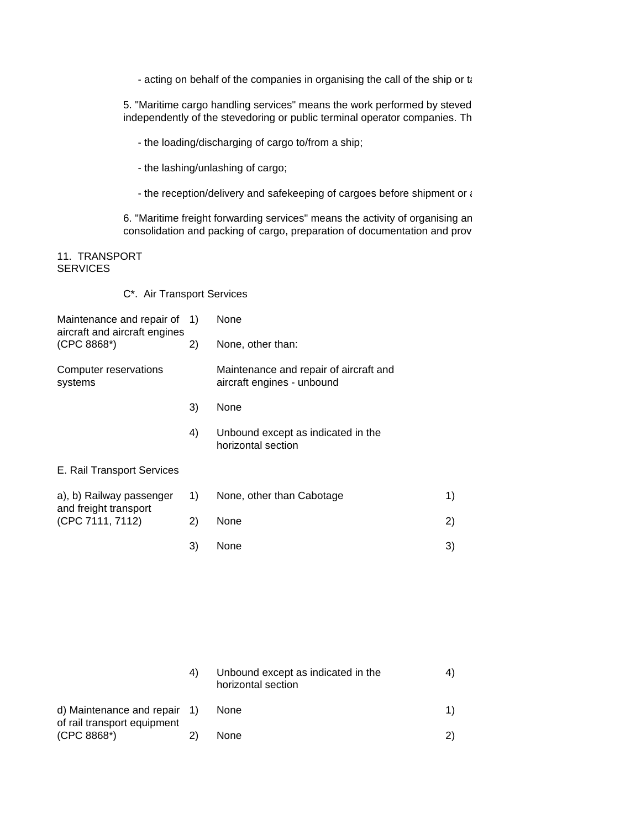- acting on behalf of the companies in organising the call of the ship or ta

5. "Maritime cargo handling services" means the work performed by steved independently of the stevedoring or public terminal operator companies. Th

- the loading/discharging of cargo to/from a ship;

- the lashing/unlashing of cargo;
- the reception/delivery and safekeeping of cargoes before shipment or  $\epsilon$

6. "Maritime freight forwarding services" means the activity of organising an consolidation and packing of cargo, preparation of documentation and prov

## 11. TRANSPORT **SERVICES**

C\*. Air Transport Services

| Maintenance and repair of 1)<br>aircraft and aircraft engines<br>(CPC 8868*) |    | None                                                                 |    |
|------------------------------------------------------------------------------|----|----------------------------------------------------------------------|----|
|                                                                              | 2) | None, other than:                                                    |    |
| Computer reservations<br>systems                                             |    | Maintenance and repair of aircraft and<br>aircraft engines - unbound |    |
|                                                                              | 3) | None                                                                 |    |
|                                                                              | 4) | Unbound except as indicated in the<br>horizontal section             |    |
| E. Rail Transport Services                                                   |    |                                                                      |    |
| a), b) Railway passenger<br>and freight transport<br>(CPC 7111, 7112)        | 1) | None, other than Cabotage                                            | 1) |
|                                                                              | 2) | None                                                                 | 2) |
|                                                                              | 3) | None                                                                 | 3) |
|                                                                              |    |                                                                      |    |

|                                                             | 4) | Unbound except as indicated in the<br>horizontal section |  |
|-------------------------------------------------------------|----|----------------------------------------------------------|--|
| d) Maintenance and repair 1)<br>of rail transport equipment |    | None                                                     |  |
| $(CPC 8868*)$                                               |    | None                                                     |  |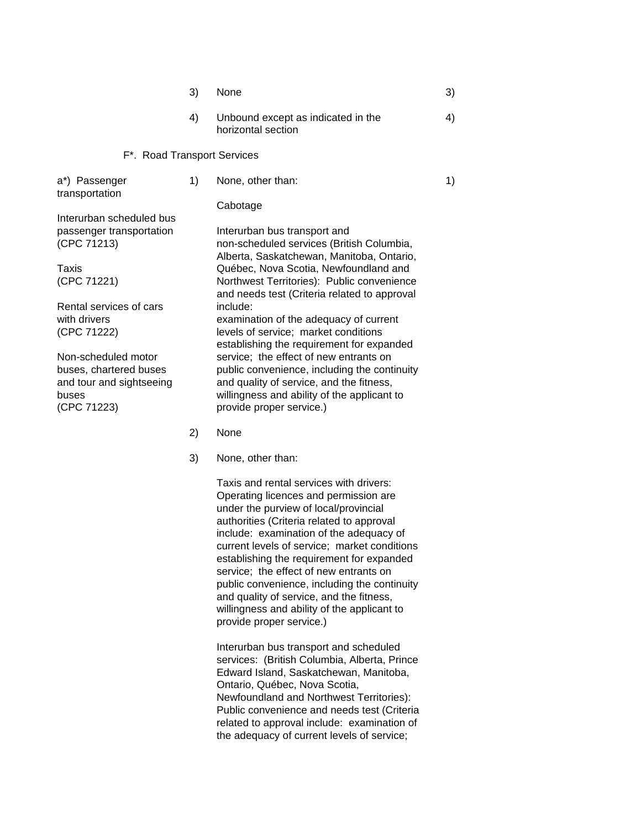|                                                                                                   | 3) | None                                                                                                                                                                                                          | 3) |
|---------------------------------------------------------------------------------------------------|----|---------------------------------------------------------------------------------------------------------------------------------------------------------------------------------------------------------------|----|
|                                                                                                   | 4) | Unbound except as indicated in the<br>horizontal section                                                                                                                                                      | 4) |
| F*. Road Transport Services                                                                       |    |                                                                                                                                                                                                               |    |
| a*) Passenger<br>transportation                                                                   | 1) | None, other than:                                                                                                                                                                                             | 1) |
|                                                                                                   |    | Cabotage                                                                                                                                                                                                      |    |
| Interurban scheduled bus<br>passenger transportation<br>(CPC 71213)                               |    | Interurban bus transport and<br>non-scheduled services (British Columbia,                                                                                                                                     |    |
| Taxis<br>(CPC 71221)                                                                              |    | Alberta, Saskatchewan, Manitoba, Ontario,<br>Québec, Nova Scotia, Newfoundland and<br>Northwest Territories): Public convenience<br>and needs test (Criteria related to approval                              |    |
| Rental services of cars<br>with drivers<br>(CPC 71222)                                            |    | include:<br>examination of the adequacy of current<br>levels of service; market conditions<br>establishing the requirement for expanded                                                                       |    |
| Non-scheduled motor<br>buses, chartered buses<br>and tour and sightseeing<br>buses<br>(CPC 71223) |    | service; the effect of new entrants on<br>public convenience, including the continuity<br>and quality of service, and the fitness,<br>willingness and ability of the applicant to<br>provide proper service.) |    |
|                                                                                                   | 2) | None                                                                                                                                                                                                          |    |

3) None, other than:

Taxis and rental services with drivers: Operating licences and permission are under the purview of local/provincial authorities (Criteria related to approval include: examination of the adequacy of current levels of service; market conditions establishing the requirement for expanded service; the effect of new entrants on public convenience, including the continuity and quality of service, and the fitness, willingness and ability of the applicant to provide proper service.)

Interurban bus transport and scheduled services: (British Columbia, Alberta, Prince Edward Island, Saskatchewan, Manitoba, Ontario, Québec, Nova Scotia, Newfoundland and Northwest Territories): Public convenience and needs test (Criteria related to approval include: examination of the adequacy of current levels of service;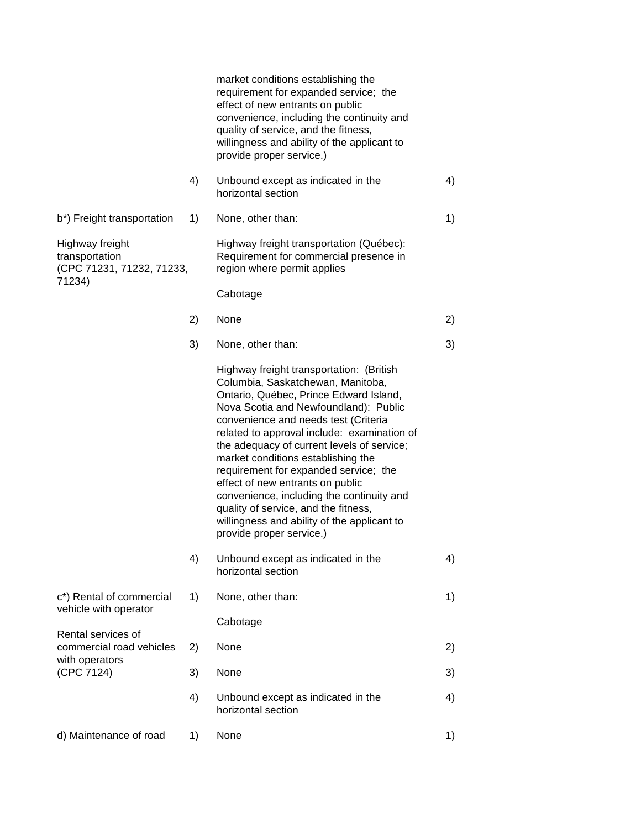|                                                                |    | market conditions establishing the<br>requirement for expanded service; the<br>effect of new entrants on public<br>convenience, including the continuity and<br>quality of service, and the fitness,<br>willingness and ability of the applicant to<br>provide proper service.)                                                                                                                                                                                                                                                                                                          |    |
|----------------------------------------------------------------|----|------------------------------------------------------------------------------------------------------------------------------------------------------------------------------------------------------------------------------------------------------------------------------------------------------------------------------------------------------------------------------------------------------------------------------------------------------------------------------------------------------------------------------------------------------------------------------------------|----|
|                                                                | 4) | Unbound except as indicated in the<br>horizontal section                                                                                                                                                                                                                                                                                                                                                                                                                                                                                                                                 | 4) |
| b*) Freight transportation                                     | 1) | None, other than:                                                                                                                                                                                                                                                                                                                                                                                                                                                                                                                                                                        | 1) |
| Highway freight<br>transportation<br>(CPC 71231, 71232, 71233, |    | Highway freight transportation (Québec):<br>Requirement for commercial presence in<br>region where permit applies                                                                                                                                                                                                                                                                                                                                                                                                                                                                        |    |
| 71234)                                                         |    | Cabotage                                                                                                                                                                                                                                                                                                                                                                                                                                                                                                                                                                                 |    |
|                                                                | 2) | None                                                                                                                                                                                                                                                                                                                                                                                                                                                                                                                                                                                     | 2) |
|                                                                | 3) | None, other than:                                                                                                                                                                                                                                                                                                                                                                                                                                                                                                                                                                        | 3) |
|                                                                |    | Highway freight transportation: (British<br>Columbia, Saskatchewan, Manitoba,<br>Ontario, Québec, Prince Edward Island,<br>Nova Scotia and Newfoundland): Public<br>convenience and needs test (Criteria<br>related to approval include: examination of<br>the adequacy of current levels of service;<br>market conditions establishing the<br>requirement for expanded service; the<br>effect of new entrants on public<br>convenience, including the continuity and<br>quality of service, and the fitness,<br>willingness and ability of the applicant to<br>provide proper service.) |    |
|                                                                | 4) | Unbound except as indicated in the<br>horizontal section                                                                                                                                                                                                                                                                                                                                                                                                                                                                                                                                 | 4) |
| c*) Rental of commercial<br>vehicle with operator              | 1) | None, other than:                                                                                                                                                                                                                                                                                                                                                                                                                                                                                                                                                                        | 1) |
|                                                                |    | Cabotage                                                                                                                                                                                                                                                                                                                                                                                                                                                                                                                                                                                 |    |
| Rental services of<br>commercial road vehicles                 | 2) | None                                                                                                                                                                                                                                                                                                                                                                                                                                                                                                                                                                                     | 2) |
| with operators<br>(CPC 7124)                                   | 3) | None                                                                                                                                                                                                                                                                                                                                                                                                                                                                                                                                                                                     | 3) |
|                                                                | 4) | Unbound except as indicated in the<br>horizontal section                                                                                                                                                                                                                                                                                                                                                                                                                                                                                                                                 | 4) |
| d) Maintenance of road                                         | 1) | None                                                                                                                                                                                                                                                                                                                                                                                                                                                                                                                                                                                     | 1) |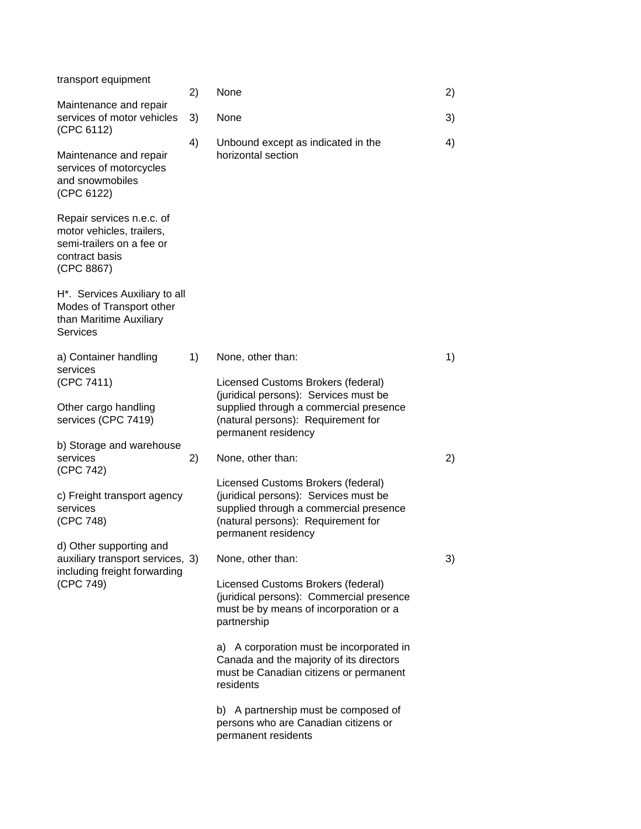| transport equipment                                                                                                 | 2) | None                                                                                                                                                                               | 2) |
|---------------------------------------------------------------------------------------------------------------------|----|------------------------------------------------------------------------------------------------------------------------------------------------------------------------------------|----|
| Maintenance and repair<br>services of motor vehicles                                                                | 3) | None                                                                                                                                                                               | 3) |
| (CPC 6112)<br>Maintenance and repair<br>services of motorcycles<br>and snowmobiles<br>(CPC 6122)                    | 4) | Unbound except as indicated in the<br>horizontal section                                                                                                                           | 4) |
| Repair services n.e.c. of<br>motor vehicles, trailers,<br>semi-trailers on a fee or<br>contract basis<br>(CPC 8867) |    |                                                                                                                                                                                    |    |
| H*. Services Auxiliary to all<br>Modes of Transport other<br>than Maritime Auxiliary<br>Services                    |    |                                                                                                                                                                                    |    |
| a) Container handling<br>services<br>(CPC 7411)                                                                     | 1) | None, other than:<br>Licensed Customs Brokers (federal)                                                                                                                            | 1) |
| Other cargo handling<br>services (CPC 7419)                                                                         |    | (juridical persons): Services must be<br>supplied through a commercial presence<br>(natural persons): Requirement for<br>permanent residency                                       |    |
| b) Storage and warehouse<br>services<br>(CPC 742)                                                                   | 2) | None, other than:                                                                                                                                                                  | 2) |
| c) Freight transport agency<br>services<br>(CPC 748)                                                                |    | Licensed Customs Brokers (federal)<br>(juridical persons): Services must be<br>supplied through a commercial presence<br>(natural persons): Requirement for<br>permanent residency |    |
| d) Other supporting and<br>auxiliary transport services, 3)<br>including freight forwarding<br>(CPC 749)            |    | None, other than:                                                                                                                                                                  | 3) |
|                                                                                                                     |    | Licensed Customs Brokers (federal)<br>(juridical persons): Commercial presence<br>must be by means of incorporation or a<br>partnership                                            |    |
|                                                                                                                     |    | a) A corporation must be incorporated in<br>Canada and the majority of its directors<br>must be Canadian citizens or permanent<br>residents                                        |    |
|                                                                                                                     |    | b) A partnership must be composed of<br>persons who are Canadian citizens or<br>permanent residents                                                                                |    |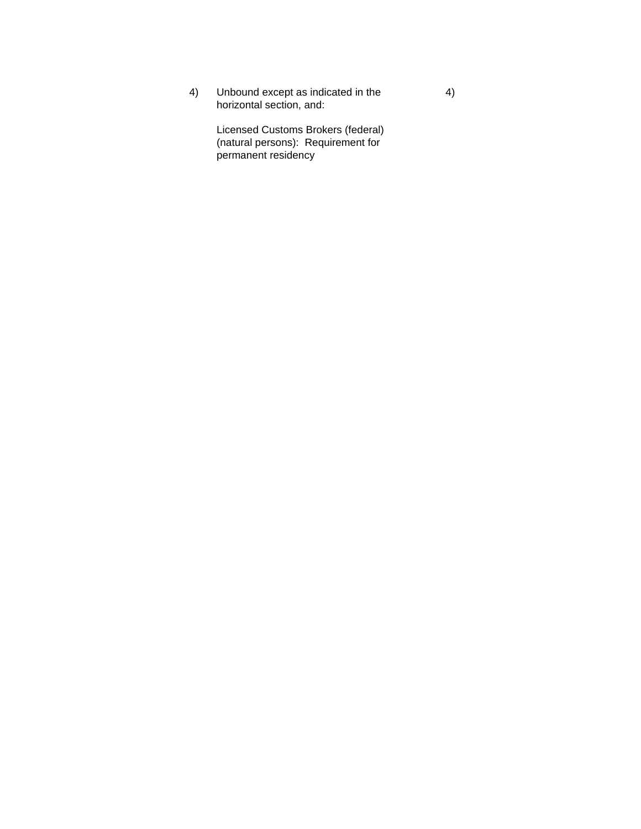4) Unbound except as indicated in the 4 horizontal section, and:

Licensed Customs Brokers (federal) (natural persons): Requirement for permanent residency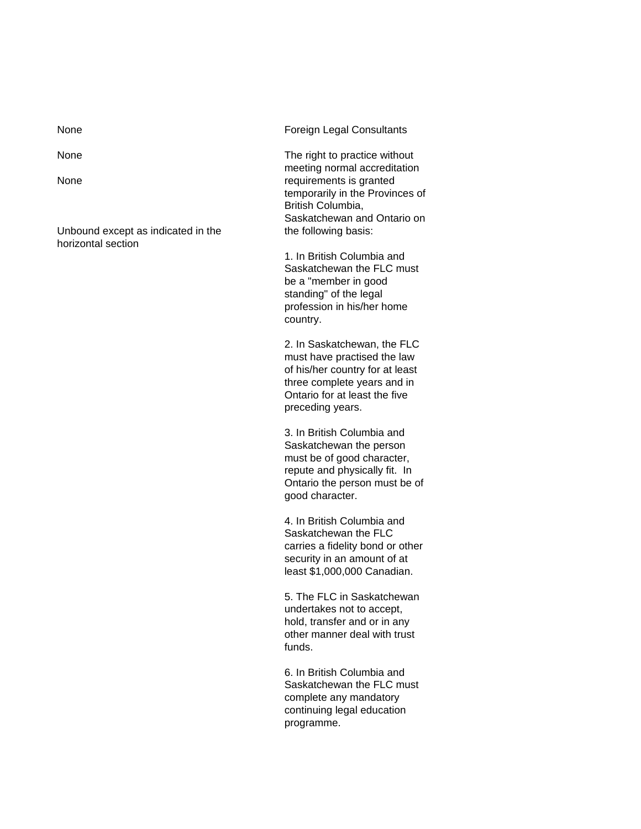Unbound except as indicated in the the following basis: horizontal section

None **Foreign Legal Consultants** 

None The right to practice without meeting normal accreditation None requirements is granted temporarily in the Provinces of British Columbia, Saskatchewan and Ontario on

> 1. In British Columbia and Saskatchewan the FLC must be a "member in good standing" of the legal profession in his/her home country.

> 2. In Saskatchewan, the FLC must have practised the law of his/her country for at least three complete years and in Ontario for at least the five preceding years.

3. In British Columbia and Saskatchewan the person must be of good character, repute and physically fit. In Ontario the person must be of good character.

4. In British Columbia and Saskatchewan the FLC carries a fidelity bond or other security in an amount of at least \$1,000,000 Canadian.

5. The FLC in Saskatchewan undertakes not to accept, hold, transfer and or in any other manner deal with trust funds.

6. In British Columbia and Saskatchewan the FLC must complete any mandatory continuing legal education programme.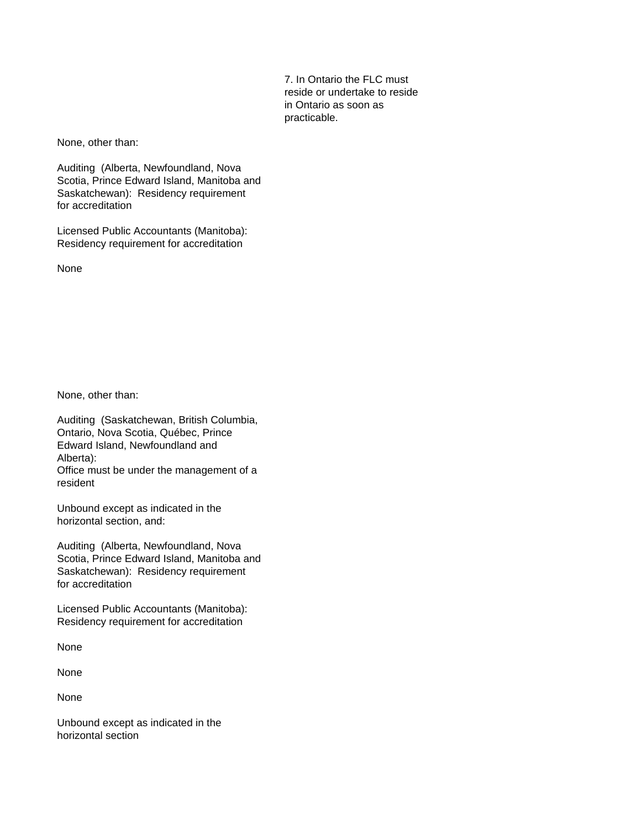7. In Ontario the FLC must reside or undertake to reside in Ontario as soon as practicable.

None, other than:

Auditing (Alberta, Newfoundland, Nova Scotia, Prince Edward Island, Manitoba and Saskatchewan): Residency requirement for accreditation

Licensed Public Accountants (Manitoba): Residency requirement for accreditation

None

None, other than:

Auditing (Saskatchewan, British Columbia, Ontario, Nova Scotia, Québec, Prince Edward Island, Newfoundland and Alberta): Office must be under the management of a resident

Unbound except as indicated in the horizontal section, and:

Auditing (Alberta, Newfoundland, Nova Scotia, Prince Edward Island, Manitoba and Saskatchewan): Residency requirement for accreditation

Licensed Public Accountants (Manitoba): Residency requirement for accreditation

None

None

None

Unbound except as indicated in the horizontal section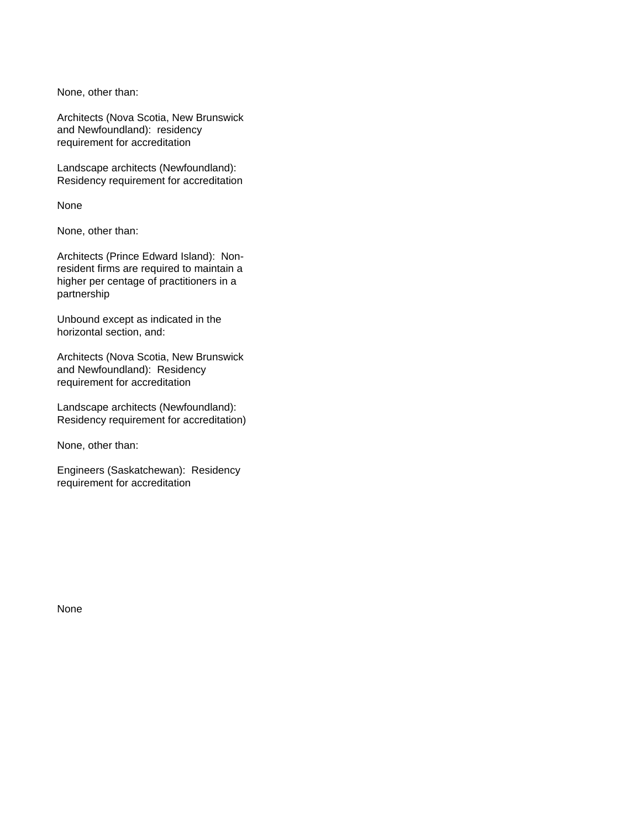None, other than:

Architects (Nova Scotia, New Brunswick and Newfoundland): residency requirement for accreditation

Landscape architects (Newfoundland): Residency requirement for accreditation

None

None, other than:

Architects (Prince Edward Island): Nonresident firms are required to maintain a higher per centage of practitioners in a partnership

Unbound except as indicated in the horizontal section, and:

Architects (Nova Scotia, New Brunswick and Newfoundland): Residency requirement for accreditation

Landscape architects (Newfoundland): Residency requirement for accreditation)

None, other than:

Engineers (Saskatchewan): Residency requirement for accreditation

None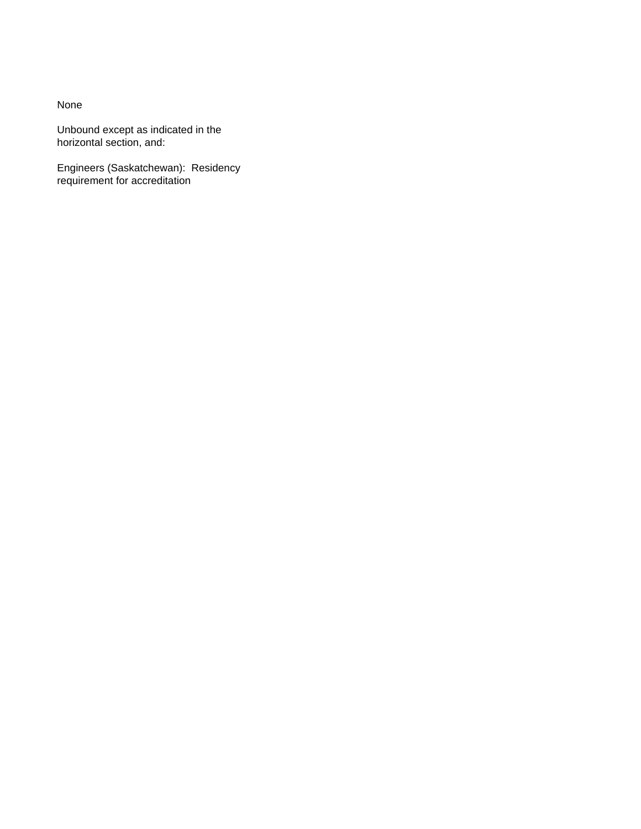Unbound except as indicated in the horizontal section, and:

Engineers (Saskatchewan): Residency requirement for accreditation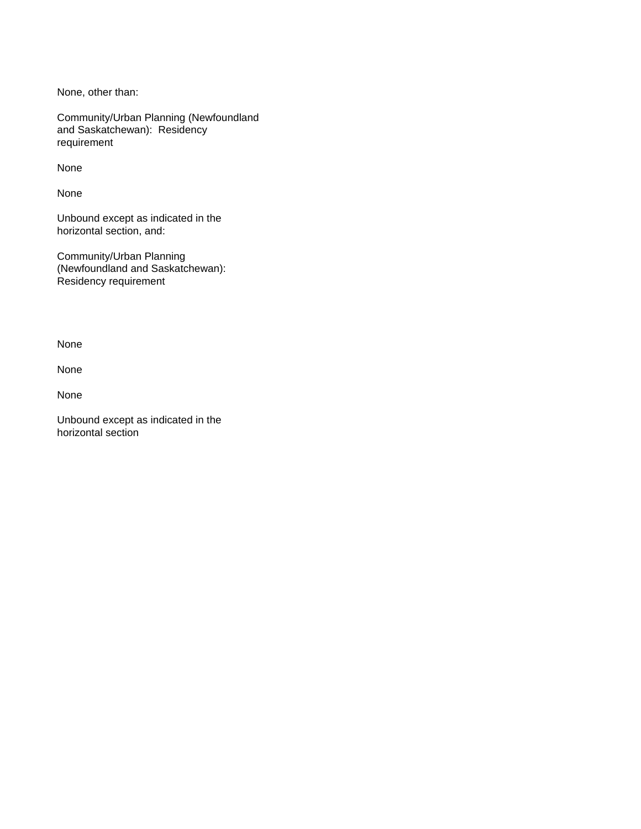None, other than:

Community/Urban Planning (Newfoundland and Saskatchewan): Residency requirement

None

None

Unbound except as indicated in the horizontal section, and:

Community/Urban Planning (Newfoundland and Saskatchewan): Residency requirement

None

None

None

Unbound except as indicated in the horizontal section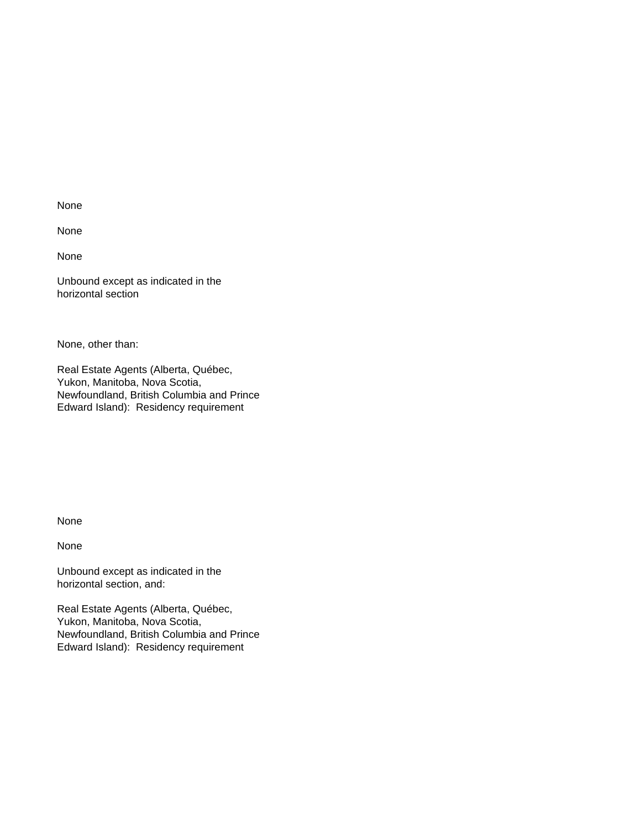None

None

Unbound except as indicated in the horizontal section

None, other than:

Real Estate Agents (Alberta, Québec, Yukon, Manitoba, Nova Scotia, Newfoundland, British Columbia and Prince Edward Island): Residency requirement

None

None

Unbound except as indicated in the horizontal section, and:

Real Estate Agents (Alberta, Québec, Yukon, Manitoba, Nova Scotia, Newfoundland, British Columbia and Prince Edward Island): Residency requirement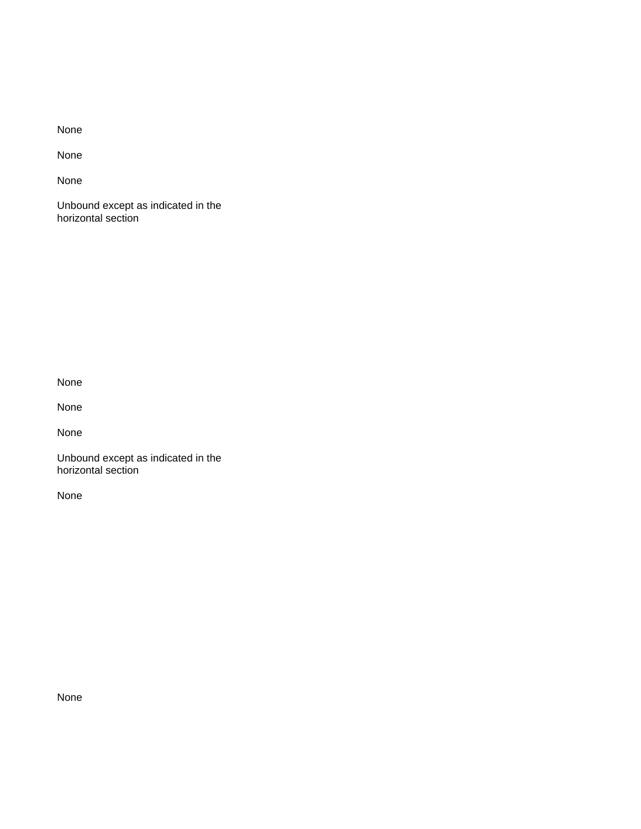None

None

Unbound except as indicated in the horizontal section

None

None

None

Unbound except as indicated in the horizontal section

None

None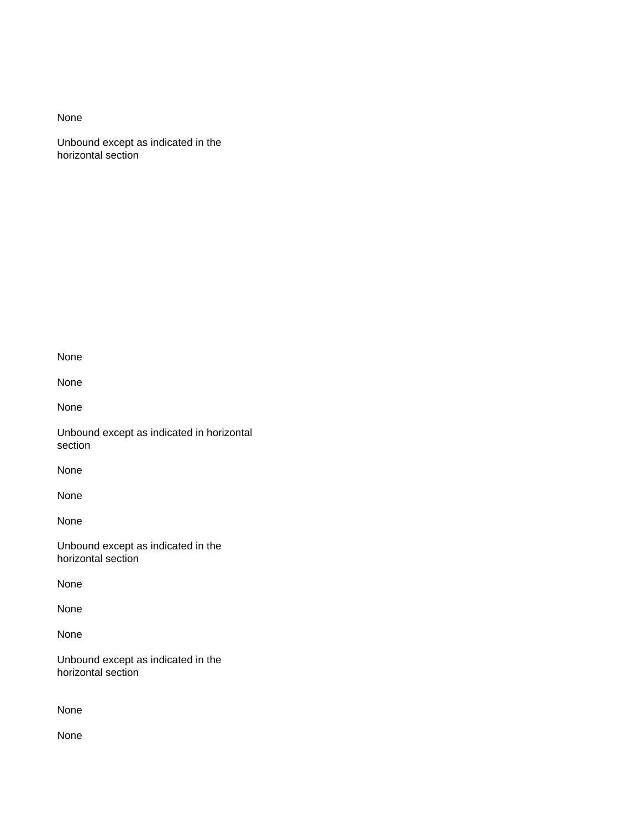Unbound except as indicated in the horizontal section

None

None

None

Unbound except as indicated in horizontal section

None

None

None

Unbound except as indicated in the horizontal section

None

None

None

Unbound except as indicated in the horizontal section

None

None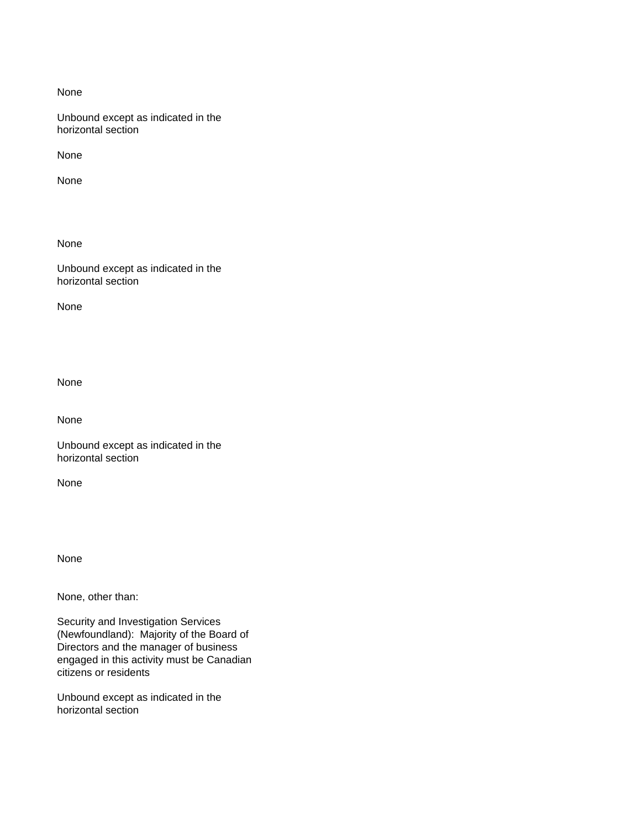Unbound except as indicated in the horizontal section

None

None

None

Unbound except as indicated in the horizontal section

None

None

None

Unbound except as indicated in the horizontal section

None

None

None, other than:

Security and Investigation Services (Newfoundland): Majority of the Board of Directors and the manager of business engaged in this activity must be Canadian citizens or residents

Unbound except as indicated in the horizontal section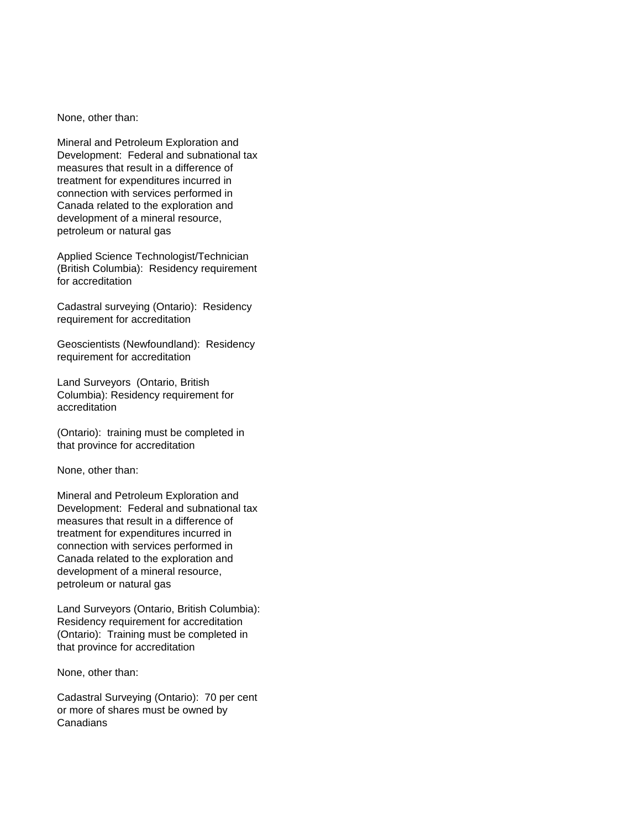None, other than:

Mineral and Petroleum Exploration and Development: Federal and subnational tax measures that result in a difference of treatment for expenditures incurred in connection with services performed in Canada related to the exploration and development of a mineral resource, petroleum or natural gas

Applied Science Technologist/Technician (British Columbia): Residency requirement for accreditation

Cadastral surveying (Ontario): Residency requirement for accreditation

Geoscientists (Newfoundland): Residency requirement for accreditation

Land Surveyors (Ontario, British Columbia): Residency requirement for accreditation

(Ontario): training must be completed in that province for accreditation

None, other than:

Mineral and Petroleum Exploration and Development: Federal and subnational tax measures that result in a difference of treatment for expenditures incurred in connection with services performed in Canada related to the exploration and development of a mineral resource, petroleum or natural gas

Land Surveyors (Ontario, British Columbia): Residency requirement for accreditation (Ontario): Training must be completed in that province for accreditation

None, other than:

Cadastral Surveying (Ontario): 70 per cent or more of shares must be owned by Canadians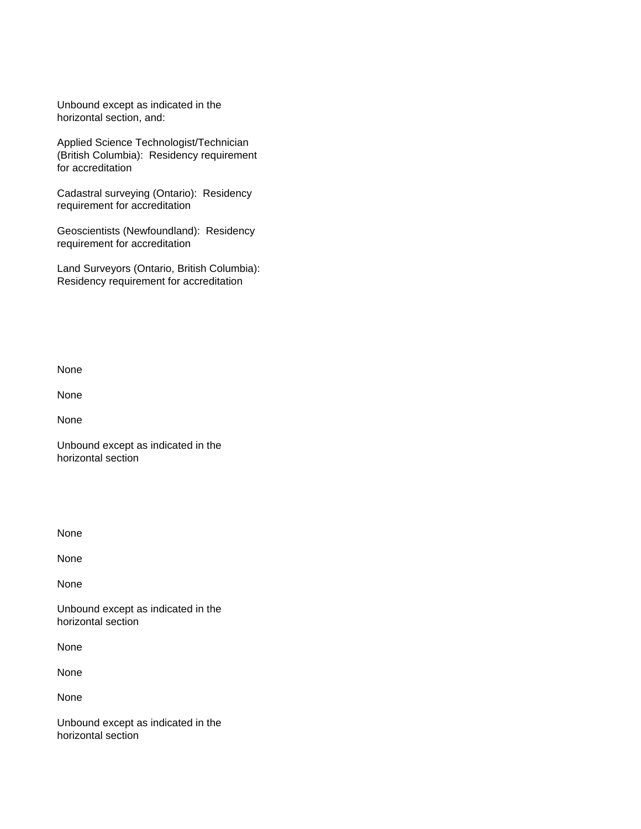Unbound except as indicated in the horizontal section, and:

Applied Science Technologist/Technician (British Columbia): Residency requirement for accreditation

Cadastral surveying (Ontario): Residency requirement for accreditation

Geoscientists (Newfoundland): Residency requirement for accreditation

Land Surveyors (Ontario, British Columbia): Residency requirement for accreditation

None

None

None

Unbound except as indicated in the horizontal section

None

None

None

Unbound except as indicated in the horizontal section

None

None

None

Unbound except as indicated in the horizontal section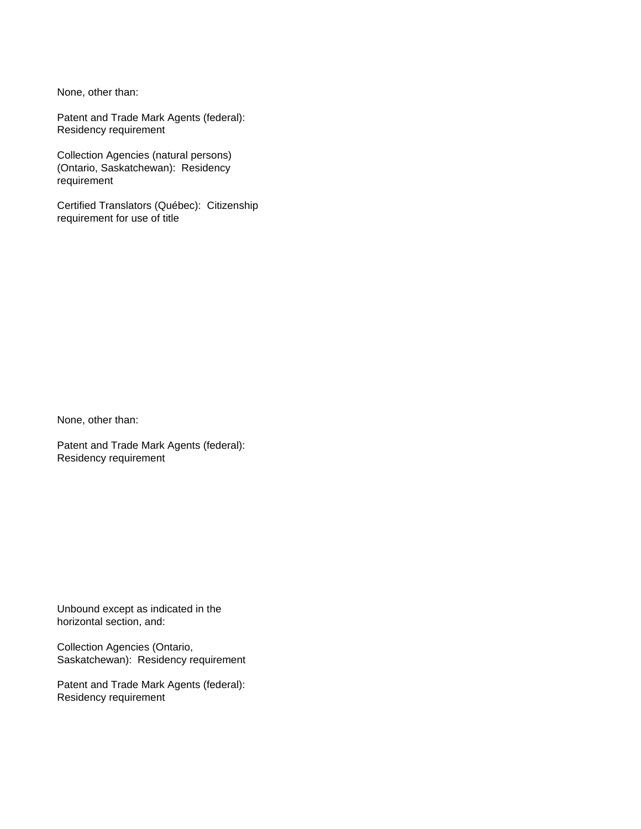None, other than:

Patent and Trade Mark Agents (federal): Residency requirement

Collection Agencies (natural persons) (Ontario, Saskatchewan): Residency requirement

Certified Translators (Québec): Citizenship requirement for use of title

None, other than:

Patent and Trade Mark Agents (federal): Residency requirement

Unbound except as indicated in the horizontal section, and:

Collection Agencies (Ontario, Saskatchewan): Residency requirement

Patent and Trade Mark Agents (federal): Residency requirement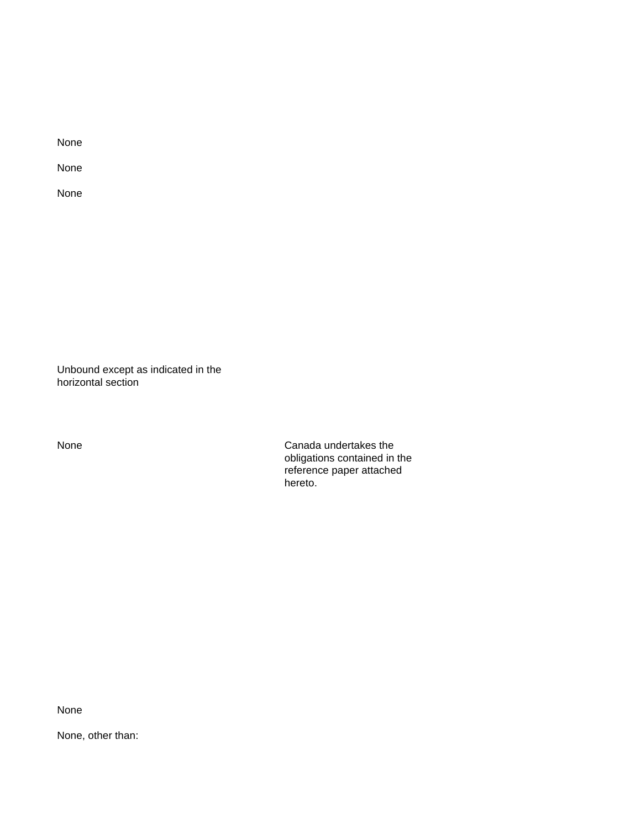None

None

Unbound except as indicated in the horizontal section

None Canada undertakes the obligations contained in the reference paper attached hereto.

None

None, other than: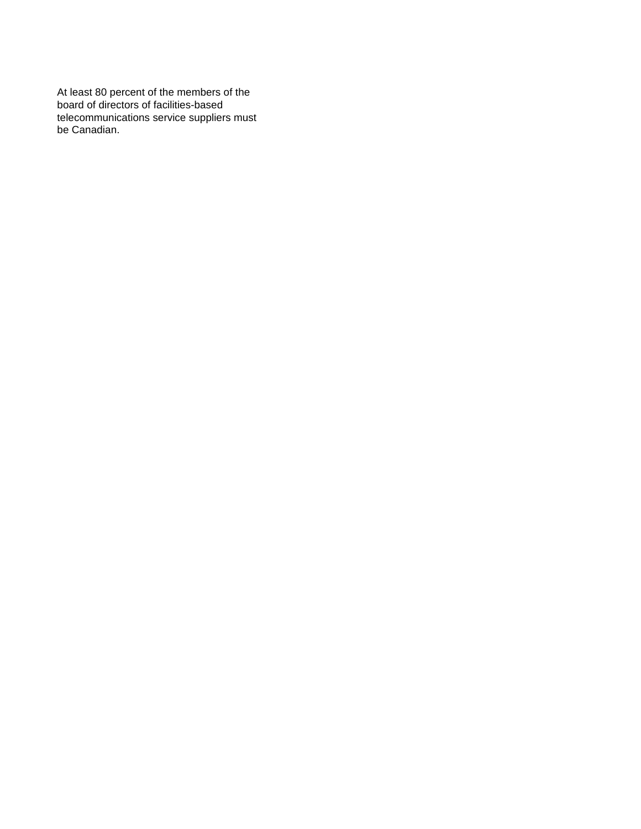At least 80 percent of the members of the board of directors of facilities-based telecommunications service suppliers must be Canadian.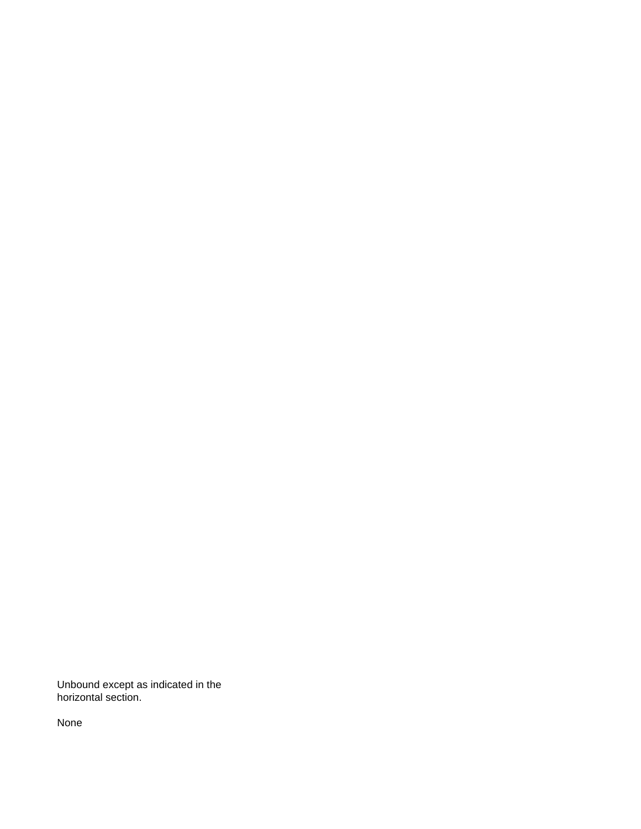Unbound except as indicated in the horizontal section.

None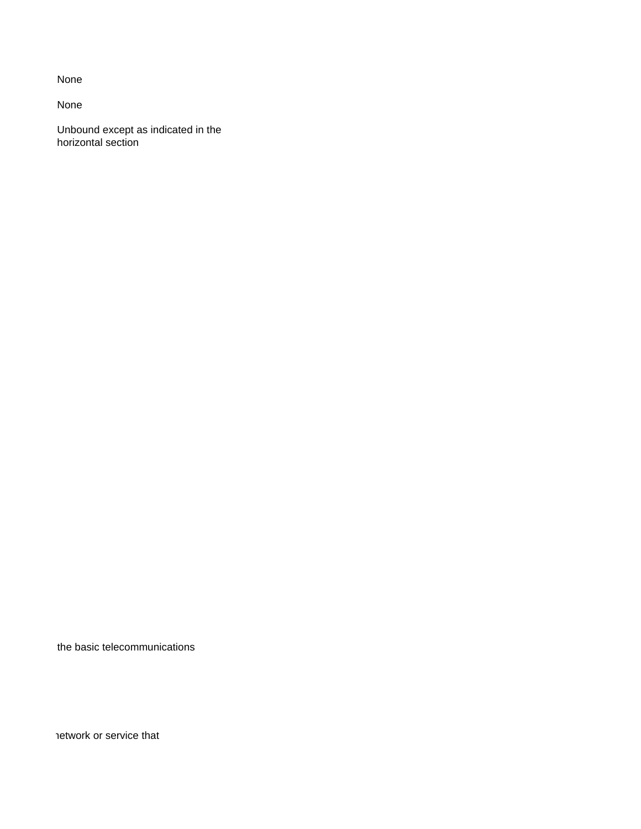None

Unbound except as indicated in the horizontal section

the basic telecommunications

network or service that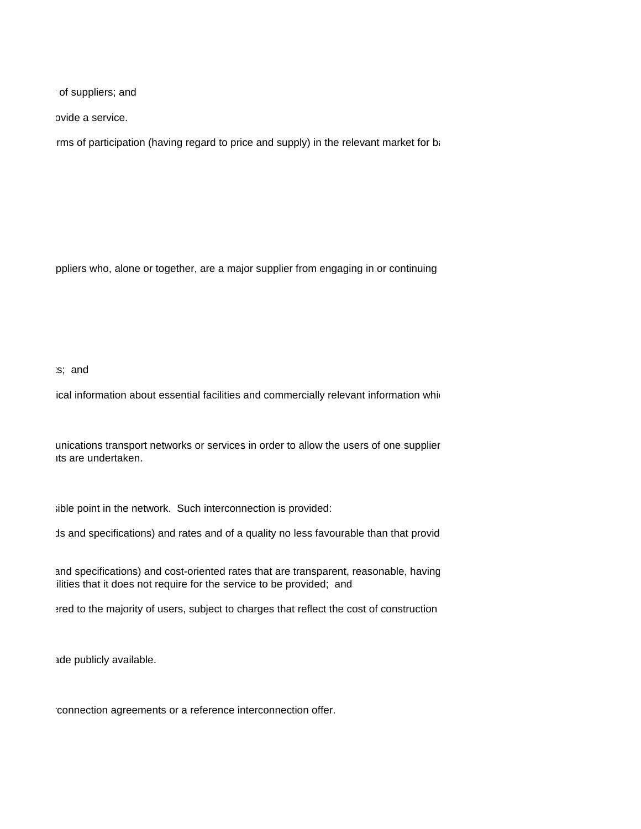of suppliers; and

pvide a service.

rms of participation (having regard to price and supply) in the relevant market for basic terms of participation

ppliers who, alone or together, are a major supplier from engaging in or continuing

## $\mathsf{is}$ ; and

ical information about essential facilities and commercially relevant information which

unications transport networks or services in order to allow the users of one supplier its are undertaken.

sible point in the network. Such interconnection is provided:

ds and specifications) and rates and of a quality no less favourable than that provid

and specifications) and cost-oriented rates that are transparent, reasonable, having ilities that it does not require for the service to be provided; and

ered to the majority of users, subject to charges that reflect the cost of construction

ade publicly available.

connection agreements or a reference interconnection offer.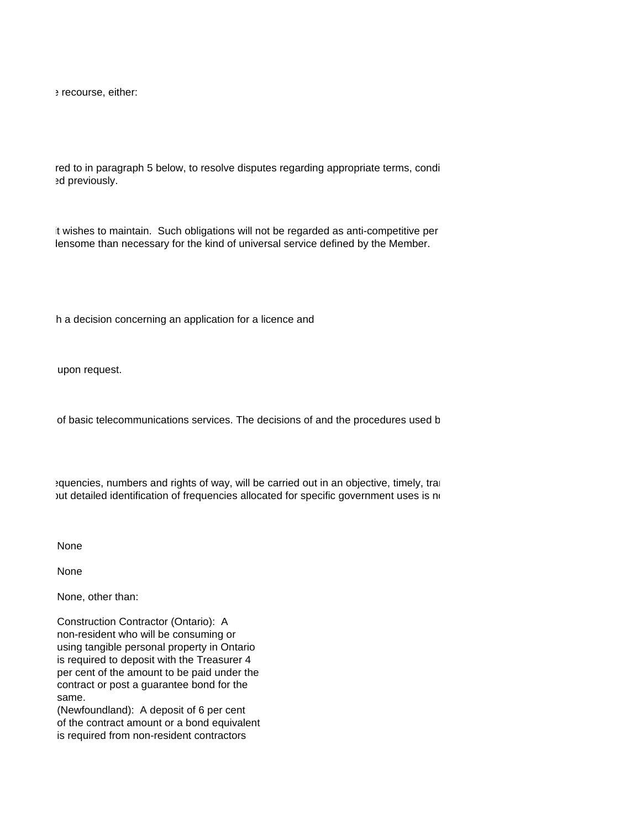e recourse, either:

red to in paragraph 5 below, to resolve disputes regarding appropriate terms, conditions regarding appropriate ed previously.

It wishes to maintain. Such obligations will not be regarded as anti-competitive per lensome than necessary for the kind of universal service defined by the Member.

h a decision concerning an application for a licence and

upon request.

of basic telecommunications services. The decisions of and the procedures used b

equencies, numbers and rights of way, will be carried out in an objective, timely, trans but detailed identification of frequencies allocated for specific government uses is no

None

None

None, other than:

Construction Contractor (Ontario): A non-resident who will be consuming or using tangible personal property in Ontario is required to deposit with the Treasurer 4 per cent of the amount to be paid under the contract or post a guarantee bond for the same.

(Newfoundland): A deposit of 6 per cent of the contract amount or a bond equivalent is required from non-resident contractors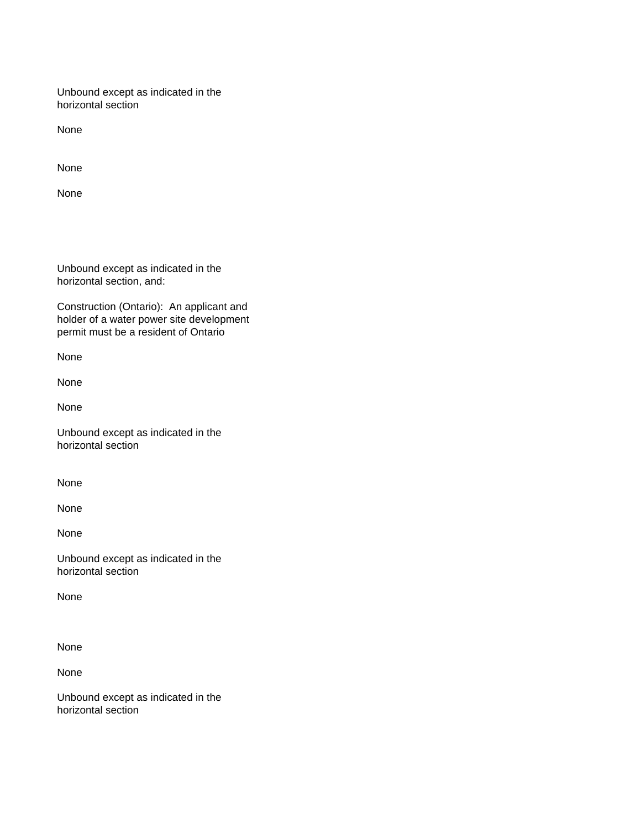Unbound except as indicated in the horizontal section

None

None

None

Unbound except as indicated in the horizontal section, and:

Construction (Ontario): An applicant and holder of a water power site development permit must be a resident of Ontario

None

None

None

Unbound except as indicated in the horizontal section

None

None

None

Unbound except as indicated in the horizontal section

None

None

None

Unbound except as indicated in the horizontal section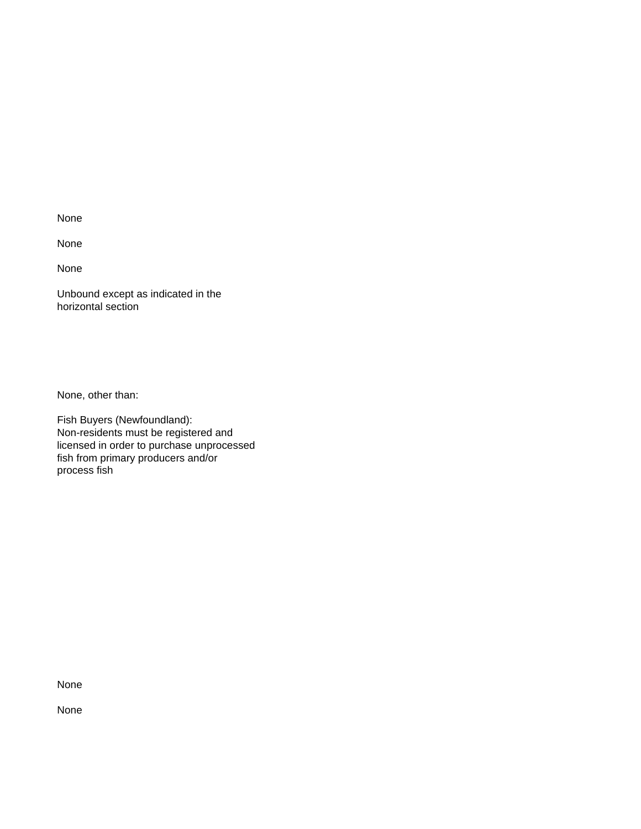None

None

Unbound except as indicated in the horizontal section

None, other than:

Fish Buyers (Newfoundland): Non-residents must be registered and licensed in order to purchase unprocessed fish from primary producers and/or process fish

None

None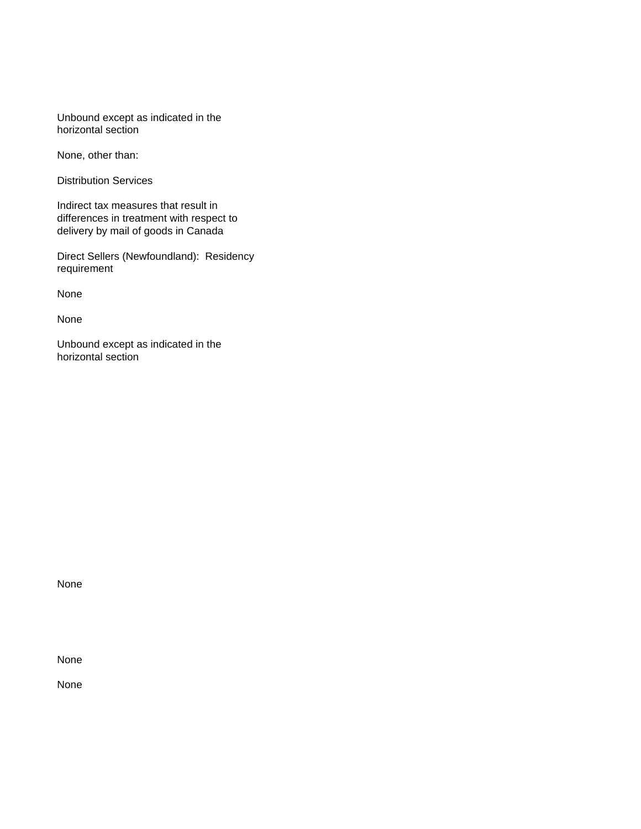Unbound except as indicated in the horizontal section

None, other than:

Distribution Services

Indirect tax measures that result in differences in treatment with respect to delivery by mail of goods in Canada

Direct Sellers (Newfoundland): Residency requirement

None

None

Unbound except as indicated in the horizontal section

None

None

None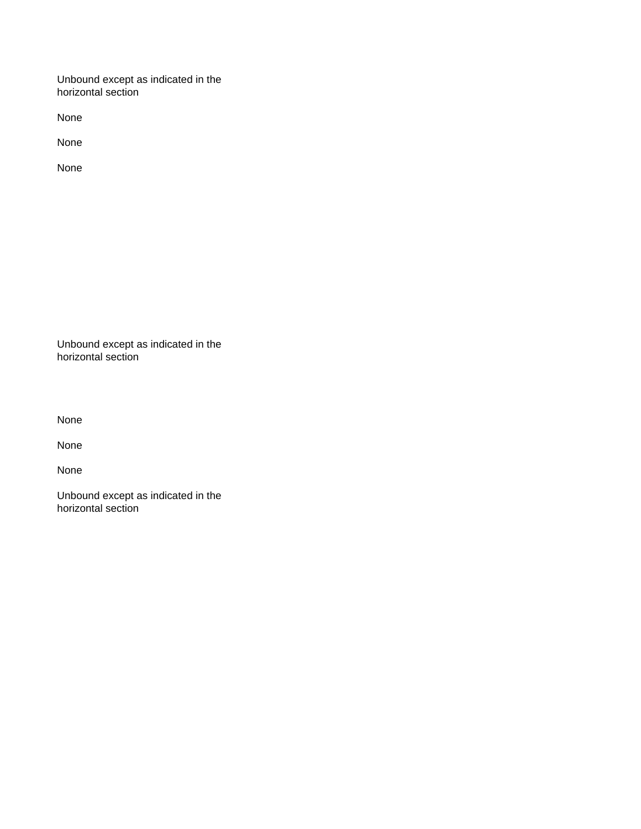Unbound except as indicated in the horizontal section

None

None

None

Unbound except as indicated in the horizontal section

None

None

None

Unbound except as indicated in the horizontal section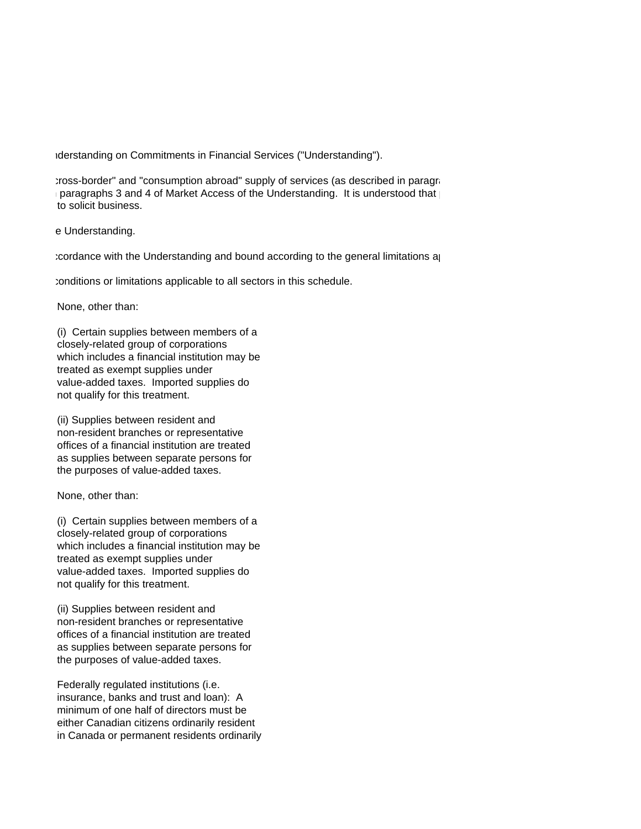1derstanding on Commitments in Financial Services ("Understanding").

pross-border" and "consumption abroad" supply of services (as described in paragraphs 2 a) and 2 a) and 2 and 2 and 2 and 2 and 2 and 2 and 2 and 2 and 2 and 2 and 2 and 2 and 2 and 2 and 2 and 2 and 2 and the General Arti paragraphs 3 and 4 of Market Access of the Understanding. It is understood that  $\vert$ to solicit business.

e Understanding.

 $2.$  Cordance with the Understanding and bound according to the general limitations applications at

fronditions or limitations applicable to all sectors in this schedule.

None, other than:

(i) Certain supplies between members of a closely-related group of corporations which includes a financial institution may be treated as exempt supplies under value-added taxes. Imported supplies do not qualify for this treatment.

(ii) Supplies between resident and non-resident branches or representative offices of a financial institution are treated as supplies between separate persons for the purposes of value-added taxes.

None, other than:

(i) Certain supplies between members of a closely-related group of corporations which includes a financial institution may be treated as exempt supplies under value-added taxes. Imported supplies do not qualify for this treatment.

(ii) Supplies between resident and non-resident branches or representative offices of a financial institution are treated as supplies between separate persons for the purposes of value-added taxes.

Federally regulated institutions (i.e. insurance, banks and trust and loan): A minimum of one half of directors must be either Canadian citizens ordinarily resident in Canada or permanent residents ordinarily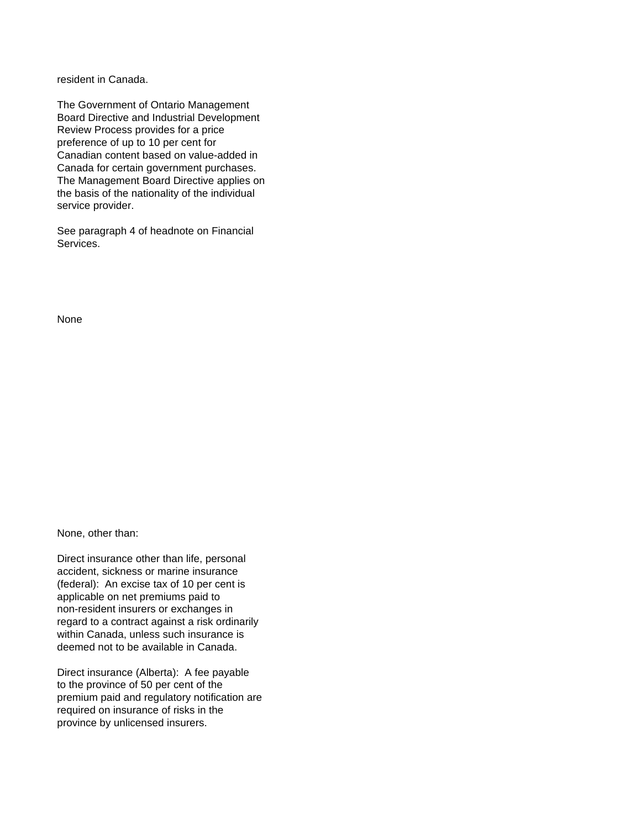resident in Canada.

The Government of Ontario Management Board Directive and Industrial Development Review Process provides for a price preference of up to 10 per cent for Canadian content based on value-added in Canada for certain government purchases. The Management Board Directive applies on the basis of the nationality of the individual service provider.

See paragraph 4 of headnote on Financial Services.

None

None, other than:

Direct insurance other than life, personal accident, sickness or marine insurance (federal): An excise tax of 10 per cent is applicable on net premiums paid to non-resident insurers or exchanges in regard to a contract against a risk ordinarily within Canada, unless such insurance is deemed not to be available in Canada.

Direct insurance (Alberta): A fee payable to the province of 50 per cent of the premium paid and regulatory notification are required on insurance of risks in the province by unlicensed insurers.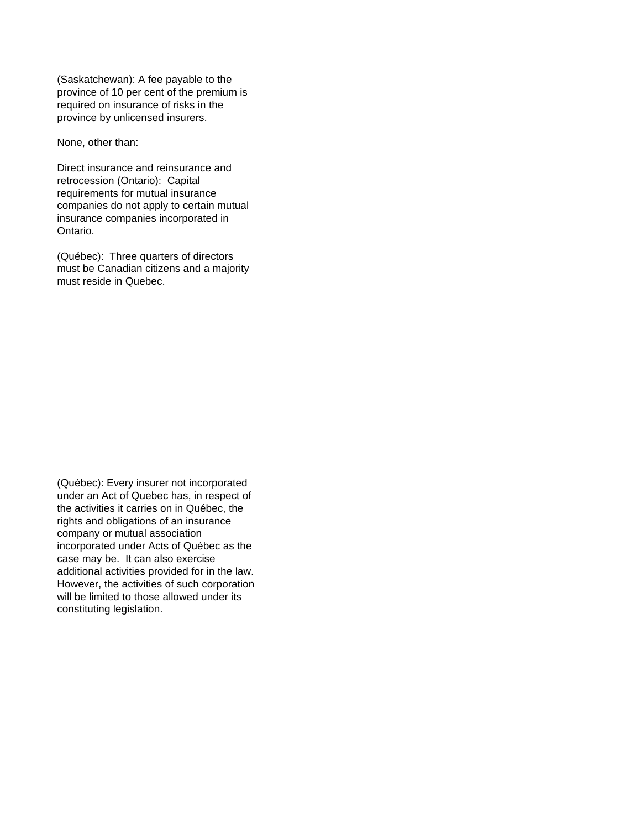(Saskatchewan): A fee payable to the province of 10 per cent of the premium is required on insurance of risks in the province by unlicensed insurers.

None, other than:

Direct insurance and reinsurance and retrocession (Ontario): Capital requirements for mutual insurance companies do not apply to certain mutual insurance companies incorporated in Ontario.

(Québec): Three quarters of directors must be Canadian citizens and a majority must reside in Quebec.

(Québec): Every insurer not incorporated under an Act of Quebec has, in respect of the activities it carries on in Québec, the rights and obligations of an insurance company or mutual association incorporated under Acts of Québec as the case may be. It can also exercise additional activities provided for in the law. However, the activities of such corporation will be limited to those allowed under its constituting legislation.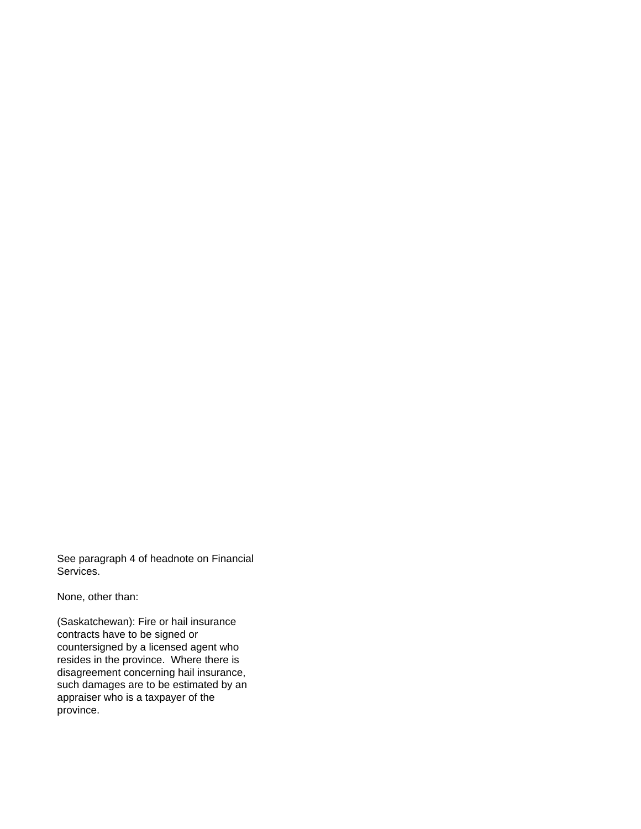See paragraph 4 of headnote on Financial Services.

None, other than:

(Saskatchewan): Fire or hail insurance contracts have to be signed or countersigned by a licensed agent who resides in the province. Where there is disagreement concerning hail insurance, such damages are to be estimated by an appraiser who is a taxpayer of the province.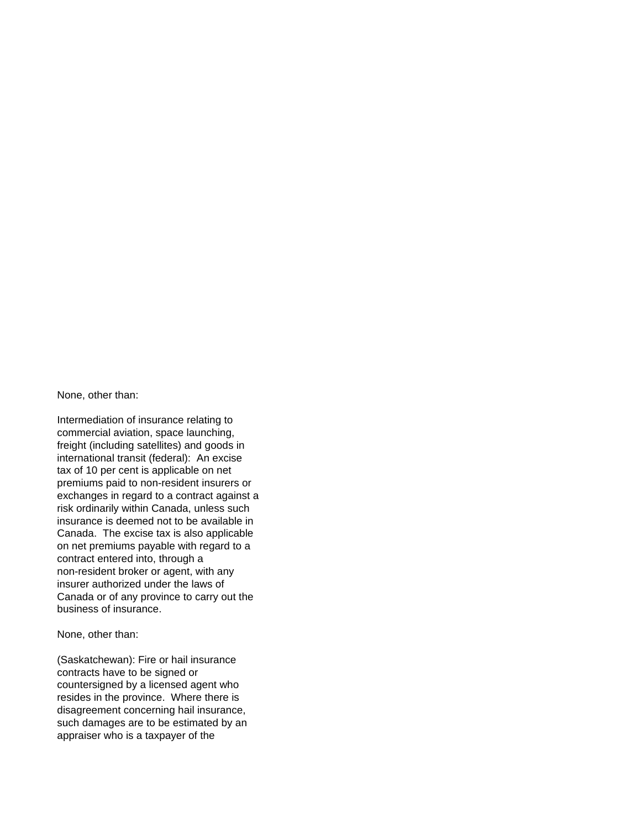None, other than:

Intermediation of insurance relating to commercial aviation, space launching, freight (including satellites) and goods in international transit (federal): An excise tax of 10 per cent is applicable on net premiums paid to non-resident insurers or exchanges in regard to a contract against a risk ordinarily within Canada, unless such insurance is deemed not to be available in Canada. The excise tax is also applicable on net premiums payable with regard to a contract entered into, through a non-resident broker or agent, with any insurer authorized under the laws of Canada or of any province to carry out the business of insurance.

None, other than:

(Saskatchewan): Fire or hail insurance contracts have to be signed or countersigned by a licensed agent who resides in the province. Where there is disagreement concerning hail insurance, such damages are to be estimated by an appraiser who is a taxpayer of the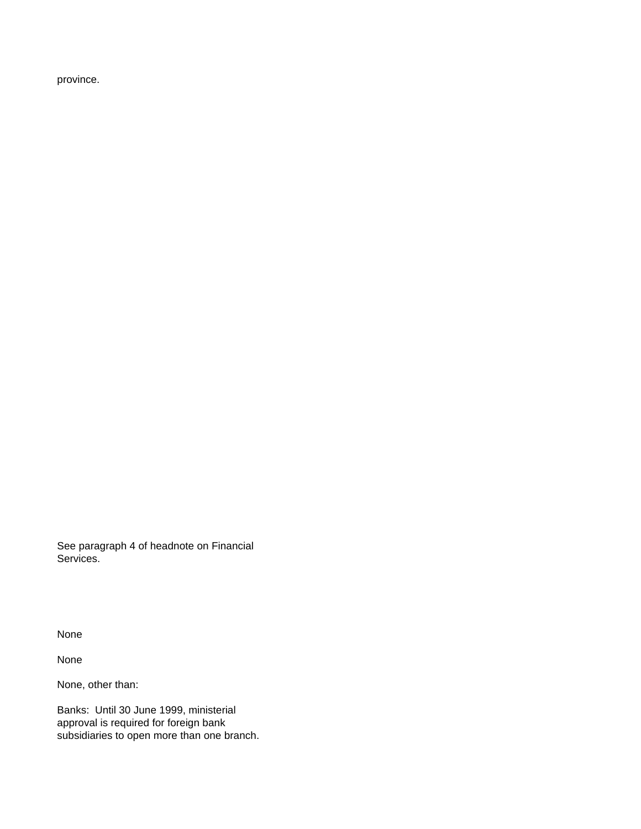province.

See paragraph 4 of headnote on Financial Services.

None

None

None, other than:

Banks: Until 30 June 1999, ministerial approval is required for foreign bank subsidiaries to open more than one branch.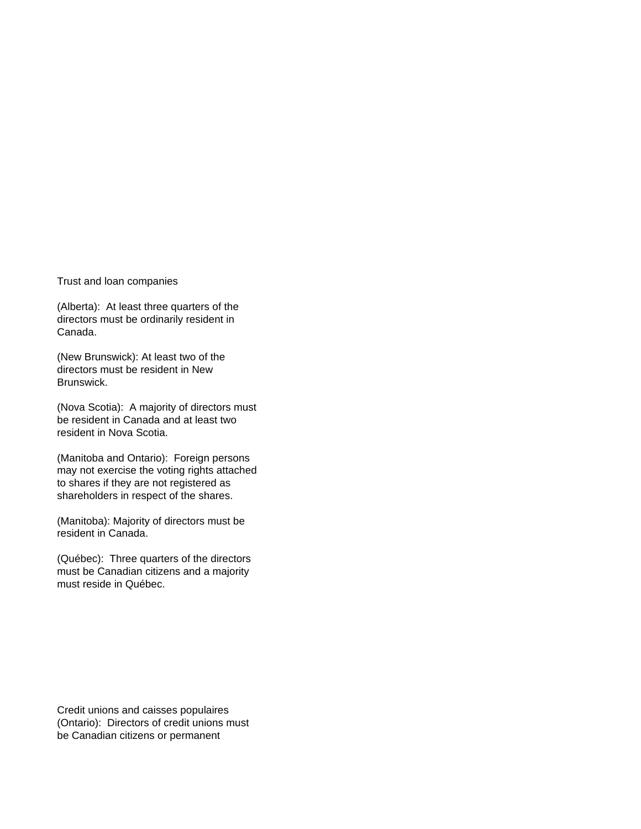Trust and loan companies

(Alberta): At least three quarters of the directors must be ordinarily resident in Canada.

(New Brunswick): At least two of the directors must be resident in New Brunswick.

(Nova Scotia): A majority of directors must be resident in Canada and at least two resident in Nova Scotia.

(Manitoba and Ontario): Foreign persons may not exercise the voting rights attached to shares if they are not registered as shareholders in respect of the shares.

(Manitoba): Majority of directors must be resident in Canada.

(Québec): Three quarters of the directors must be Canadian citizens and a majority must reside in Québec.

Credit unions and caisses populaires (Ontario): Directors of credit unions must be Canadian citizens or permanent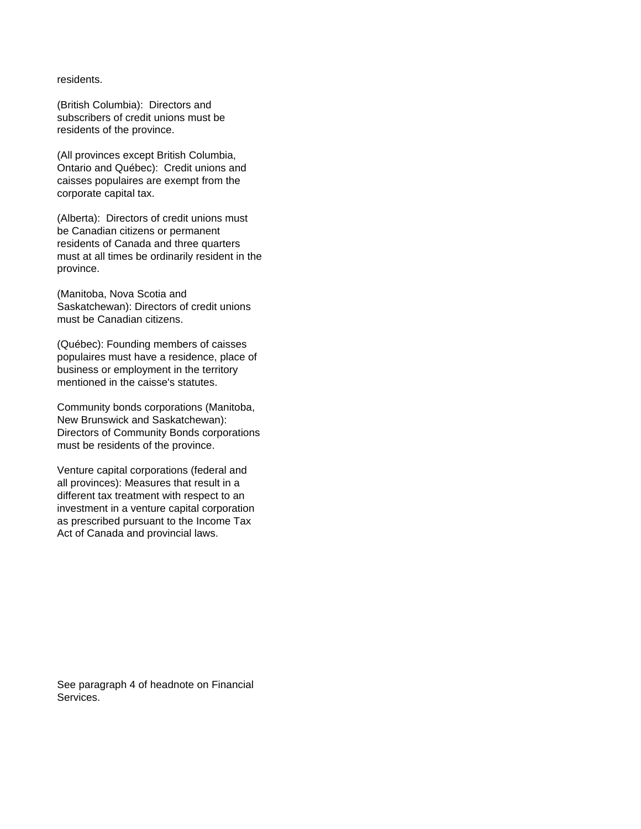residents.

(British Columbia): Directors and subscribers of credit unions must be residents of the province.

(All provinces except British Columbia, Ontario and Québec): Credit unions and caisses populaires are exempt from the corporate capital tax.

(Alberta): Directors of credit unions must be Canadian citizens or permanent residents of Canada and three quarters must at all times be ordinarily resident in the province.

(Manitoba, Nova Scotia and Saskatchewan): Directors of credit unions must be Canadian citizens.

(Québec): Founding members of caisses populaires must have a residence, place of business or employment in the territory mentioned in the caisse's statutes.

Community bonds corporations (Manitoba, New Brunswick and Saskatchewan): Directors of Community Bonds corporations must be residents of the province.

Venture capital corporations (federal and all provinces): Measures that result in a different tax treatment with respect to an investment in a venture capital corporation as prescribed pursuant to the Income Tax Act of Canada and provincial laws.

See paragraph 4 of headnote on Financial Services.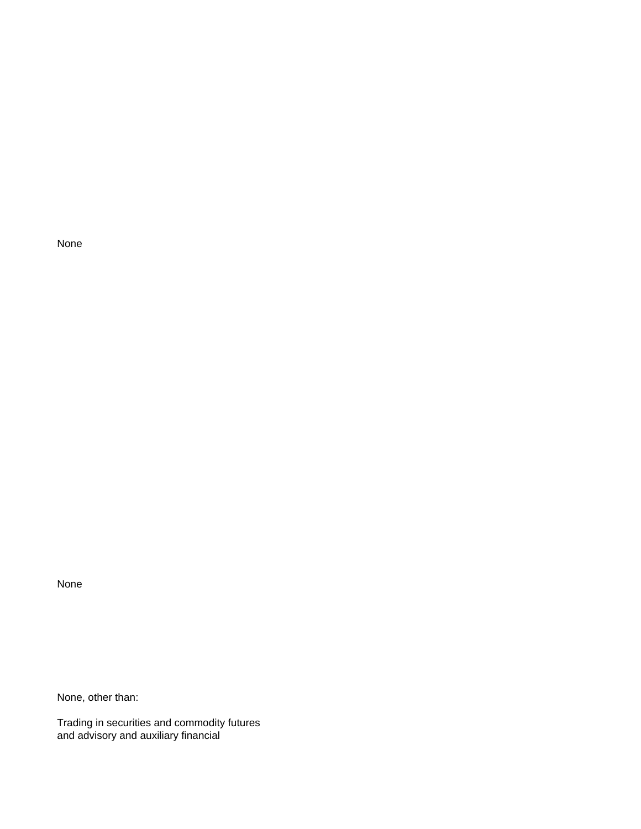None

None, other than:

Trading in securities and commodity futures and advisory and auxiliary financial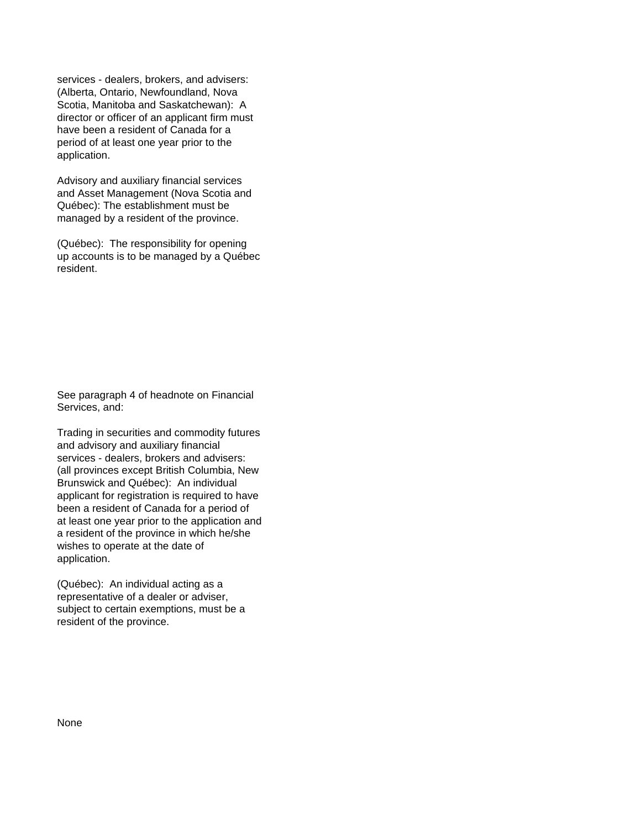services - dealers, brokers, and advisers: (Alberta, Ontario, Newfoundland, Nova Scotia, Manitoba and Saskatchewan): A director or officer of an applicant firm must have been a resident of Canada for a period of at least one year prior to the application.

Advisory and auxiliary financial services and Asset Management (Nova Scotia and Québec): The establishment must be managed by a resident of the province.

(Québec): The responsibility for opening up accounts is to be managed by a Québec resident.

See paragraph 4 of headnote on Financial Services, and:

Trading in securities and commodity futures and advisory and auxiliary financial services - dealers, brokers and advisers: (all provinces except British Columbia, New Brunswick and Québec): An individual applicant for registration is required to have been a resident of Canada for a period of at least one year prior to the application and a resident of the province in which he/she wishes to operate at the date of application.

(Québec): An individual acting as a representative of a dealer or adviser, subject to certain exemptions, must be a resident of the province.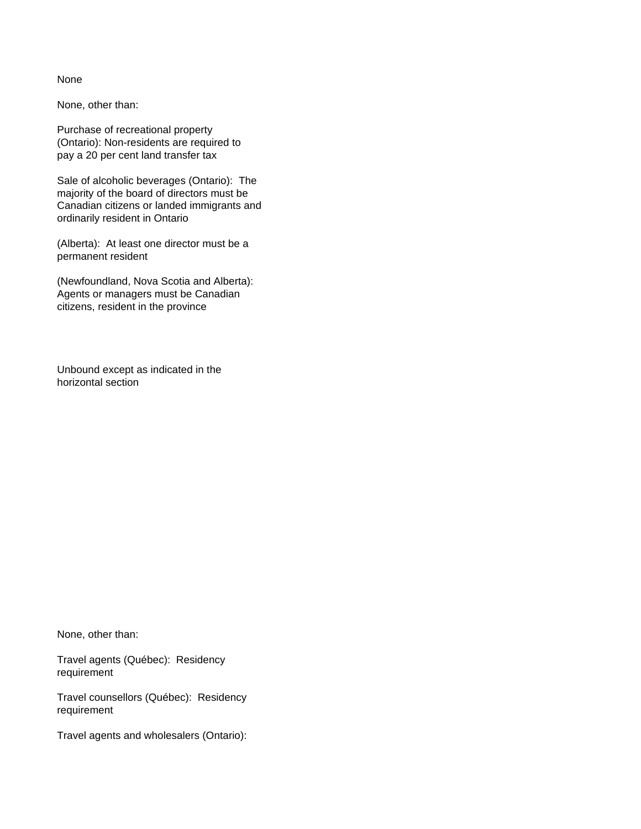None, other than:

Purchase of recreational property (Ontario): Non-residents are required to pay a 20 per cent land transfer tax

Sale of alcoholic beverages (Ontario): The majority of the board of directors must be Canadian citizens or landed immigrants and ordinarily resident in Ontario

(Alberta): At least one director must be a permanent resident

(Newfoundland, Nova Scotia and Alberta): Agents or managers must be Canadian citizens, resident in the province

Unbound except as indicated in the horizontal section

None, other than:

Travel agents (Québec): Residency requirement

Travel counsellors (Québec): Residency requirement

Travel agents and wholesalers (Ontario):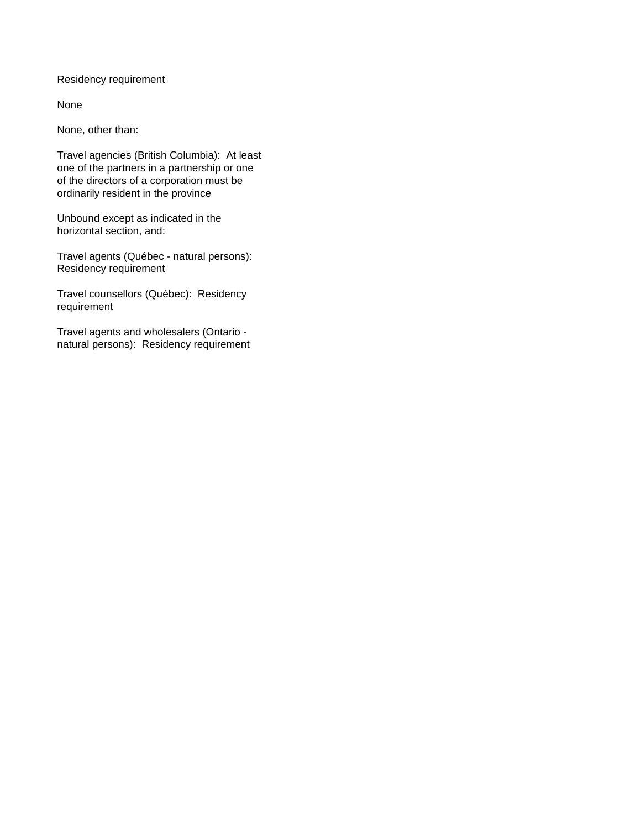Residency requirement

None

None, other than:

Travel agencies (British Columbia): At least one of the partners in a partnership or one of the directors of a corporation must be ordinarily resident in the province

Unbound except as indicated in the horizontal section, and:

Travel agents (Québec - natural persons): Residency requirement

Travel counsellors (Québec): Residency requirement

Travel agents and wholesalers (Ontario natural persons): Residency requirement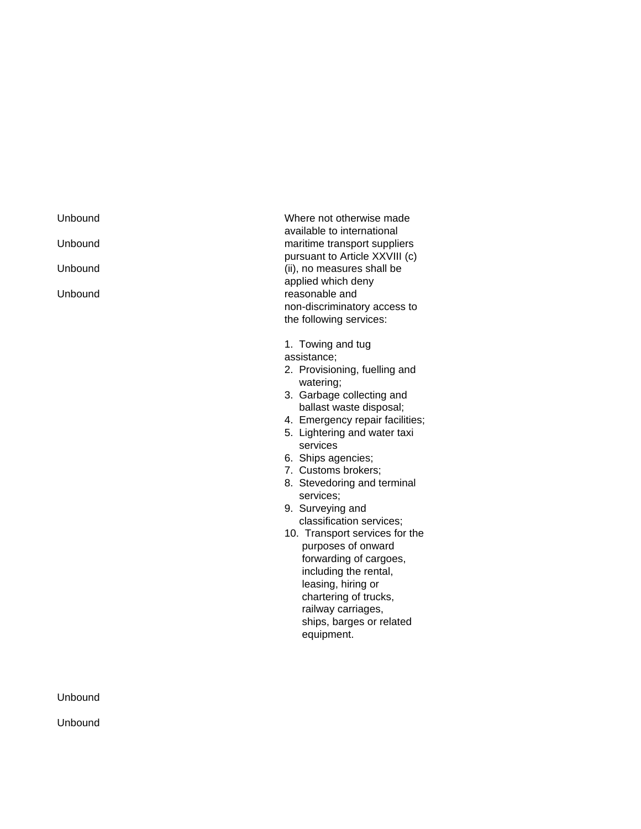Unbound Where not otherwise made available to international Unbound **maritime** transport suppliers pursuant to Article XXVIII (c) Unbound **Contract Contract Contract Contract Contract Contract Contract Contract Contract Contract Contract Contract Contract Contract Contract Contract Contract Contract Contract Contract Contract Contract Contract Contra** applied which deny Unbound **reasonable** and non-discriminatory access to the following services:

1. Towing and tug

assistance;

- 2. Provisioning, fuelling and watering;
- 3. Garbage collecting and ballast waste disposal;
- 4. Emergency repair facilities;
- 5. Lightering and water taxi services
- 6. Ships agencies;
- 7. Customs brokers;
- 8. Stevedoring and terminal services;
- 9. Surveying and classification services;
- 10. Transport services for the purposes of onward forwarding of cargoes, including the rental, leasing, hiring or chartering of trucks, railway carriages, ships, barges or related equipment.

Unbound

Unbound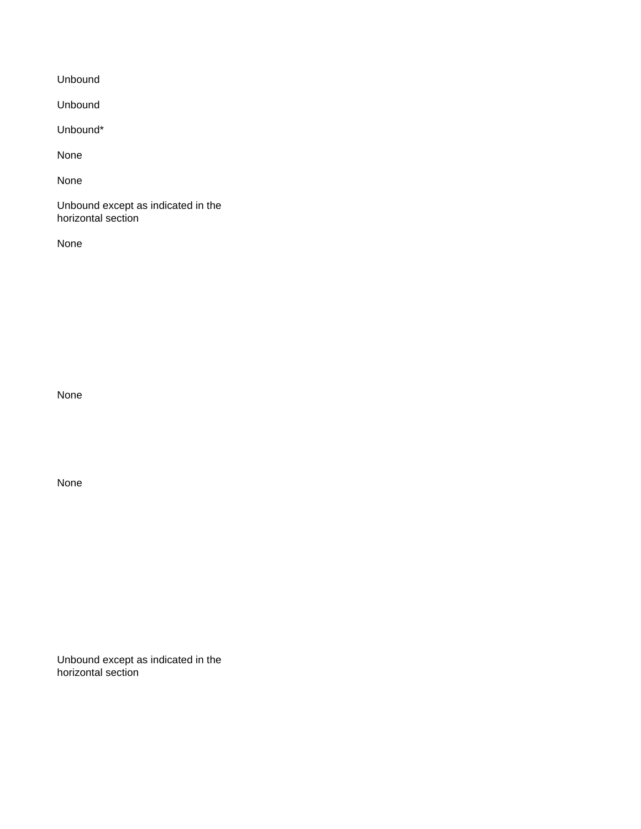Unbound

Unbound

Unbound\*

None

None

Unbound except as indicated in the horizontal section

None

None

None

Unbound except as indicated in the horizontal section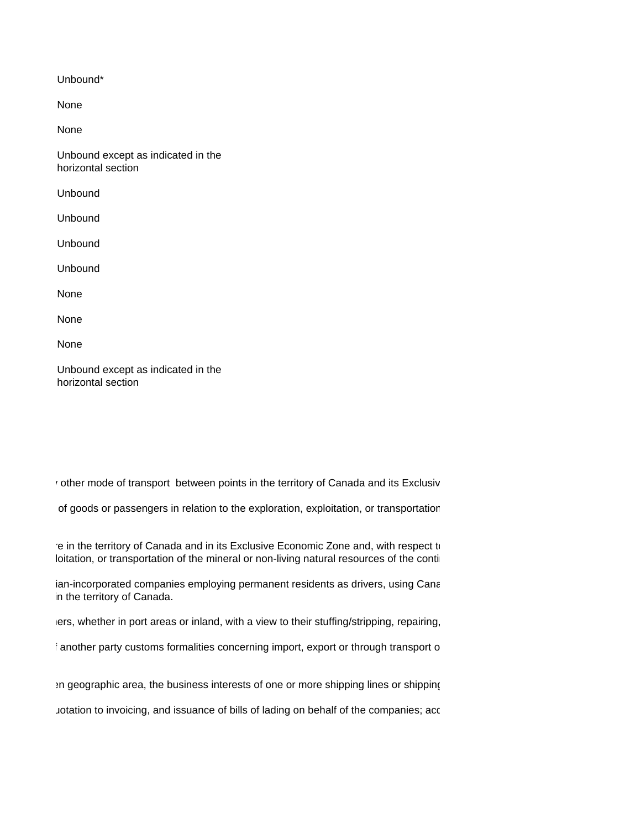Unbound\*

None

None

Unbound except as indicated in the horizontal section

Unbound

Unbound

Unbound

Unbound

None

None

None

Unbound except as indicated in the horizontal section

 $\alpha$  other mode of transport between points in the territory of Canada and its Exclusiv

of goods or passengers in relation to the exploration, exploitation, or transportation

re in the territory of Canada and in its Exclusive Economic Zone and, with respect to loitation, or transportation of the mineral or non-living natural resources of the continent

ian-incorporated companies employing permanent residents as drivers, using Cana in the territory of Canada.

lers, whether in port areas or inland, with a view to their stuffing/stripping, repairing,

f another party customs formalities concerning import, export or through transport o

en geographic area, the business interests of one or more shipping lines or shipping

uotation to invoicing, and issuance of bills of lading on behalf of the companies; acc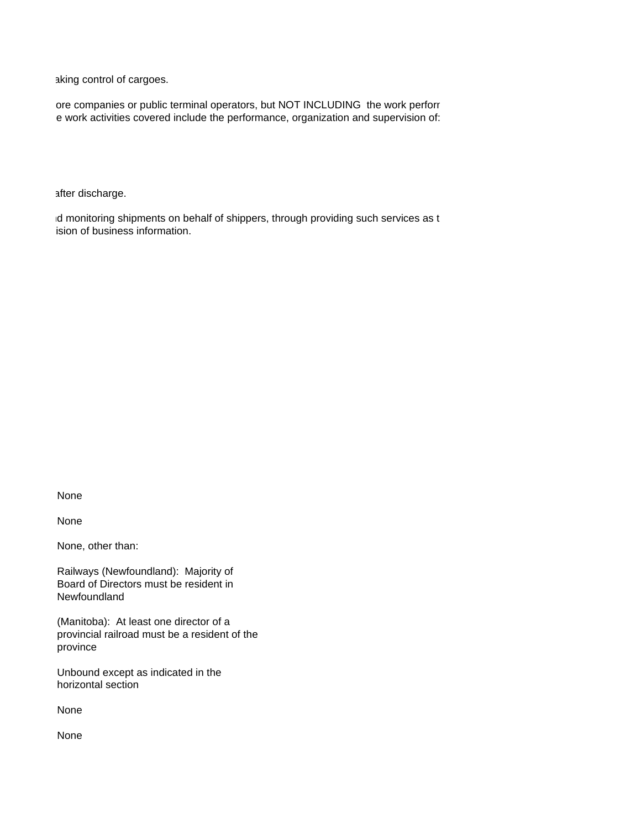aking control of cargoes.

ore companies or public terminal operators, but NOT INCLUDING the work perforr e work activities covered include the performance, organization and supervision of:

after discharge.

id monitoring shipments on behalf of shippers, through providing such services as t ision of business information.

None

None

None, other than:

Railways (Newfoundland): Majority of Board of Directors must be resident in Newfoundland

(Manitoba): At least one director of a provincial railroad must be a resident of the province

Unbound except as indicated in the horizontal section

None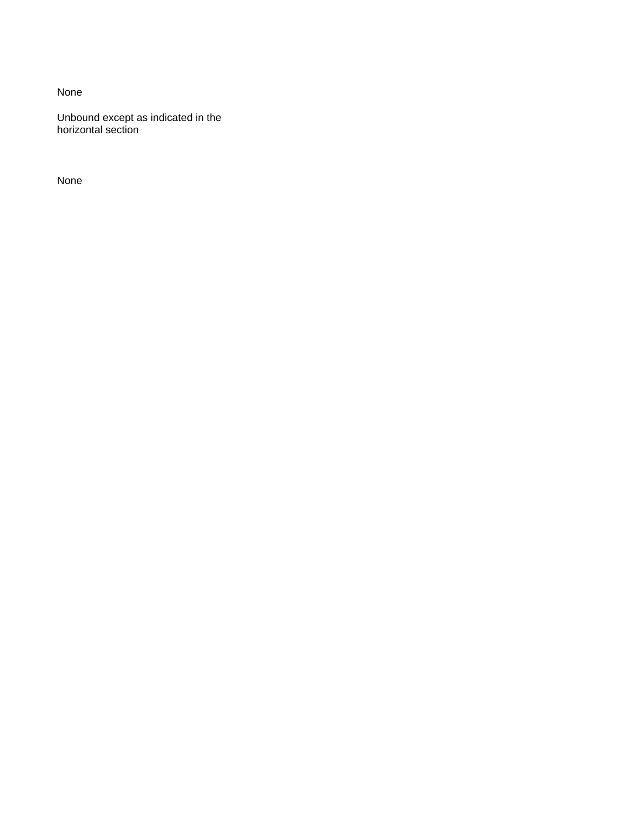Unbound except as indicated in the horizontal section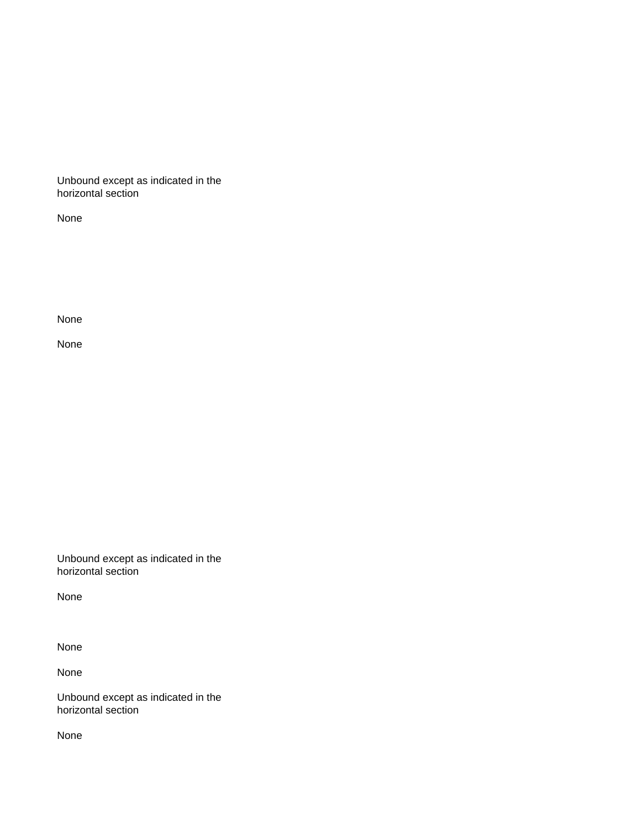Unbound except as indicated in the horizontal section

None

None

None

Unbound except as indicated in the horizontal section

None

None

None

Unbound except as indicated in the horizontal section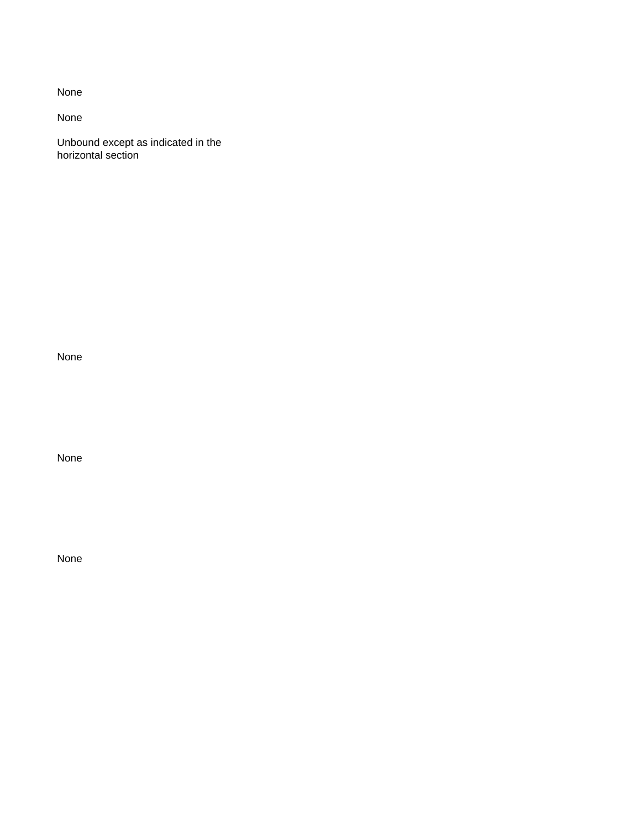None

Unbound except as indicated in the horizontal section

None

None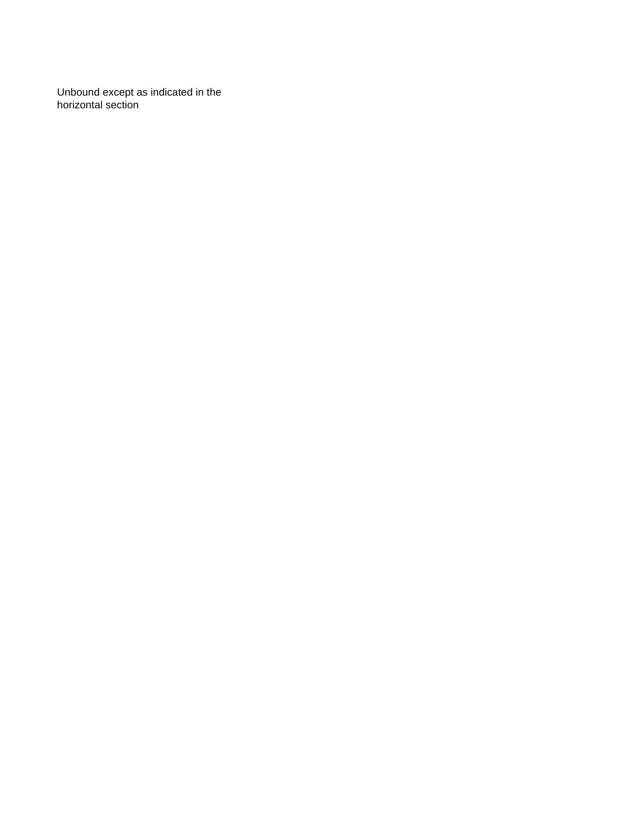Unbound except as indicated in the horizontal section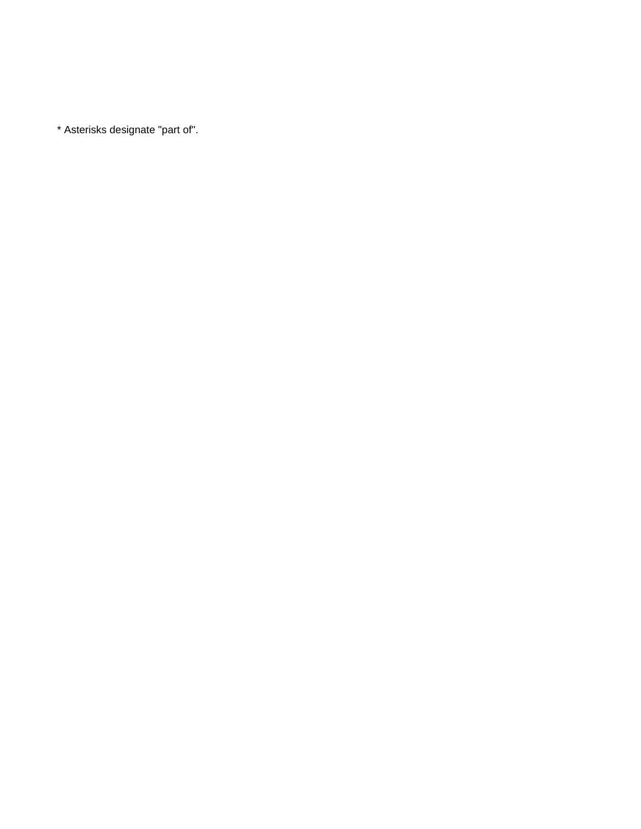\* Asterisks designate "part of".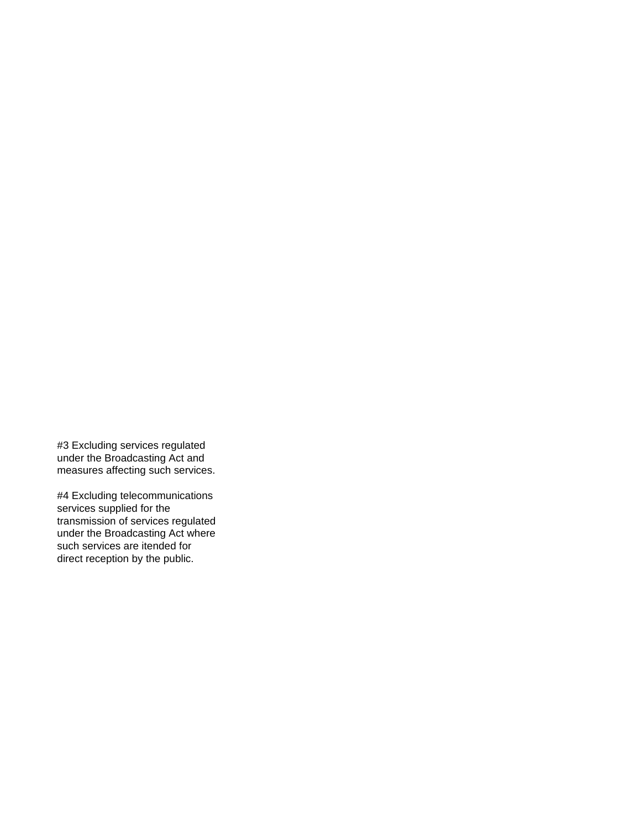#3 Excluding services regulated under the Broadcasting Act and measures affecting such services.

#4 Excluding telecommunications services supplied for the transmission of services regulated under the Broadcasting Act where such services are itended for direct reception by the public.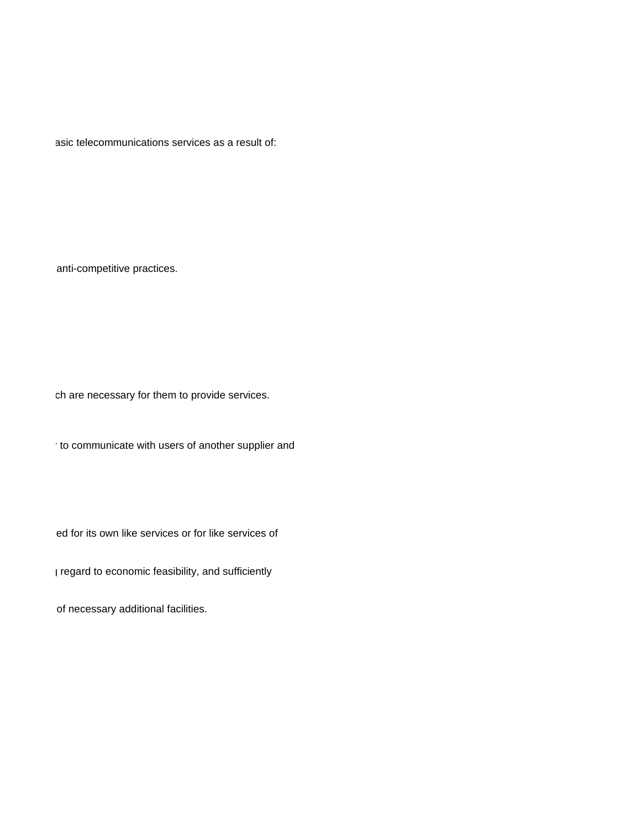asic telecommunications services as a result of:

anti-competitive practices.

ch are necessary for them to provide services.

 $\cdot$  to communicate with users of another supplier and

ed for its own like services or for like services of

 $\mu$  regard to economic feasibility, and sufficiently

of necessary additional facilities.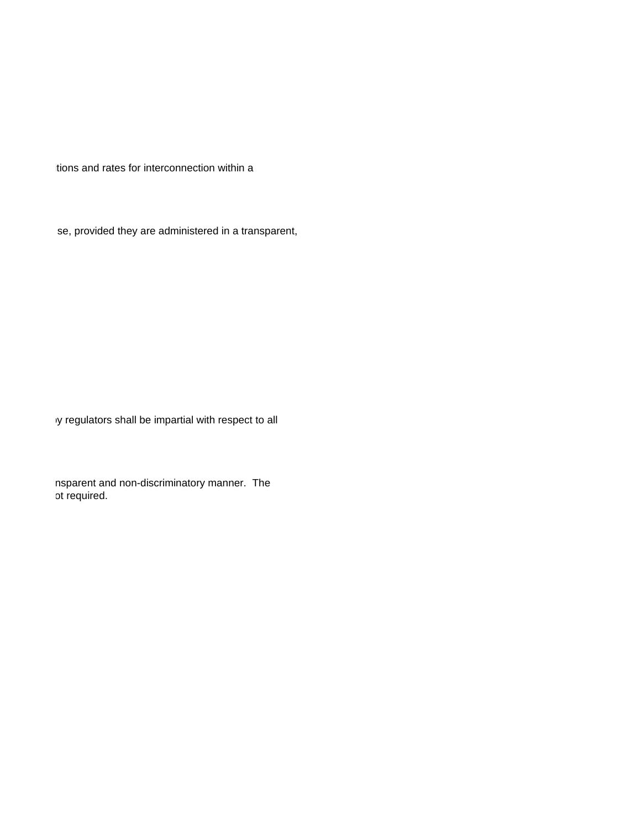itions and rates for interconnection within a

se, provided they are administered in a transparent,

iy regulators shall be impartial with respect to all

nsparent and non-discriminatory manner. The ot required. curred of required.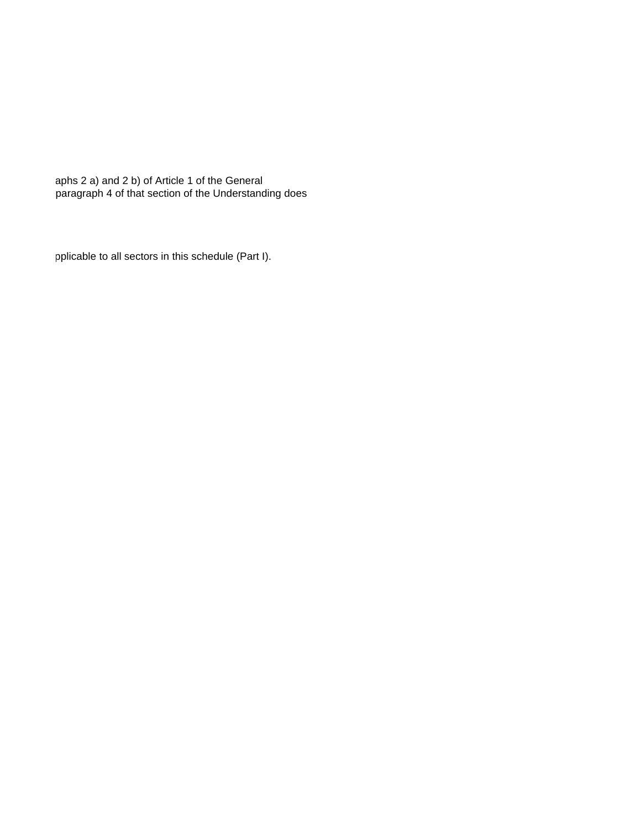aphs 2 a) and 2 b) of Article 1 of the General paragraph 4 of that section of the Understanding does

pplicable to all sectors in this schedule (Part I).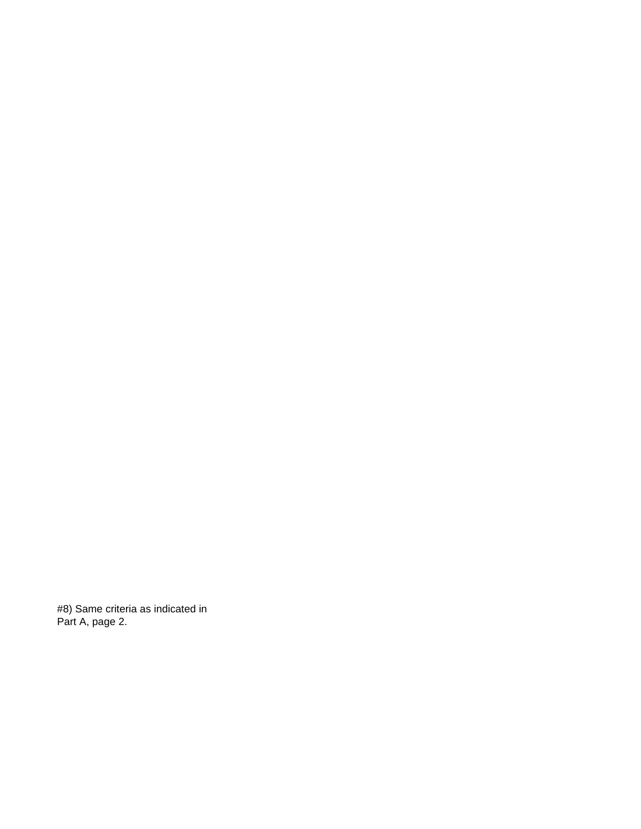#8) Same criteria as indicated in Part A, page 2.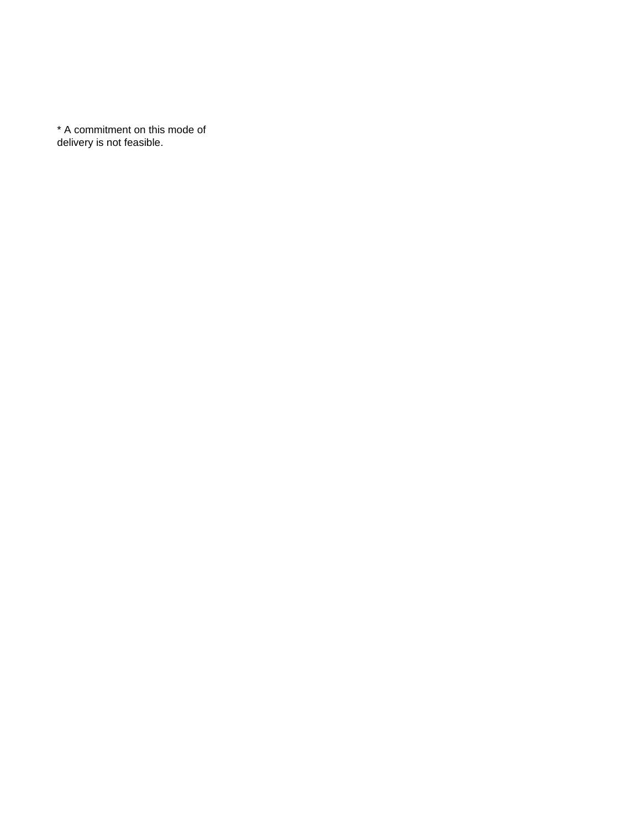\* A commitment on this mode of delivery is not feasible.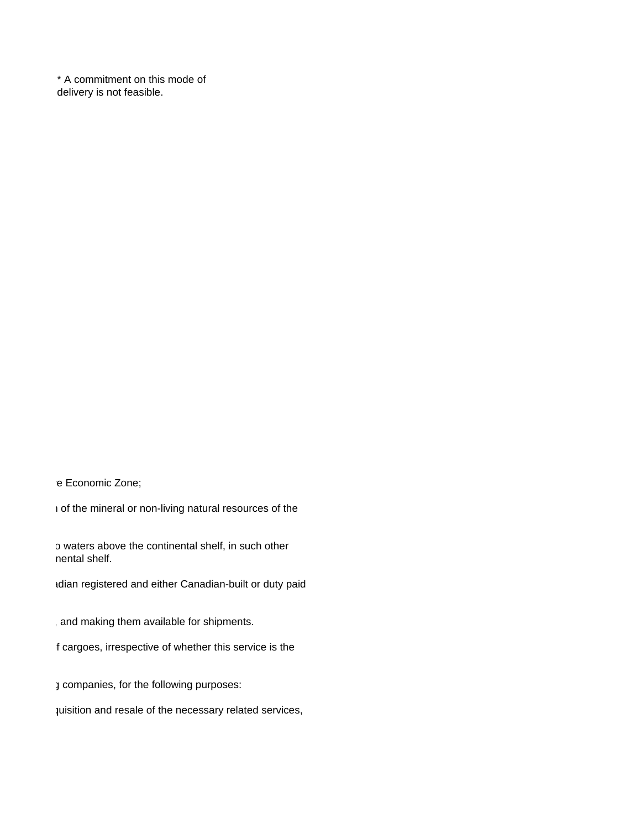\* A commitment on this mode of delivery is not feasible.

re Economic Zone;

to the mineral or non-living natural resources of the

o waters above the continental shelf, in such other mental shelf.

tdian registered and either Canadian-built or duty paid

, and making them available for shipments.

f cargoes, irrespective of whether this service is the

 $3$  companies, for the following purposes:

quisition and resale of the necessary related services,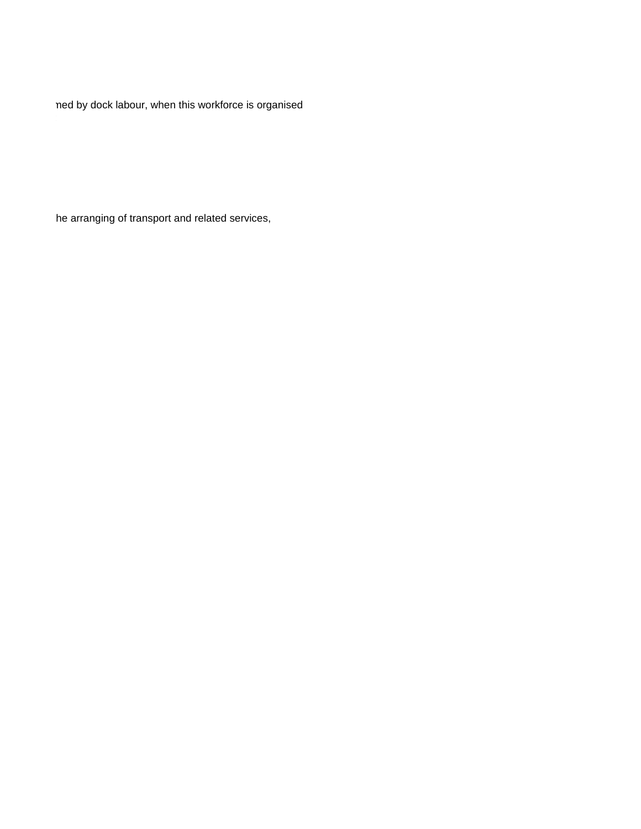ned by dock labour, when this workforce is organised

independently of the stevedoring or public terminal operator companies. The work activities covered include the performance, organization and supervision of:

he arranging of transport and related services,  $n = 1$